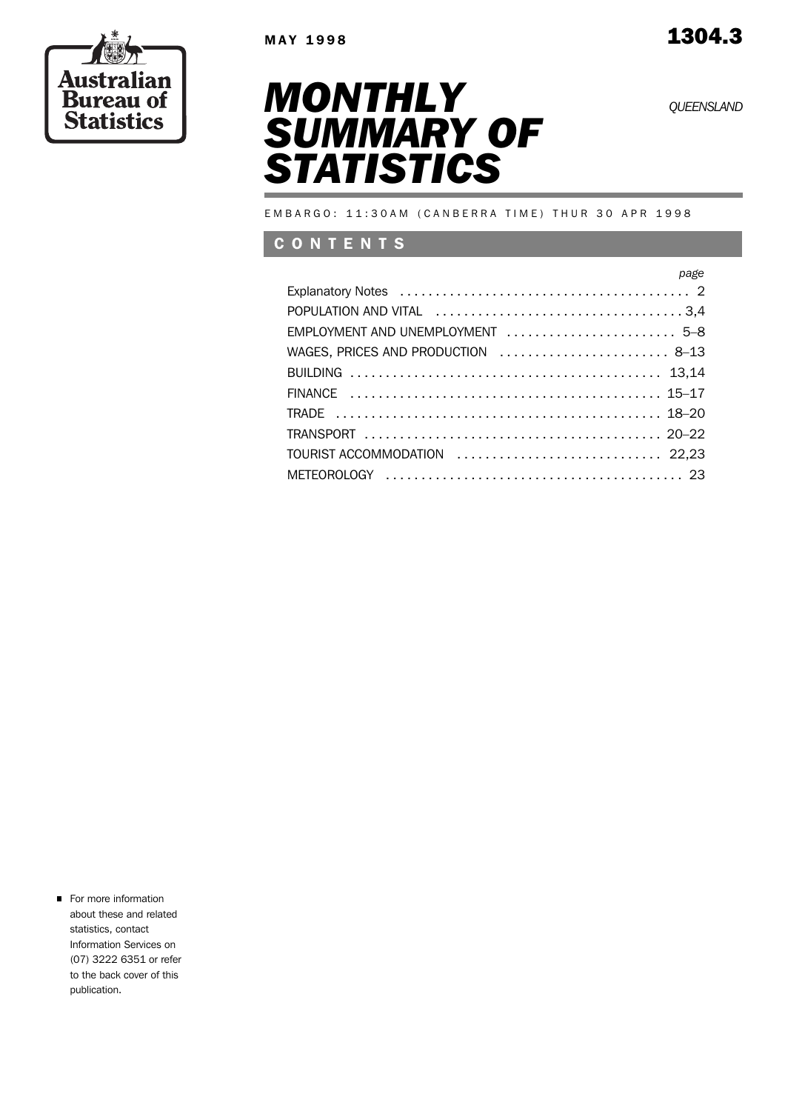*QUEENSLAND*

**Austra** an

**Bureau Statistics** 



EMBARGO: 11:30AM (CANBERRA TIME) THUR 30 APR 1998

# C O N T E N T S

| page                               |
|------------------------------------|
|                                    |
|                                    |
| EMPLOYMENT AND UNEMPLOYMENT  5-8   |
| WAGES, PRICES AND PRODUCTION  8-13 |
|                                    |
|                                    |
|                                    |
|                                    |
| TOURIST ACCOMMODATION  22,23       |
|                                    |

**For more information** about these and related statistics, contact Information Services on (07) 3222 6351 or refer to the back cover of this publication.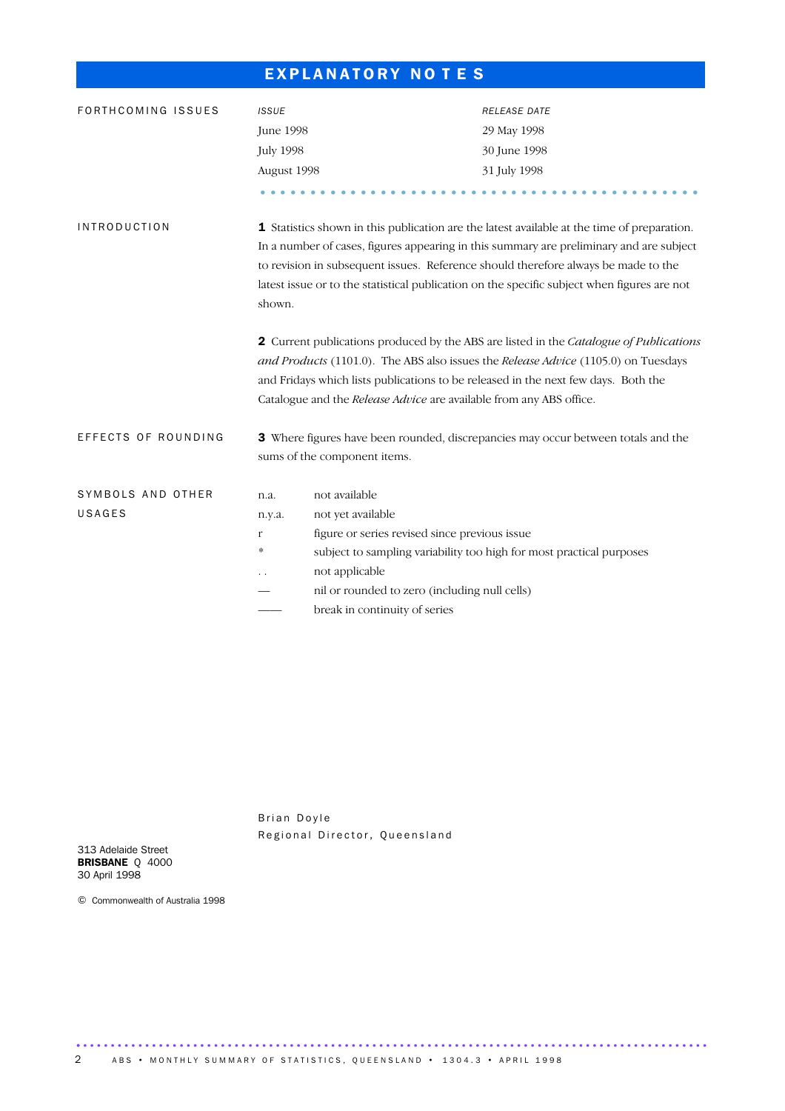# EXPLANATORY NOTES

| FORTHCOMING ISSUES  | <b>ISSUE</b>     |                                                                                                                                                                                                                                                                                                                                           | <b>RELEASE DATE</b>                                                                                                                                                                                                                                                                                                                                                         |  |  |  |  |  |
|---------------------|------------------|-------------------------------------------------------------------------------------------------------------------------------------------------------------------------------------------------------------------------------------------------------------------------------------------------------------------------------------------|-----------------------------------------------------------------------------------------------------------------------------------------------------------------------------------------------------------------------------------------------------------------------------------------------------------------------------------------------------------------------------|--|--|--|--|--|
|                     | <b>June 1998</b> |                                                                                                                                                                                                                                                                                                                                           | 29 May 1998                                                                                                                                                                                                                                                                                                                                                                 |  |  |  |  |  |
|                     | <b>July 1998</b> |                                                                                                                                                                                                                                                                                                                                           | 30 June 1998                                                                                                                                                                                                                                                                                                                                                                |  |  |  |  |  |
|                     | August 1998      |                                                                                                                                                                                                                                                                                                                                           | 31 July 1998                                                                                                                                                                                                                                                                                                                                                                |  |  |  |  |  |
|                     |                  |                                                                                                                                                                                                                                                                                                                                           |                                                                                                                                                                                                                                                                                                                                                                             |  |  |  |  |  |
| <b>INTRODUCTION</b> | shown.           |                                                                                                                                                                                                                                                                                                                                           | 1 Statistics shown in this publication are the latest available at the time of preparation.<br>In a number of cases, figures appearing in this summary are preliminary and are subject<br>to revision in subsequent issues. Reference should therefore always be made to the<br>latest issue or to the statistical publication on the specific subject when figures are not |  |  |  |  |  |
|                     |                  | 2 Current publications produced by the ABS are listed in the Catalogue of Publications<br>and Products (1101.0). The ABS also issues the Release Advice (1105.0) on Tuesdays<br>and Fridays which lists publications to be released in the next few days. Both the<br>Catalogue and the Release Advice are available from any ABS office. |                                                                                                                                                                                                                                                                                                                                                                             |  |  |  |  |  |
| EFFECTS OF ROUNDING |                  | sums of the component items.                                                                                                                                                                                                                                                                                                              | 3 Where figures have been rounded, discrepancies may occur between totals and the                                                                                                                                                                                                                                                                                           |  |  |  |  |  |
|                     |                  |                                                                                                                                                                                                                                                                                                                                           |                                                                                                                                                                                                                                                                                                                                                                             |  |  |  |  |  |
| SYMBOLS AND OTHER   | n.a.             | not available                                                                                                                                                                                                                                                                                                                             |                                                                                                                                                                                                                                                                                                                                                                             |  |  |  |  |  |
| USAGES              | n.y.a.           | not yet available                                                                                                                                                                                                                                                                                                                         |                                                                                                                                                                                                                                                                                                                                                                             |  |  |  |  |  |
|                     | r                | figure or series revised since previous issue                                                                                                                                                                                                                                                                                             |                                                                                                                                                                                                                                                                                                                                                                             |  |  |  |  |  |
|                     | *                | subject to sampling variability too high for most practical purposes                                                                                                                                                                                                                                                                      |                                                                                                                                                                                                                                                                                                                                                                             |  |  |  |  |  |
|                     |                  | not applicable                                                                                                                                                                                                                                                                                                                            |                                                                                                                                                                                                                                                                                                                                                                             |  |  |  |  |  |
|                     |                  | nil or rounded to zero (including null cells)                                                                                                                                                                                                                                                                                             |                                                                                                                                                                                                                                                                                                                                                                             |  |  |  |  |  |
|                     |                  | break in continuity of series                                                                                                                                                                                                                                                                                                             |                                                                                                                                                                                                                                                                                                                                                                             |  |  |  |  |  |

Brian Doyle Regional Director, Queensland

313 Adelaide Street BRISBANE Q 4000 30 April 1998

© Commonwealth of Australia 1998

............................................................................................ .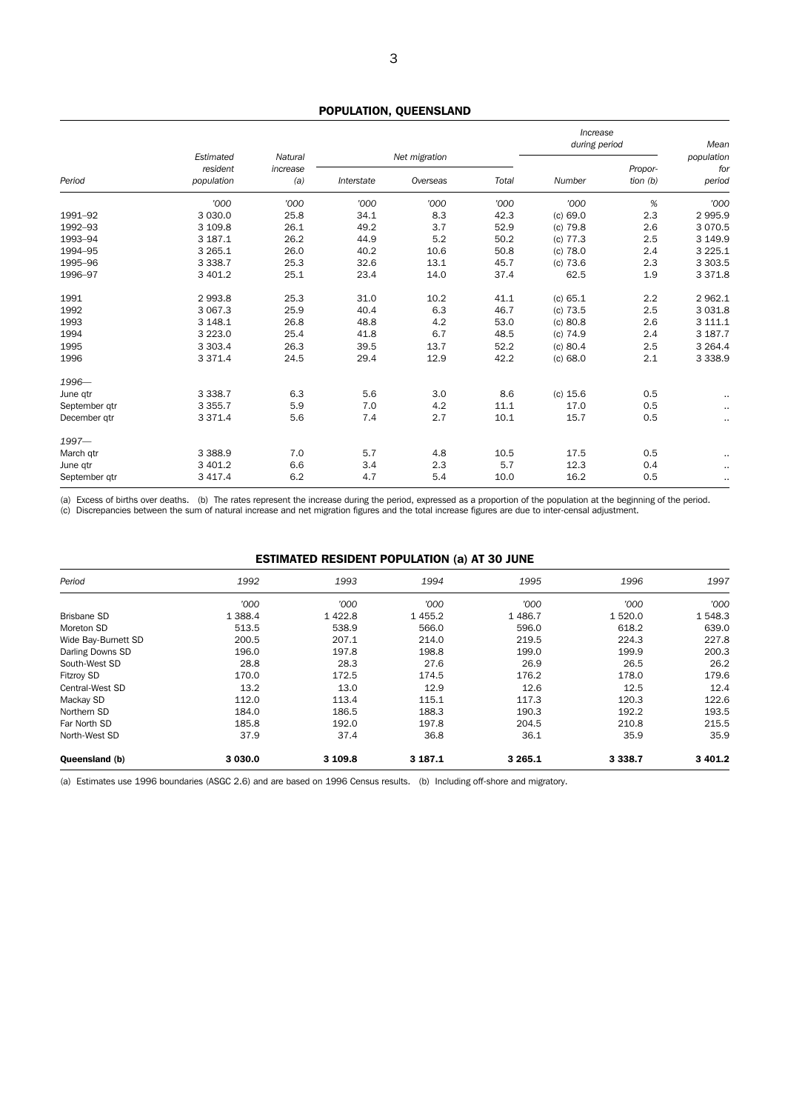# POPULATION, QUEENSLAND

|               |                       |                     |            |               | Increase<br>during period |            | Mean       |                             |
|---------------|-----------------------|---------------------|------------|---------------|---------------------------|------------|------------|-----------------------------|
|               | Estimated<br>resident | Natural<br>increase |            | Net migration |                           |            | Propor-    | population<br>for<br>period |
| Period        | population            | (a)                 | Interstate | Overseas      | Total                     | Number     | tion $(b)$ |                             |
|               | '000                  | '000                | '000       | '000          | '000                      | '000       | %          | '000                        |
| 1991-92       | 3 0 3 0.0             | 25.8                | 34.1       | 8.3           | 42.3                      | (c) 69.0   | 2.3        | 2 9 9 5.9                   |
| 1992-93       | 3 109.8               | 26.1                | 49.2       | 3.7           | 52.9                      | $(c)$ 79.8 | 2.6        | 3 0 7 0.5                   |
| 1993-94       | 3 187.1               | 26.2                | 44.9       | 5.2           | 50.2                      | $(c)$ 77.3 | 2.5        | 3 149.9                     |
| 1994-95       | 3 2 6 5 . 1           | 26.0                | 40.2       | 10.6          | 50.8                      | $(c)$ 78.0 | 2.4        | 3 2 2 5 . 1                 |
| 1995-96       | 3 3 3 8.7             | 25.3                | 32.6       | 13.1          | 45.7                      | (c) 73.6   | 2.3        | 3 3 0 3.5                   |
| 1996-97       | 3 401.2               | 25.1                | 23.4       | 14.0          | 37.4                      | 62.5       | 1.9        | 3 3 7 1.8                   |
| 1991          | 2 9 9 3.8             | 25.3                | 31.0       | 10.2          | 41.1                      | (c) 65.1   | 2.2        | 2 9 6 2.1                   |
| 1992          | 3 067.3               | 25.9                | 40.4       | 6.3           | 46.7                      | $(c)$ 73.5 | 2.5        | 3 0 3 1.8                   |
| 1993          | 3 148.1               | 26.8                | 48.8       | 4.2           | 53.0                      | (c) 80.8   | 2.6        | 3 111.1                     |
| 1994          | 3 2 2 3 . 0           | 25.4                | 41.8       | 6.7           | 48.5                      | $(c)$ 74.9 | 2.4        | 3 187.7                     |
| 1995          | 3 3 0 3.4             | 26.3                | 39.5       | 13.7          | 52.2                      | (c) 80.4   | 2.5        | 3 2 6 4 . 4                 |
| 1996          | 3 3 7 1.4             | 24.5                | 29.4       | 12.9          | 42.2                      | (c) 68.0   | 2.1        | 3 3 3 8 . 9                 |
| 1996-         |                       |                     |            |               |                           |            |            |                             |
| June qtr      | 3 3 3 8.7             | 6.3                 | 5.6        | 3.0           | 8.6                       | (c) 15.6   | 0.5        | $\sim$                      |
| September gtr | 3 3 5 5.7             | 5.9                 | 7.0        | 4.2           | 11.1                      | 17.0       | 0.5        | $\sim$                      |
| December gtr  | 3 3 7 1.4             | 5.6                 | 7.4        | 2.7           | 10.1                      | 15.7       | 0.5        | $\cdot$ .                   |
| $1997 -$      |                       |                     |            |               |                           |            |            |                             |
| March qtr     | 3 3 8 8.9             | 7.0                 | 5.7        | 4.8           | 10.5                      | 17.5       | 0.5        | $\cdot$ .                   |
| June qtr      | 3 401.2               | 6.6                 | 3.4        | 2.3           | 5.7                       | 12.3       | 0.4        | $\sim$                      |
| September gtr | 3 4 1 7.4             | 6.2                 | 4.7        | 5.4           | 10.0                      | 16.2       | 0.5        | $\sim$                      |

(a) Excess of births over deaths. (b) The rates represent the increase during the period, expressed as a proportion of the population at the beginning of the period. (c) Discrepancies between the sum of natural increase and net migration figures and the total increase figures are due to inter-censal adjustment.

### ESTIMATED RESIDENT POPULATION (a) AT 30 JUNE

| Period              | 1992      | 1993    | 1994      | 1995      | 1996       | 1997      |
|---------------------|-----------|---------|-----------|-----------|------------|-----------|
|                     | '000      | '000    | '000      | '000      | '000       | '000      |
| <b>Brisbane SD</b>  | 1 3 8 8.4 | 1422.8  | 1 4 5 5.2 | 1486.7    | 1 5 2 0.0  | 1 548.3   |
| Moreton SD          | 513.5     | 538.9   | 566.0     | 596.0     | 618.2      | 639.0     |
| Wide Bay-Burnett SD | 200.5     | 207.1   | 214.0     | 219.5     | 224.3      | 227.8     |
| Darling Downs SD    | 196.0     | 197.8   | 198.8     | 199.0     | 199.9      | 200.3     |
| South-West SD       | 28.8      | 28.3    | 27.6      | 26.9      | 26.5       | 26.2      |
| Fitzroy SD          | 170.0     | 172.5   | 174.5     | 176.2     | 178.0      | 179.6     |
| Central-West SD     | 13.2      | 13.0    | 12.9      | 12.6      | 12.5       | 12.4      |
| Mackay SD           | 112.0     | 113.4   | 115.1     | 117.3     | 120.3      | 122.6     |
| Northern SD         | 184.0     | 186.5   | 188.3     | 190.3     | 192.2      | 193.5     |
| Far North SD        | 185.8     | 192.0   | 197.8     | 204.5     | 210.8      | 215.5     |
| North-West SD       | 37.9      | 37.4    | 36.8      | 36.1      | 35.9       | 35.9      |
| Queensland (b)      | 3 0 3 0.0 | 3 109.8 | 3 187.1   | 3 2 6 5 1 | 3 3 3 8 .7 | 3 4 0 1.2 |

(a) Estimates use 1996 boundaries (ASGC 2.6) and are based on 1996 Census results. (b) Including off-shore and migratory.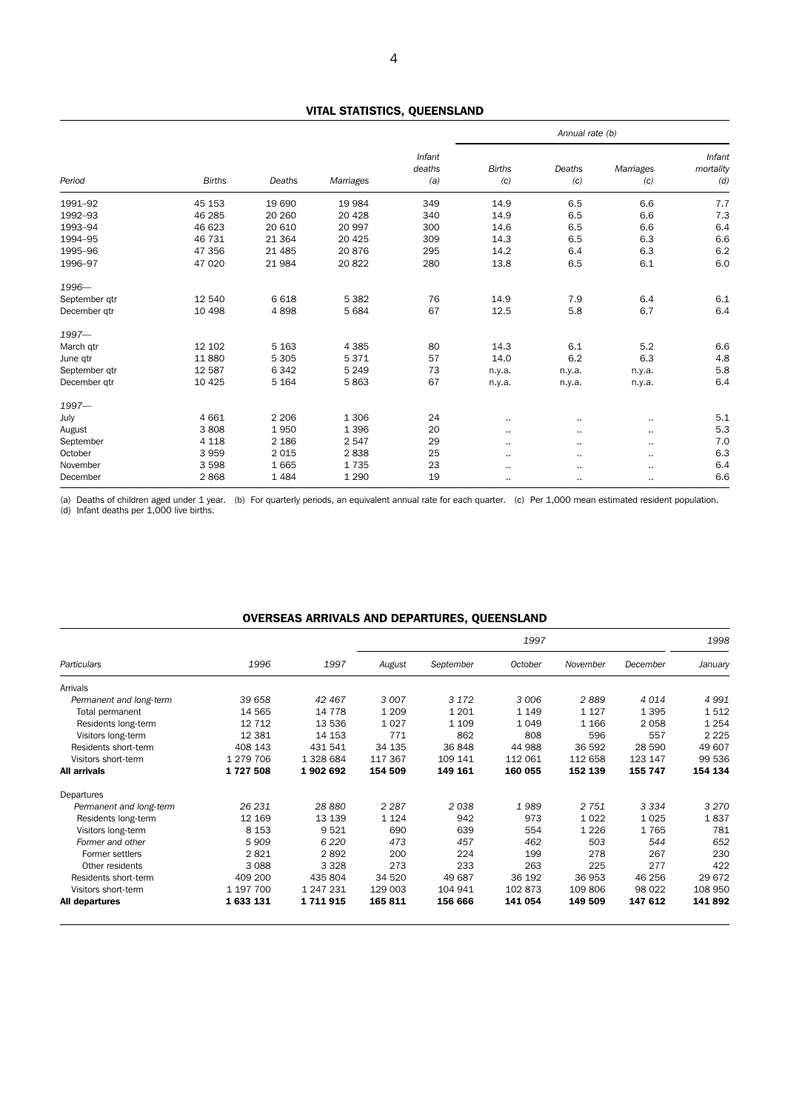# VITAL STATISTICS, QUEENSLAND

|               |               |          |           |                         | Annual rate (b)      |               |                  |                            |
|---------------|---------------|----------|-----------|-------------------------|----------------------|---------------|------------------|----------------------------|
| Period        | <b>Births</b> | Deaths   | Marriages | Infant<br>deaths<br>(a) | <b>Births</b><br>(c) | Deaths<br>(c) | Marriages<br>(c) | Infant<br>mortality<br>(d) |
| 1991-92       | 45 153        | 19 690   | 19 9 84   | 349                     | 14.9                 | 6.5           | 6.6              | 7.7                        |
| 1992-93       | 46 285        | 20 260   | 20 4 28   | 340                     | 14.9                 | 6.5           | 6.6              | 7.3                        |
| 1993-94       | 46 623        | 20 610   | 20 997    | 300                     | 14.6                 | 6.5           | 6.6              | 6.4                        |
| 1994-95       | 46 731        | 21 3 64  | 20 4 25   | 309                     | 14.3                 | 6.5           | 6.3              | 6.6                        |
| 1995-96       | 47 356        | 21 4 8 5 | 20876     | 295                     | 14.2                 | 6.4           | 6.3              | $6.2\,$                    |
| 1996-97       | 47 0 20       | 21 984   | 20822     | 280                     | 13.8                 | 6.5           | 6.1              | 6.0                        |
| 1996-         |               |          |           |                         |                      |               |                  |                            |
| September gtr | 12 540        | 6 6 18   | 5 3 8 2   | 76                      | 14.9                 | 7.9           | 6.4              | 6.1                        |
| December gtr  | 10 4 98       | 4898     | 5 6 8 4   | 67                      | 12.5                 | 5.8           | 6.7              | 6.4                        |
| $1997 -$      |               |          |           |                         |                      |               |                  |                            |
| March gtr     | 12 102        | 5 1 6 3  | 4 3 8 5   | 80                      | 14.3                 | 6.1           | 5.2              | 6.6                        |
| June qtr      | 11 880        | 5 3 0 5  | 5371      | 57                      | 14.0                 | 6.2           | 6.3              | 4.8                        |
| September qtr | 12 587        | 6342     | 5 2 4 9   | 73                      | n.y.a.               | n.y.a.        | n.y.a.           | 5.8                        |
| December gtr  | 10 4 25       | 5 1 6 4  | 5863      | 67                      | n.y.a.               | n.y.a.        | n.y.a.           | 6.4                        |
| $1997 -$      |               |          |           |                         |                      |               |                  |                            |
| July          | 4 6 6 1       | 2 2 0 6  | 1 3 0 6   | 24                      |                      |               | $\cdot$ .        | 5.1                        |
| August        | 3808          | 1950     | 1 3 9 6   | 20                      | $\cdot$ .            | $\cdot$ .     | $\cdot$ .        | 5.3                        |
| September     | 4 1 1 8       | 2 1 8 6  | 2 5 4 7   | 29                      | $\cdot$ .            | $\cdot$ .     | $\cdot$ .        | 7.0                        |
| October       | 3 9 5 9       | 2015     | 2838      | 25                      | $\cdot$              |               | $\sim$           | 6.3                        |
| November      | 3598          | 1665     | 1735      | 23                      | $\sim$               |               | $\sim$           | 6.4                        |
| December      | 2868          | 1484     | 1 2 9 0   | 19                      | $\cdot$ .            | $\cdot$ .     | $\cdot$ .        | 6.6                        |

(a) Deaths of children aged under 1 year. (b) For quarterly periods, an equivalent annual rate for each quarter. (c) Per 1,000 mean estimated resident population. (d) Infant deaths per 1,000 live births.

# OVERSEAS ARRIVALS AND DEPARTURES, QUEENSLAND

|                         |           |           |         |           | 1998    |          |          |         |
|-------------------------|-----------|-----------|---------|-----------|---------|----------|----------|---------|
| Particulars             | 1996      | 1997      | August  | September | October | November | December | January |
| Arrivals                |           |           |         |           |         |          |          |         |
| Permanent and long-term | 39 658    | 42 467    | 3 0 0 7 | 3 1 7 2   | 3 0 0 6 | 2889     | 4014     | 4 9 9 1 |
| Total permanent         | 14 565    | 14 778    | 1 2 0 9 | 1 2 0 1   | 1 1 4 9 | 1 1 2 7  | 1 3 9 5  | 1512    |
| Residents long-term     | 12 7 12   | 13 536    | 1 0 2 7 | 1 1 0 9   | 1049    | 1 1 6 6  | 2 0 5 8  | 1 2 5 4 |
| Visitors long-term      | 12 3 8 1  | 14 153    | 771     | 862       | 808     | 596      | 557      | 2 2 2 5 |
| Residents short-term    | 408 143   | 431 541   | 34 135  | 36 848    | 44 988  | 36 592   | 28 590   | 49 607  |
| Visitors short-term     | 1 279 706 | 1 328 684 | 117 367 | 109 141   | 112 061 | 112 658  | 123 147  | 99 536  |
| All arrivals            | 1727508   | 1902692   | 154 509 | 149 161   | 160 055 | 152 139  | 155 747  | 154 134 |
| Departures              |           |           |         |           |         |          |          |         |
| Permanent and long-term | 26 231    | 28 880    | 2 2 8 7 | 2038      | 1989    | 2 7 5 1  | 3 3 3 4  | 3 270   |
| Residents long-term     | 12 169    | 13 139    | 1 1 2 4 | 942       | 973     | 1022     | 1025     | 1837    |
| Visitors long-term      | 8 1 5 3   | 9521      | 690     | 639       | 554     | 1 2 2 6  | 1765     | 781     |
| Former and other        | 5909      | 6 2 2 0   | 473     | 457       | 462     | 503      | 544      | 652     |
| Former settlers         | 2821      | 2892      | 200     | 224       | 199     | 278      | 267      | 230     |
| Other residents         | 3 0 8 8   | 3 3 2 8   | 273     | 233       | 263     | 225      | 277      | 422     |
| Residents short-term    | 409 200   | 435 804   | 34 520  | 49 687    | 36 192  | 36 953   | 46 256   | 29 672  |
| Visitors short-term     | 1 197 700 | 1 247 231 | 129 003 | 104 941   | 102873  | 109 806  | 98 0 22  | 108 950 |
| All departures          | 1633131   | 1711915   | 165 811 | 156 666   | 141 054 | 149 509  | 147 612  | 141 892 |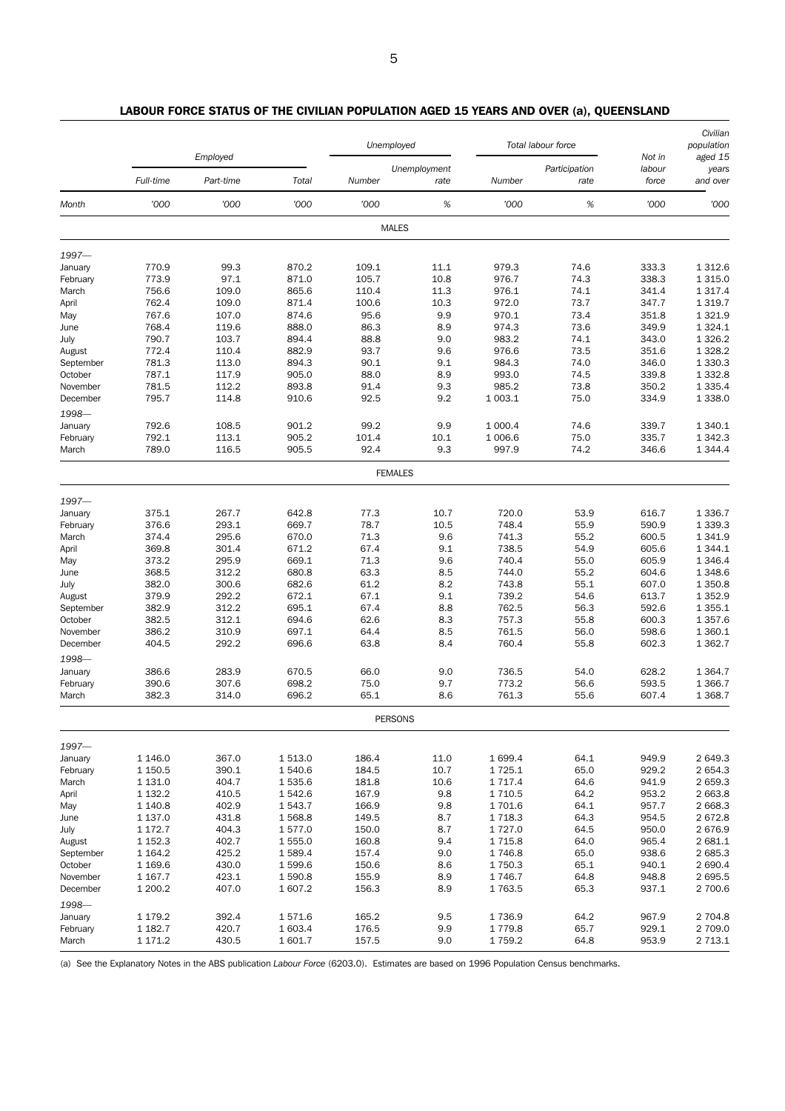|           |             | Employed  |         | Unemployed     |                      |             | Total labour force    | Not in          | Civilian<br>population<br>aged 15 |
|-----------|-------------|-----------|---------|----------------|----------------------|-------------|-----------------------|-----------------|-----------------------------------|
|           | Full-time   | Part-time | Total   | Number         | Unemployment<br>rate | Number      | Participation<br>rate | labour<br>force | years<br>and over                 |
| Month     | '000        | '000      | '000    | '000           | $\%$                 | '000        | $\%$                  | '000            | '000                              |
|           |             |           |         | <b>MALES</b>   |                      |             |                       |                 |                                   |
| 1997-     |             |           |         |                |                      |             |                       |                 |                                   |
| January   | 770.9       | 99.3      | 870.2   | 109.1          | 11.1                 | 979.3       | 74.6                  | 333.3           | 1 3 1 2.6                         |
| February  | 773.9       | 97.1      | 871.0   | 105.7          | 10.8                 | 976.7       | 74.3                  | 338.3           | 1 3 1 5 . 0                       |
| March     | 756.6       | 109.0     | 865.6   | 110.4          | 11.3                 | 976.1       | 74.1                  | 341.4           | 1 3 1 7 . 4                       |
| April     | 762.4       | 109.0     | 871.4   | 100.6          | 10.3                 | 972.0       | 73.7                  | 347.7           | 1 3 1 9.7                         |
| May       | 767.6       | 107.0     | 874.6   | 95.6           | 9.9                  | 970.1       | 73.4                  | 351.8           | 1 3 2 1.9                         |
| June      | 768.4       | 119.6     | 888.0   | 86.3           | 8.9                  | 974.3       | 73.6                  | 349.9           | 1 3 2 4 . 1                       |
| July      | 790.7       | 103.7     | 894.4   | 88.8           | 9.0                  | 983.2       | 74.1                  | 343.0           | 1 3 2 6 . 2                       |
| August    | 772.4       | 110.4     | 882.9   | 93.7           | 9.6                  | 976.6       | 73.5                  | 351.6           | 1 3 28.2                          |
| September | 781.3       | 113.0     | 894.3   | 90.1           | 9.1                  | 984.3       | 74.0                  | 346.0           | 1 3 3 0 . 3                       |
| October   | 787.1       | 117.9     | 905.0   | 88.0           | 8.9                  | 993.0       | 74.5                  | 339.8           | 1 3 3 2.8                         |
| November  | 781.5       | 112.2     | 893.8   | 91.4           | 9.3                  | 985.2       | 73.8                  | 350.2           | 1 3 3 5.4                         |
| December  | 795.7       | 114.8     | 910.6   | 92.5           | 9.2                  | 1 003.1     | 75.0                  | 334.9           | 1 3 3 8 . 0                       |
| 1998-     |             |           |         |                |                      |             |                       |                 |                                   |
| January   | 792.6       | 108.5     | 901.2   | 99.2           | 9.9                  | 1 000.4     | 74.6                  | 339.7           | 1 3 4 0.1                         |
| February  | 792.1       | 113.1     | 905.2   | 101.4          | 10.1                 | 1 006.6     | 75.0                  | 335.7           | 1 3 4 2 . 3                       |
| March     | 789.0       | 116.5     | 905.5   | 92.4           | 9.3                  | 997.9       | 74.2                  | 346.6           | 1 3 4 4.4                         |
|           |             |           |         | <b>FEMALES</b> |                      |             |                       |                 |                                   |
| 1997-     |             |           |         |                |                      |             |                       |                 |                                   |
| January   | 375.1       | 267.7     | 642.8   | 77.3           | 10.7                 | 720.0       | 53.9                  | 616.7           | 1 3 3 6.7                         |
| February  | 376.6       | 293.1     | 669.7   | 78.7           | 10.5                 | 748.4       | 55.9                  | 590.9           | 1 3 3 9 . 3                       |
| March     | 374.4       | 295.6     | 670.0   | 71.3           | 9.6                  | 741.3       | 55.2                  | 600.5           | 1 3 4 1.9                         |
| April     | 369.8       | 301.4     | 671.2   | 67.4           | 9.1                  | 738.5       | 54.9                  | 605.6           | 1 3 4 4.1                         |
| May       | 373.2       | 295.9     | 669.1   | 71.3           | 9.6                  | 740.4       | 55.0                  | 605.9           | 1 3 4 6.4                         |
| June      | 368.5       | 312.2     | 680.8   | 63.3           | 8.5                  | 744.0       | 55.2                  | 604.6           | 1 3 4 8.6                         |
| July      | 382.0       | 300.6     | 682.6   | 61.2           | 8.2                  | 743.8       | 55.1                  | 607.0           | 1 3 5 0.8                         |
| August    | 379.9       | 292.2     | 672.1   | 67.1           | 9.1                  | 739.2       | 54.6                  | 613.7           | 1 3 5 2.9                         |
| September | 382.9       | 312.2     | 695.1   | 67.4           | 8.8                  | 762.5       | 56.3                  | 592.6           | 1 3 5 5.1                         |
| October   | 382.5       | 312.1     | 694.6   | 62.6           | 8.3                  | 757.3       | 55.8                  | 600.3           | 1 3 5 7 .6                        |
| November  | 386.2       | 310.9     | 697.1   | 64.4           | 8.5                  | 761.5       | 56.0                  | 598.6           | 1 3 6 0.1                         |
| December  | 404.5       | 292.2     | 696.6   | 63.8           | 8.4                  | 760.4       | 55.8                  | 602.3           | 1 3 6 2.7                         |
|           |             |           |         |                |                      |             |                       |                 |                                   |
| 1998-     |             |           |         |                |                      |             |                       |                 |                                   |
| January   | 386.6       | 283.9     | 670.5   | 66.0           | 9.0                  | 736.5       | 54.0                  | 628.2           | 1 3 6 4 . 7                       |
| February  | 390.6       | 307.6     | 698.2   | 75.0           | 9.7                  | 773.2       | 56.6                  | 593.5           | 1 3 6 6.7                         |
| March     | 382.3       | 314.0     | 696.2   | 65.1           | 8.6                  | 761.3       | 55.6                  | 607.4           | 1 3 68.7                          |
|           |             |           |         | <b>PERSONS</b> |                      |             |                       |                 |                                   |
| 1997-     |             |           |         |                |                      |             |                       |                 |                                   |
| January   | 1 1 46.0    | 367.0     | 1 513.0 | 186.4          | 11.0                 | 1 699.4     | 64.1                  | 949.9           | 2 649.3                           |
| February  | 1 150.5     | 390.1     | 1540.6  | 184.5          | 10.7                 | 1 7 2 5 . 1 | 65.0                  | 929.2           | 2 654.3                           |
| March     | 1 131.0     | 404.7     | 1 535.6 | 181.8          | 10.6                 | 1 7 1 7 .4  | 64.6                  | 941.9           | 2 659.3                           |
| April     | 1 132.2     | 410.5     | 1 542.6 | 167.9          | 9.8                  | 1 7 1 0.5   | 64.2                  | 953.2           | 2 663.8                           |
| May       | 1 140.8     | 402.9     | 1 543.7 | 166.9          | 9.8                  | 1 701.6     | 64.1                  | 957.7           | 2 668.3                           |
| June      | 1 137.0     | 431.8     | 1 568.8 | 149.5          | 8.7                  | 1 7 1 8.3   | 64.3                  | 954.5           | 2672.8                            |
| July      | 1 172.7     | 404.3     | 1 577.0 | 150.0          | 8.7                  | 1727.0      | 64.5                  | 950.0           | 2676.9                            |
| August    | 1 152.3     | 402.7     | 1 555.0 | 160.8          | 9.4                  | 1 7 1 5.8   | 64.0                  | 965.4           | 2 681.1                           |
| September | 1 1 64.2    | 425.2     | 1589.4  | 157.4          | 9.0                  | 1746.8      | 65.0                  | 938.6           | 2 685.3                           |
| October   | 1 1 69.6    | 430.0     | 1599.6  | 150.6          | 8.6                  | 1 7 5 0.3   | 65.1                  | 940.1           | 2 690.4                           |
| November  | 1 1 6 7 . 7 | 423.1     | 1 590.8 | 155.9          | 8.9                  | 1 746.7     | 64.8                  | 948.8           | 2 695.5                           |
| December  | 1 200.2     | 407.0     | 1 607.2 | 156.3          | 8.9                  | 1763.5      | 65.3                  | 937.1           | 2 700.6                           |
| 1998-     |             |           |         |                |                      |             |                       |                 |                                   |
| January   | 1 179.2     | 392.4     | 1571.6  | 165.2          | 9.5                  | 1 736.9     | 64.2                  | 967.9           | 2 704.8                           |
| February  | 1 1 8 2.7   | 420.7     | 1 603.4 | 176.5          | 9.9                  | 1779.8      | 65.7                  | 929.1           | 2 709.0                           |
| March     | 1 171.2     | 430.5     | 1 601.7 | 157.5          | 9.0                  | 1759.2      | 64.8                  | 953.9           | 2 7 1 3 . 1                       |

# LABOUR FORCE STATUS OF THE CIVILIAN POPULATION AGED 15 YEARS AND OVER (a), QUEENSLAND

(a) See the Explanatory Notes in the ABS publication *Labour Force* (6203.0). Estimates are based on 1996 Population Census benchmarks.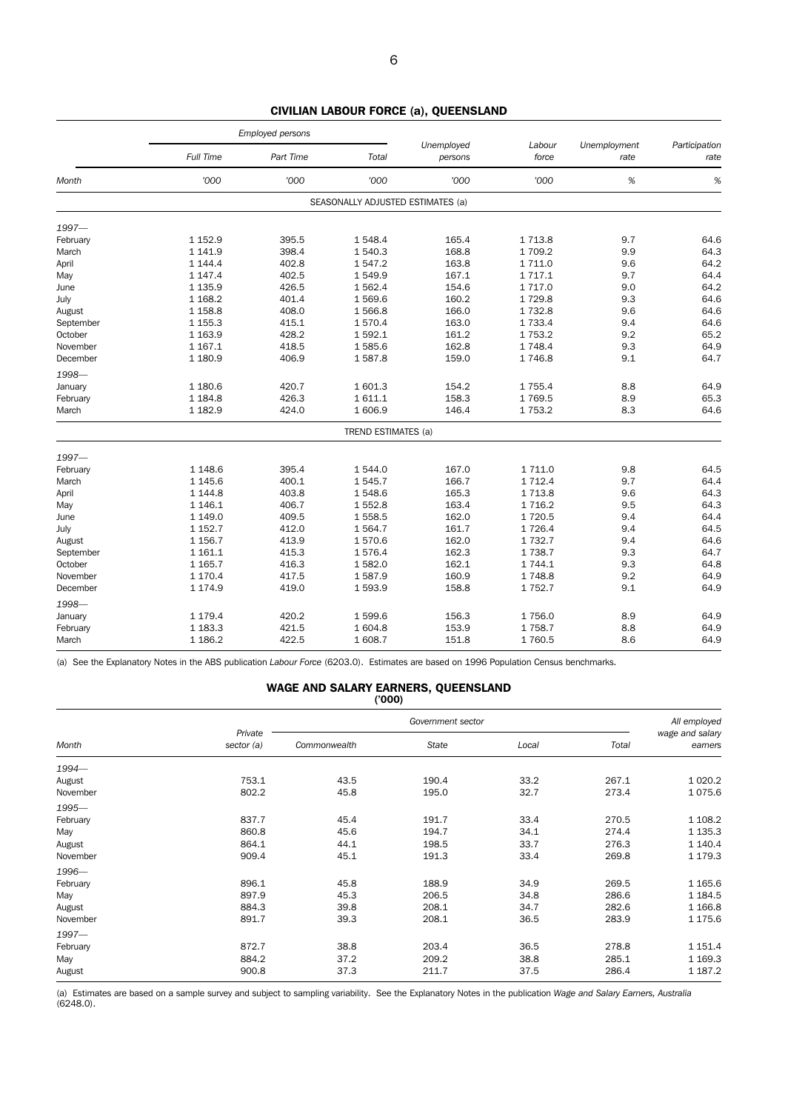|           | Employed persons |           |                                   |                       |                 |                      |                       |
|-----------|------------------|-----------|-----------------------------------|-----------------------|-----------------|----------------------|-----------------------|
|           | Full Time        | Part Time | Total                             | Unemployed<br>persons | Labour<br>force | Unemployment<br>rate | Participation<br>rate |
| Month     | '000             | '000      | '000                              | '000                  | '000            | %                    | %                     |
|           |                  |           | SEASONALLY ADJUSTED ESTIMATES (a) |                       |                 |                      |                       |
| $1997 -$  |                  |           |                                   |                       |                 |                      |                       |
| February  | 1 1 5 2.9        | 395.5     | 1548.4                            | 165.4                 | 1 7 1 3.8       | 9.7                  | 64.6                  |
| March     | 1 141.9          | 398.4     | 1 540.3                           | 168.8                 | 1709.2          | 9.9                  | 64.3                  |
| April     | 1 144.4          | 402.8     | 1547.2                            | 163.8                 | 1 7 1 1.0       | 9.6                  | 64.2                  |
| May       | 1 147.4          | 402.5     | 1549.9                            | 167.1                 | 1 7 1 7 . 1     | 9.7                  | 64.4                  |
| June      | 1 1 3 5.9        | 426.5     | 1562.4                            | 154.6                 | 1 7 1 7 .0      | 9.0                  | 64.2                  |
| July      | 1 1 68.2         | 401.4     | 1569.6                            | 160.2                 | 1729.8          | 9.3                  | 64.6                  |
| August    | 1 1 58.8         | 408.0     | 1566.8                            | 166.0                 | 1732.8          | 9.6                  | 64.6                  |
| September | 1 1 5 5.3        | 415.1     | 1570.4                            | 163.0                 | 1 7 3 3.4       | 9.4                  | 64.6                  |
| October   | 1 1 6 3 . 9      | 428.2     | 1 592.1                           | 161.2                 | 1753.2          | 9.2                  | 65.2                  |
| November  | 1 1 6 7 . 1      | 418.5     | 1585.6                            | 162.8                 | 1 7 4 8.4       | 9.3                  | 64.9                  |
| December  | 1 1 8 0.9        | 406.9     | 1587.8                            | 159.0                 | 1746.8          | 9.1                  | 64.7                  |
| 1998-     |                  |           |                                   |                       |                 |                      |                       |
| January   | 1 180.6          | 420.7     | 1601.3                            | 154.2                 | 1755.4          | 8.8                  | 64.9                  |
| February  | 1 1 8 4 . 8      | 426.3     | 1611.1                            | 158.3                 | 1769.5          | 8.9                  | 65.3                  |
| March     | 1 1 8 2.9        | 424.0     | 1 606.9                           | 146.4                 | 1 7 5 3.2       | 8.3                  | 64.6                  |
|           |                  |           | TREND ESTIMATES (a)               |                       |                 |                      |                       |
| 1997-     |                  |           |                                   |                       |                 |                      |                       |
| February  | 1 1 48.6         | 395.4     | 1 544.0                           | 167.0                 | 1 711.0         | 9.8                  | 64.5                  |
| March     | 1 1 4 5 . 6      | 400.1     | 1545.7                            | 166.7                 | 1 7 1 2.4       | 9.7                  | 64.4                  |
| April     | 1 1 4 4.8        | 403.8     | 1548.6                            | 165.3                 | 1 7 1 3.8       | 9.6                  | 64.3                  |
| May       | 1 1 4 6 . 1      | 406.7     | 1552.8                            | 163.4                 | 1716.2          | 9.5                  | 64.3                  |
| June      | 1 1 4 9 . 0      | 409.5     | 1 558.5                           | 162.0                 | 1720.5          | 9.4                  | 64.4                  |
| July      | 1 1 5 2.7        | 412.0     | 1 5 6 4 . 7                       | 161.7                 | 1726.4          | 9.4                  | 64.5                  |
| August    | 1 1 56.7         | 413.9     | 1570.6                            | 162.0                 | 1 7 3 2.7       | 9.4                  | 64.6                  |
| September | 1 1 6 1 . 1      | 415.3     | 1576.4                            | 162.3                 | 1738.7          | 9.3                  | 64.7                  |
| October   | 1 1 65.7         | 416.3     | 1582.0                            | 162.1                 | 1 744.1         | 9.3                  | 64.8                  |
| November  | 1 170.4          | 417.5     | 1587.9                            | 160.9                 | 1748.8          | 9.2                  | 64.9                  |
| December  | 1 1 7 4 .9       | 419.0     | 1593.9                            | 158.8                 | 1752.7          | 9.1                  | 64.9                  |
| 1998-     |                  |           |                                   |                       |                 |                      |                       |
| January   | 1 179.4          | 420.2     | 1599.6                            | 156.3                 | 1756.0          | 8.9                  | 64.9                  |
| February  | 1 1 8 3 . 3      | 421.5     | 1 604.8                           | 153.9                 | 1758.7          | 8.8                  | 64.9                  |
| March     | 1 1 86.2         | 422.5     | 1 608.7                           | 151.8                 | 1760.5          | 8.6                  | 64.9                  |
|           |                  |           |                                   |                       |                 |                      |                       |

CIVILIAN LABOUR FORCE (a), QUEENSLAND

(a) See the Explanatory Notes in the ABS publication *Labour Force* (6203.0). Estimates are based on 1996 Population Census benchmarks.

WAGE AND SALARY EARNERS, QUEENSLAND

|          | (000)                 |              |       |       |       |                            |  |  |  |  |  |  |  |
|----------|-----------------------|--------------|-------|-------|-------|----------------------------|--|--|--|--|--|--|--|
|          |                       | All employed |       |       |       |                            |  |  |  |  |  |  |  |
| Month    | Private<br>sector (a) | Commonwealth | State | Local | Total | wage and salary<br>earners |  |  |  |  |  |  |  |
| 1994-    |                       |              |       |       |       |                            |  |  |  |  |  |  |  |
| August   | 753.1                 | 43.5         | 190.4 | 33.2  | 267.1 | 1 0 20.2                   |  |  |  |  |  |  |  |
| November | 802.2                 | 45.8         | 195.0 | 32.7  | 273.4 | 1075.6                     |  |  |  |  |  |  |  |
| 1995-    |                       |              |       |       |       |                            |  |  |  |  |  |  |  |
| February | 837.7                 | 45.4         | 191.7 | 33.4  | 270.5 | 1 108.2                    |  |  |  |  |  |  |  |
| May      | 860.8                 | 45.6         | 194.7 | 34.1  | 274.4 | 1 1 3 5 . 3                |  |  |  |  |  |  |  |
| August   | 864.1                 | 44.1         | 198.5 | 33.7  | 276.3 | 1 140.4                    |  |  |  |  |  |  |  |
| November | 909.4                 | 45.1         | 191.3 | 33.4  | 269.8 | 1 179.3                    |  |  |  |  |  |  |  |
| 1996-    |                       |              |       |       |       |                            |  |  |  |  |  |  |  |
| February | 896.1                 | 45.8         | 188.9 | 34.9  | 269.5 | 1 1 65.6                   |  |  |  |  |  |  |  |
| May      | 897.9                 | 45.3         | 206.5 | 34.8  | 286.6 | 1 1 8 4 .5                 |  |  |  |  |  |  |  |
| August   | 884.3                 | 39.8         | 208.1 | 34.7  | 282.6 | 1 1 66.8                   |  |  |  |  |  |  |  |
| November | 891.7                 | 39.3         | 208.1 | 36.5  | 283.9 | 1 175.6                    |  |  |  |  |  |  |  |
| $1997 -$ |                       |              |       |       |       |                            |  |  |  |  |  |  |  |
| February | 872.7                 | 38.8         | 203.4 | 36.5  | 278.8 | 1 1 5 1 . 4                |  |  |  |  |  |  |  |
| May      | 884.2                 | 37.2         | 209.2 | 38.8  | 285.1 | 1 1 69.3                   |  |  |  |  |  |  |  |
| August   | 900.8                 | 37.3         | 211.7 | 37.5  | 286.4 | 1 187.2                    |  |  |  |  |  |  |  |

(a) Estimates are based on a sample survey and subject to sampling variability. See the Explanatory Notes in the publication *Wage and Salary Earners, Australia*  $(6248.0)$ .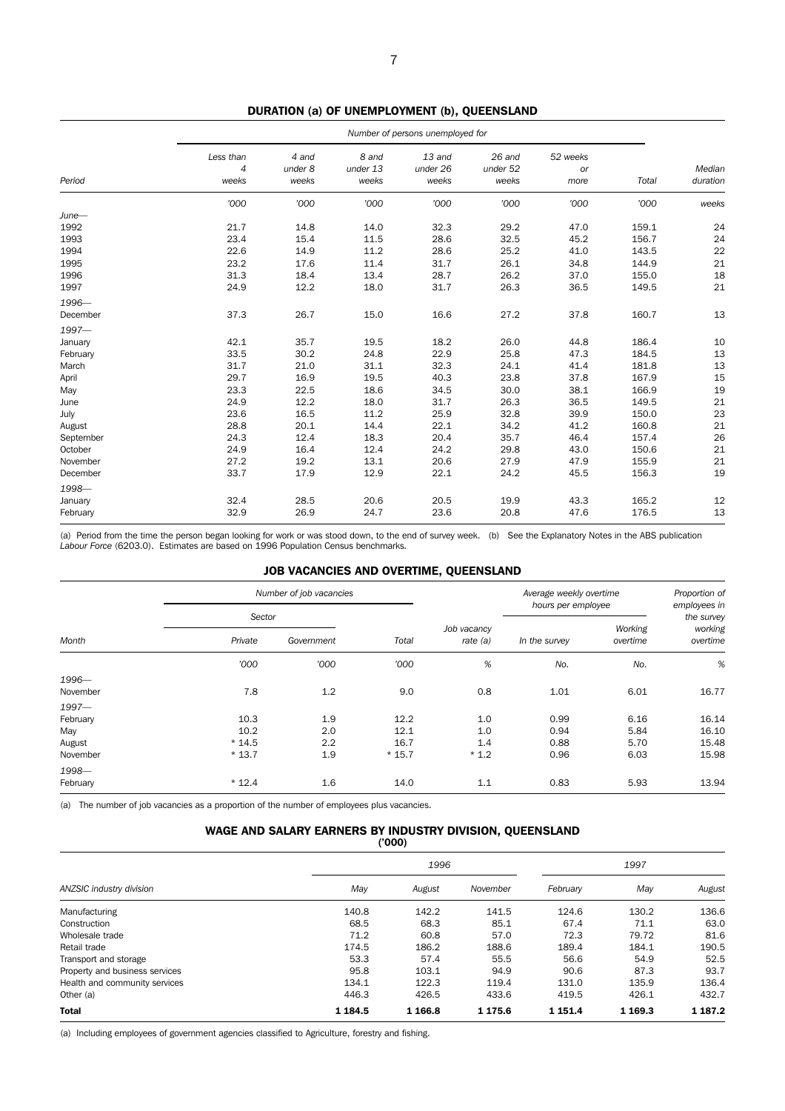|           | Number of persons unemployed for |                           |                            |                             |                             |                               |       |                    |  |
|-----------|----------------------------------|---------------------------|----------------------------|-----------------------------|-----------------------------|-------------------------------|-------|--------------------|--|
| Period    | Less than<br>4<br>weeks          | 4 and<br>under 8<br>weeks | 8 and<br>under 13<br>weeks | 13 and<br>under 26<br>weeks | 26 and<br>under 52<br>weeks | 52 weeks<br><b>or</b><br>more | Total | Median<br>duration |  |
|           | '000                             | '000                      | '000                       | '000                        | '000                        | '000                          | '000  | weeks              |  |
| $June-$   |                                  |                           |                            |                             |                             |                               |       |                    |  |
| 1992      | 21.7                             | 14.8                      | 14.0                       | 32.3                        | 29.2                        | 47.0                          | 159.1 | 24                 |  |
| 1993      | 23.4                             | 15.4                      | 11.5                       | 28.6                        | 32.5                        | 45.2                          | 156.7 | 24                 |  |
| 1994      | 22.6                             | 14.9                      | 11.2                       | 28.6                        | 25.2                        | 41.0                          | 143.5 | 22                 |  |
| 1995      | 23.2                             | 17.6                      | 11.4                       | 31.7                        | 26.1                        | 34.8                          | 144.9 | 21                 |  |
| 1996      | 31.3                             | 18.4                      | 13.4                       | 28.7                        | 26.2                        | 37.0                          | 155.0 | 18                 |  |
| 1997      | 24.9                             | 12.2                      | 18.0                       | 31.7                        | 26.3                        | 36.5                          | 149.5 | 21                 |  |
| 1996-     |                                  |                           |                            |                             |                             |                               |       |                    |  |
| December  | 37.3                             | 26.7                      | 15.0                       | 16.6                        | 27.2                        | 37.8                          | 160.7 | 13                 |  |
| $1997 -$  |                                  |                           |                            |                             |                             |                               |       |                    |  |
| January   | 42.1                             | 35.7                      | 19.5                       | 18.2                        | 26.0                        | 44.8                          | 186.4 | 10                 |  |
| February  | 33.5                             | 30.2                      | 24.8                       | 22.9                        | 25.8                        | 47.3                          | 184.5 | 13                 |  |
| March     | 31.7                             | 21.0                      | 31.1                       | 32.3                        | 24.1                        | 41.4                          | 181.8 | 13                 |  |
| April     | 29.7                             | 16.9                      | 19.5                       | 40.3                        | 23.8                        | 37.8                          | 167.9 | 15                 |  |
| May       | 23.3                             | 22.5                      | 18.6                       | 34.5                        | 30.0                        | 38.1                          | 166.9 | 19                 |  |
| June      | 24.9                             | 12.2                      | 18.0                       | 31.7                        | 26.3                        | 36.5                          | 149.5 | 21                 |  |
| July      | 23.6                             | 16.5                      | 11.2                       | 25.9                        | 32.8                        | 39.9                          | 150.0 | 23                 |  |
| August    | 28.8                             | 20.1                      | 14.4                       | 22.1                        | 34.2                        | 41.2                          | 160.8 | 21                 |  |
| September | 24.3                             | 12.4                      | 18.3                       | 20.4                        | 35.7                        | 46.4                          | 157.4 | 26                 |  |
| October   | 24.9                             | 16.4                      | 12.4                       | 24.2                        | 29.8                        | 43.0                          | 150.6 | 21                 |  |
| November  | 27.2                             | 19.2                      | 13.1                       | 20.6                        | 27.9                        | 47.9                          | 155.9 | 21                 |  |
| December  | 33.7                             | 17.9                      | 12.9                       | 22.1                        | 24.2                        | 45.5                          | 156.3 | 19                 |  |
| 1998-     |                                  |                           |                            |                             |                             |                               |       |                    |  |
| January   | 32.4                             | 28.5                      | 20.6                       | 20.5                        | 19.9                        | 43.3                          | 165.2 | 12                 |  |
| February  | 32.9                             | 26.9                      | 24.7                       | 23.6                        | 20.8                        | 47.6                          | 176.5 | 13                 |  |

DURATION (a) OF UNEMPLOYMENT (b), QUEENSLAND

(a) Period from the time the person began looking for work or was stood down, to the end of survey week. (b) See the Explanatory Notes in the ABS publication *Labour Force* (6203.0). Estimates are based on 1996 Population Census benchmarks.

### JOB VACANCIES AND OVERTIME, QUEENSLAND

| Sector  |            |         |          |                    |          |                            |
|---------|------------|---------|----------|--------------------|----------|----------------------------|
|         |            |         |          | hours per employee |          | employees in<br>the survey |
| Private | Government | Total   | rate (a) | In the survey      | overtime | working<br>overtime        |
| '000    | '000       | '000    | $\%$     | No.                | No.      | %                          |
|         |            |         |          |                    |          |                            |
| 7.8     | 1.2        | 9.0     | 0.8      | 1.01               | 6.01     | 16.77                      |
|         |            |         |          |                    |          |                            |
| 10.3    | 1.9        | 12.2    | 1.0      | 0.99               | 6.16     | 16.14                      |
| 10.2    | 2.0        | 12.1    | 1.0      | 0.94               | 5.84     | 16.10                      |
| $*14.5$ | 2.2        | 16.7    | 1.4      | 0.88               | 5.70     | 15.48                      |
| $*13.7$ | 1.9        | $*15.7$ | $*1.2$   | 0.96               | 6.03     | 15.98                      |
|         |            |         |          |                    |          |                            |
| $*12.4$ | $1.6\,$    | 14.0    | 1.1      | 0.83               | 5.93     | 13.94                      |
|         |            |         |          | Job vacancy        |          | Working                    |

(a) The number of job vacancies as a proportion of the number of employees plus vacancies.

# WAGE AND SALARY EARNERS BY INDUSTRY DIVISION, QUEENSLAND

|                                |            | (000)    |             |             |          |             |
|--------------------------------|------------|----------|-------------|-------------|----------|-------------|
|                                |            | 1996     |             | 1997        |          |             |
| ANZSIC industry division       | May        | August   | November    | February    | May      | August      |
| Manufacturing                  | 140.8      | 142.2    | 141.5       | 124.6       | 130.2    | 136.6       |
| Construction                   | 68.5       | 68.3     | 85.1        | 67.4        | 71.1     | 63.0        |
| Wholesale trade                | 71.2       | 60.8     | 57.0        | 72.3        | 79.72    | 81.6        |
| Retail trade                   | 174.5      | 186.2    | 188.6       | 189.4       | 184.1    | 190.5       |
| Transport and storage          | 53.3       | 57.4     | 55.5        | 56.6        | 54.9     | 52.5        |
| Property and business services | 95.8       | 103.1    | 94.9        | 90.6        | 87.3     | 93.7        |
| Health and community services  | 134.1      | 122.3    | 119.4       | 131.0       | 135.9    | 136.4       |
| Other (a)                      | 446.3      | 426.5    | 433.6       | 419.5       | 426.1    | 432.7       |
| <b>Total</b>                   | 1 1 8 4 .5 | 1 1 66.8 | 1 1 7 5 . 6 | 1 1 5 1 . 4 | 1 1 69.3 | 1 1 8 7 . 2 |

(a) Including employees of government agencies classified to Agriculture, forestry and fishing.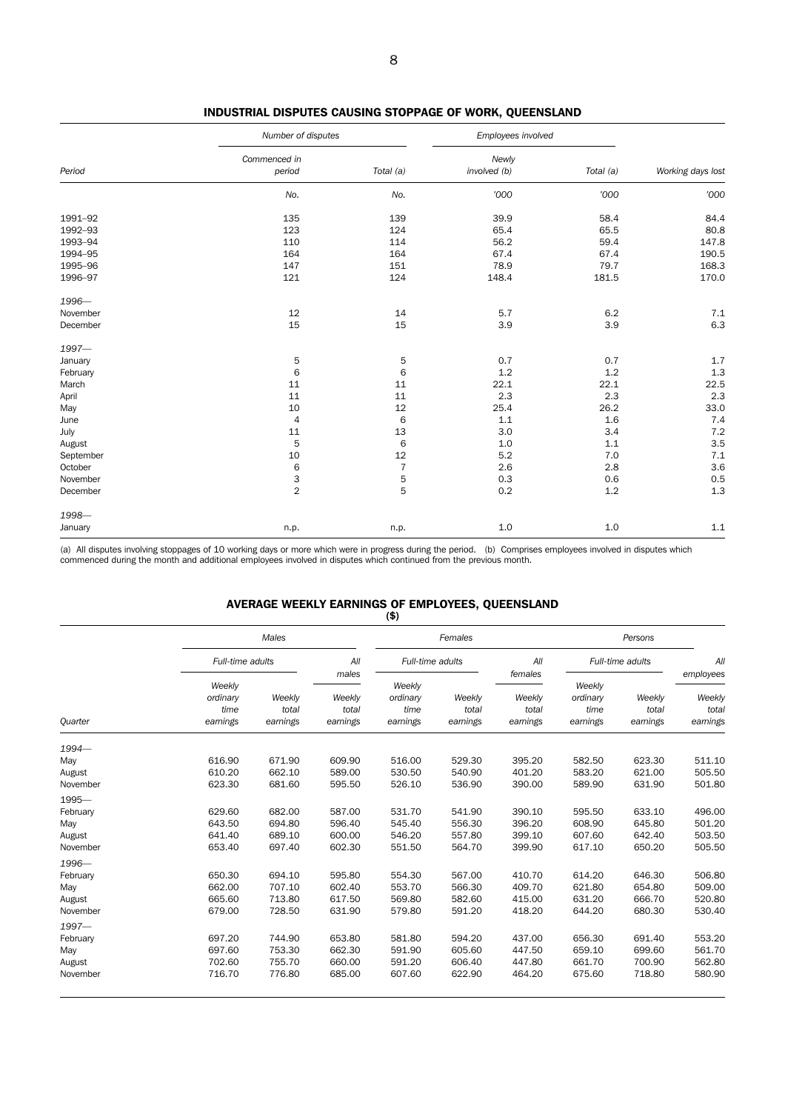|           | Number of disputes                    |                | Employees involved    |           |                   |
|-----------|---------------------------------------|----------------|-----------------------|-----------|-------------------|
| Period    | Commenced in<br>period                | Total (a)      | Newly<br>involved (b) | Total (a) | Working days lost |
|           | No.                                   | No.            | '000                  | '000      | '000              |
| 1991-92   | 135                                   | 139            | 39.9                  | 58.4      | 84.4              |
| 1992-93   | 123                                   | 124            | 65.4                  | 65.5      | 80.8              |
| 1993-94   | 110                                   | 114            | 56.2                  | 59.4      | 147.8             |
| 1994-95   | 164                                   | 164            | 67.4                  | 67.4      | 190.5             |
| 1995-96   | 147                                   | 151            | 78.9                  | 79.7      | 168.3             |
| 1996-97   | 121                                   | 124            | 148.4                 | 181.5     | 170.0             |
| 1996-     |                                       |                |                       |           |                   |
| November  | 12                                    | 14             | 5.7                   | 6.2       | $7.1\,$           |
| December  | 15                                    | 15             | 3.9                   | 3.9       | $6.3\,$           |
| 1997-     |                                       |                |                       |           |                   |
| January   | 5                                     | 5              | 0.7                   | 0.7       | 1.7               |
| February  | 6                                     | 6              | 1.2                   | 1.2       | $1.3\,$           |
| March     | 11                                    | 11             | 22.1                  | 22.1      | 22.5              |
| April     | 11                                    | 11             | 2.3                   | 2.3       | 2.3               |
| May       | 10                                    | 12             | 25.4                  | 26.2      | 33.0              |
| June      | $\overline{4}$                        | 6              | 1.1                   | 1.6       | 7.4               |
| July      | 11                                    | 13             | 3.0                   | 3.4       | 7.2               |
| August    | 5                                     | $\,6$          | 1.0                   | 1.1       | 3.5               |
| September | 10                                    | 12             | 5.2                   | 7.0       | 7.1               |
| October   | 6                                     | $\overline{7}$ | 2.6                   | 2.8       | 3.6               |
| November  |                                       | 5              | 0.3                   | 0.6       | 0.5               |
| December  | $\begin{array}{c} 3 \\ 2 \end{array}$ | 5              | 0.2                   | 1.2       | $1.3\,$           |
| 1998-     |                                       |                |                       |           |                   |
| January   | n.p.                                  | n.p.           | 1.0                   | 1.0       | 1.1               |

# INDUSTRIAL DISPUTES CAUSING STOPPAGE OF WORK, QUEENSLAND

(a) All disputes involving stoppages of 10 working days or more which were in progress during the period. (b) Comprises employees involved in disputes which<br>commenced during the month and additional employees involved in d

# AVERAGE WEEKLY EARNINGS OF EMPLOYEES, QUEENSLAND

|                |                                        |                             |                             | (3)                                    |                             |                             |                                        |                             |                             |
|----------------|----------------------------------------|-----------------------------|-----------------------------|----------------------------------------|-----------------------------|-----------------------------|----------------------------------------|-----------------------------|-----------------------------|
|                |                                        | Males                       |                             |                                        | Females                     |                             |                                        | Persons                     |                             |
|                | Full-time adults                       |                             | All<br>males                | Full-time adults                       |                             | All<br>females              |                                        | Full-time adults            | All<br>employees            |
| <b>Quarter</b> | Weekly<br>ordinary<br>time<br>earnings | Weekly<br>total<br>earnings | Weekly<br>total<br>earnings | Weekly<br>ordinary<br>time<br>earnings | Weekly<br>total<br>earnings | Weekly<br>total<br>earnings | Weekly<br>ordinary<br>time<br>earnings | Weekly<br>total<br>earnings | Weekly<br>total<br>earnings |
| 1994-          |                                        |                             |                             |                                        |                             |                             |                                        |                             |                             |
| May            | 616.90                                 | 671.90                      | 609.90                      | 516.00                                 | 529.30                      | 395.20                      | 582.50                                 | 623.30                      | 511.10                      |
| August         | 610.20                                 | 662.10                      | 589.00                      | 530.50                                 | 540.90                      | 401.20                      | 583.20                                 | 621.00                      | 505.50                      |
| November       | 623.30                                 | 681.60                      | 595.50                      | 526.10                                 | 536.90                      | 390.00                      | 589.90                                 | 631.90                      | 501.80                      |
| 1995-          |                                        |                             |                             |                                        |                             |                             |                                        |                             |                             |
| February       | 629.60                                 | 682.00                      | 587.00                      | 531.70                                 | 541.90                      | 390.10                      | 595.50                                 | 633.10                      | 496.00                      |
| May            | 643.50                                 | 694.80                      | 596.40                      | 545.40                                 | 556.30                      | 396.20                      | 608.90                                 | 645.80                      | 501.20                      |
| August         | 641.40                                 | 689.10                      | 600.00                      | 546.20                                 | 557.80                      | 399.10                      | 607.60                                 | 642.40                      | 503.50                      |
| November       | 653.40                                 | 697.40                      | 602.30                      | 551.50                                 | 564.70                      | 399.90                      | 617.10                                 | 650.20                      | 505.50                      |
| 1996-          |                                        |                             |                             |                                        |                             |                             |                                        |                             |                             |
| February       | 650.30                                 | 694.10                      | 595.80                      | 554.30                                 | 567.00                      | 410.70                      | 614.20                                 | 646.30                      | 506.80                      |
| May            | 662.00                                 | 707.10                      | 602.40                      | 553.70                                 | 566.30                      | 409.70                      | 621.80                                 | 654.80                      | 509.00                      |
| August         | 665.60                                 | 713.80                      | 617.50                      | 569.80                                 | 582.60                      | 415.00                      | 631.20                                 | 666.70                      | 520.80                      |
| November       | 679.00                                 | 728.50                      | 631.90                      | 579.80                                 | 591.20                      | 418.20                      | 644.20                                 | 680.30                      | 530.40                      |
| $1997 -$       |                                        |                             |                             |                                        |                             |                             |                                        |                             |                             |
| February       | 697.20                                 | 744.90                      | 653.80                      | 581.80                                 | 594.20                      | 437.00                      | 656.30                                 | 691.40                      | 553.20                      |
| May            | 697.60                                 | 753.30                      | 662.30                      | 591.90                                 | 605.60                      | 447.50                      | 659.10                                 | 699.60                      | 561.70                      |
| August         | 702.60                                 | 755.70                      | 660.00                      | 591.20                                 | 606.40                      | 447.80                      | 661.70                                 | 700.90                      | 562.80                      |
| November       | 716.70                                 | 776.80                      | 685.00                      | 607.60                                 | 622.90                      | 464.20                      | 675.60                                 | 718.80                      | 580.90                      |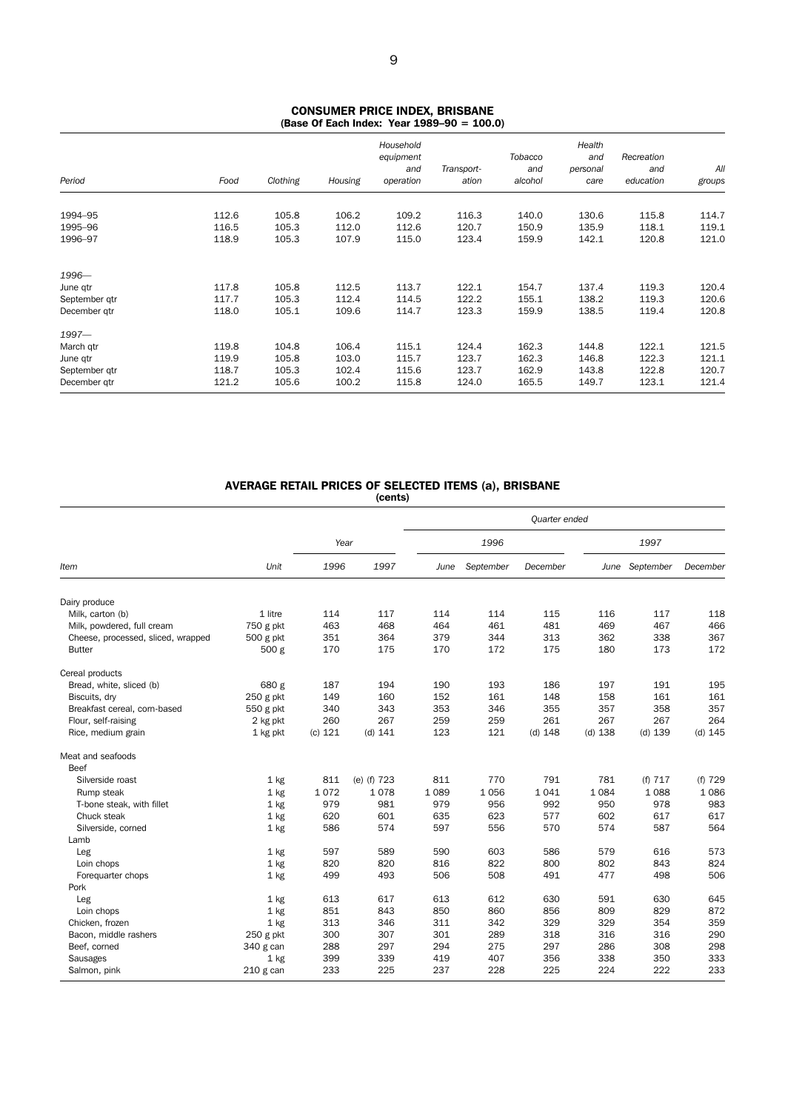#### CONSUMER PRICE INDEX, BRISBANE (Base Of Each Index: Year 1989–90 = 100.0)

| Period        | Food  | Clothing | Housing | Household<br>equipment<br>and<br>operation | Transport-<br>ation | Tobacco<br>and<br>alcohol | Health<br>and<br>personal<br>care | Recreation<br>and<br>education | All<br>groups |
|---------------|-------|----------|---------|--------------------------------------------|---------------------|---------------------------|-----------------------------------|--------------------------------|---------------|
|               |       |          |         |                                            |                     |                           |                                   |                                |               |
| 1994-95       | 112.6 | 105.8    | 106.2   | 109.2                                      | 116.3               | 140.0                     | 130.6                             | 115.8                          | 114.7         |
| 1995-96       | 116.5 | 105.3    | 112.0   | 112.6                                      | 120.7               | 150.9                     | 135.9                             | 118.1                          | 119.1         |
| 1996-97       | 118.9 | 105.3    | 107.9   | 115.0                                      | 123.4               | 159.9                     | 142.1                             | 120.8                          | 121.0         |
| 1996-         |       |          |         |                                            |                     |                           |                                   |                                |               |
| June qtr      | 117.8 | 105.8    | 112.5   | 113.7                                      | 122.1               | 154.7                     | 137.4                             | 119.3                          | 120.4         |
| September qtr | 117.7 | 105.3    | 112.4   | 114.5                                      | 122.2               | 155.1                     | 138.2                             | 119.3                          | 120.6         |
| December gtr  | 118.0 | 105.1    | 109.6   | 114.7                                      | 123.3               | 159.9                     | 138.5                             | 119.4                          | 120.8         |
| $1997 -$      |       |          |         |                                            |                     |                           |                                   |                                |               |
| March qtr     | 119.8 | 104.8    | 106.4   | 115.1                                      | 124.4               | 162.3                     | 144.8                             | 122.1                          | 121.5         |
| June gtr      | 119.9 | 105.8    | 103.0   | 115.7                                      | 123.7               | 162.3                     | 146.8                             | 122.3                          | 121.1         |
| September qtr | 118.7 | 105.3    | 102.4   | 115.6                                      | 123.7               | 162.9                     | 143.8                             | 122.8                          | 120.7         |
| December gtr  | 121.2 | 105.6    | 100.2   | 115.8                                      | 124.0               | 165.5                     | 149.7                             | 123.1                          | 121.4         |

# AVERAGE RETAIL PRICES OF SELECTED ITEMS (a), BRISBANE

(cents)

|                                    |             |         |             |         |           | Quarter ended |           |                |           |
|------------------------------------|-------------|---------|-------------|---------|-----------|---------------|-----------|----------------|-----------|
|                                    |             | Year    |             |         | 1996      |               |           | 1997           |           |
| ltem                               | Unit        | 1996    | 1997        | June    | September | December      |           | June September | December  |
| Dairy produce                      |             |         |             |         |           |               |           |                |           |
| Milk, carton (b)                   | 1 litre     | 114     | 117         | 114     | 114       | 115           | 116       | 117            | 118       |
| Milk, powdered, full cream         | 750 g pkt   | 463     | 468         | 464     | 461       | 481           | 469       | 467            | 466       |
| Cheese, processed, sliced, wrapped | 500 g pkt   | 351     | 364         | 379     | 344       | 313           | 362       | 338            | 367       |
| <b>Butter</b>                      | 500 g       | 170     | 175         | 170     | 172       | 175           | 180       | 173            | 172       |
| Cereal products                    |             |         |             |         |           |               |           |                |           |
| Bread, white, sliced (b)           | 680 g       | 187     | 194         | 190     | 193       | 186           | 197       | 191            | 195       |
| Biscuits, dry                      | $250$ g pkt | 149     | 160         | 152     | 161       | 148           | 158       | 161            | 161       |
| Breakfast cereal, corn-based       | 550 g pkt   | 340     | 343         | 353     | 346       | 355           | 357       | 358            | 357       |
| Flour, self-raising                | 2 kg pkt    | 260     | 267         | 259     | 259       | 261           | 267       | 267            | 264       |
| Rice, medium grain                 | 1 kg pkt    | (c) 121 | (d) 141     | 123     | 121       | $(d)$ 148     | $(d)$ 138 | $(d)$ 139      | $(d)$ 145 |
|                                    |             |         |             |         |           |               |           |                |           |
| Meat and seafoods                  |             |         |             |         |           |               |           |                |           |
| Beef                               |             |         |             |         |           |               |           |                |           |
| Silverside roast                   | $1$ kg      | 811     | (e) (f) 723 | 811     | 770       | 791           | 781       | (f) 717        | (f) 729   |
| Rump steak                         | $1$ kg      | 1072    | 1078        | 1 0 8 9 | 1 0 5 6   | 1041          | 1 0 8 4   | 1 0 8 8        | 1086      |
| T-bone steak, with fillet          | $1$ kg      | 979     | 981         | 979     | 956       | 992           | 950       | 978            | 983       |
| Chuck steak                        | $1$ kg      | 620     | 601         | 635     | 623       | 577           | 602       | 617            | 617       |
| Silverside, corned                 | $1$ kg      | 586     | 574         | 597     | 556       | 570           | 574       | 587            | 564       |
| Lamb                               |             |         |             |         |           |               |           |                |           |
| Leg                                | $1$ kg      | 597     | 589         | 590     | 603       | 586           | 579       | 616            | 573       |
| Loin chops                         | $1$ kg      | 820     | 820         | 816     | 822       | 800           | 802       | 843            | 824       |
| Foreguarter chops                  | $1$ kg      | 499     | 493         | 506     | 508       | 491           | 477       | 498            | 506       |
| Pork                               |             |         |             |         |           |               |           |                |           |
| Leg                                | $1$ kg      | 613     | 617         | 613     | 612       | 630           | 591       | 630            | 645       |
| Loin chops                         | $1$ kg      | 851     | 843         | 850     | 860       | 856           | 809       | 829            | 872       |
| Chicken, frozen                    | $1$ kg      | 313     | 346         | 311     | 342       | 329           | 329       | 354            | 359       |
| Bacon, middle rashers              | 250 g pkt   | 300     | 307         | 301     | 289       | 318           | 316       | 316            | 290       |
| Beef, corned                       | 340 g can   | 288     | 297         | 294     | 275       | 297           | 286       | 308            | 298       |
| Sausages                           | $1$ kg      | 399     | 339         | 419     | 407       | 356           | 338       | 350            | 333       |
| Salmon, pink                       | $210$ g can | 233     | 225         | 237     | 228       | 225           | 224       | 222            | 233       |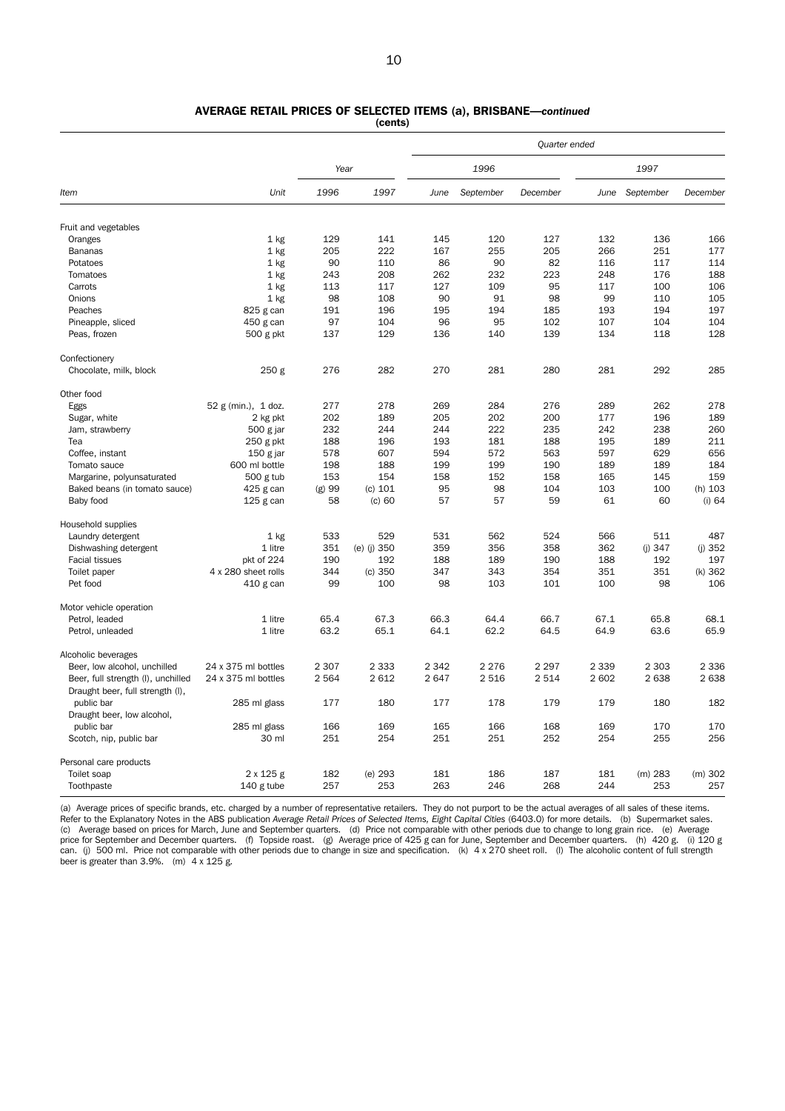# AVERAGE RETAIL PRICES OF SELECTED ITEMS (a), BRISBANE—*continued*

(cents)

|                                    |                     |         |             |         |           | Quarter ended |         |           |           |
|------------------------------------|---------------------|---------|-------------|---------|-----------|---------------|---------|-----------|-----------|
|                                    |                     | Year    |             |         | 1996      |               |         | 1997      |           |
| Item                               | Unit                | 1996    | 1997        | June    | September | December      | June    | September | December  |
| Fruit and vegetables               |                     |         |             |         |           |               |         |           |           |
| Oranges                            | $1$ kg              | 129     | 141         | 145     | 120       | 127           | 132     | 136       | 166       |
| Bananas                            | 1 <sub>kg</sub>     | 205     | 222         | 167     | 255       | 205           | 266     | 251       | 177       |
| Potatoes                           | 1 kg                | 90      | 110         | 86      | 90        | 82            | 116     | 117       | 114       |
| Tomatoes                           | $1$ kg              | 243     | 208         | 262     | 232       | 223           | 248     | 176       | 188       |
| Carrots                            | $1$ kg              | 113     | 117         | 127     | 109       | 95            | 117     | 100       | 106       |
| Onions                             | 1 kg                | 98      | 108         | 90      | 91        | 98            | 99      | 110       | 105       |
| Peaches                            | 825 g can           | 191     | 196         | 195     | 194       | 185           | 193     | 194       | 197       |
| Pineapple, sliced                  | 450 g can           | 97      | 104         | 96      | 95        | 102           | 107     | 104       | 104       |
| Peas, frozen                       | 500 g pkt           | 137     | 129         | 136     | 140       | 139           | 134     | 118       | 128       |
| Confectionery                      |                     |         |             |         |           |               |         |           |           |
| Chocolate, milk, block             | 250 <sub>g</sub>    | 276     | 282         | 270     | 281       | 280           | 281     | 292       | 285       |
| Other food                         |                     |         |             |         |           |               |         |           |           |
| Eggs                               | 52 g (min.), 1 doz. | 277     | 278         | 269     | 284       | 276           | 289     | 262       | 278       |
| Sugar, white                       | 2 kg pkt            | 202     | 189         | 205     | 202       | 200           | 177     | 196       | 189       |
| Jam, strawberry                    | 500 g jar           | 232     | 244         | 244     | 222       | 235           | 242     | 238       | 260       |
| Tea                                | $250$ g pkt         | 188     | 196         | 193     | 181       | 188           | 195     | 189       | 211       |
| Coffee, instant                    | 150 g jar           | 578     | 607         | 594     | 572       | 563           | 597     | 629       | 656       |
| Tomato sauce                       | 600 ml bottle       | 198     | 188         | 199     | 199       | 190           | 189     | 189       | 184       |
| Margarine, polyunsaturated         | $500$ g tub         | 153     | 154         | 158     | 152       | 158           | 165     | 145       | 159       |
| Baked beans (in tomato sauce)      | 425 g can           | (g) 99  | (c) 101     | 95      | 98        | 104           | 103     | 100       | (h) 103   |
| Baby food                          | $125$ g can         | 58      | $(c)$ 60    | 57      | 57        | 59            | 61      | 60        | $(i)$ 64  |
| Household supplies                 |                     |         |             |         |           |               |         |           |           |
| Laundry detergent                  | 1 kg                | 533     | 529         | 531     | 562       | 524           | 566     | 511       | 487       |
| Dishwashing detergent              | 1 litre             | 351     | (e) (j) 350 | 359     | 356       | 358           | 362     | (i) 347   | (i) 352   |
| <b>Facial tissues</b>              | pkt of 224          | 190     | 192         | 188     | 189       | 190           | 188     | 192       | 197       |
| Toilet paper                       | 4 x 280 sheet rolls | 344     | (c) 350     | 347     | 343       | 354           | 351     | 351       | (k) 362   |
| Pet food                           | 410 g can           | 99      | 100         | 98      | 103       | 101           | 100     | 98        | 106       |
| Motor vehicle operation            |                     |         |             |         |           |               |         |           |           |
| Petrol, leaded                     | 1 litre             | 65.4    | 67.3        | 66.3    | 64.4      | 66.7          | 67.1    | 65.8      | 68.1      |
| Petrol, unleaded                   | 1 litre             | 63.2    | 65.1        | 64.1    | 62.2      | 64.5          | 64.9    | 63.6      | 65.9      |
| Alcoholic beverages                |                     |         |             |         |           |               |         |           |           |
| Beer, low alcohol, unchilled       | 24 x 375 ml bottles | 2 3 0 7 | 2 3 3 3     | 2 3 4 2 | 2 2 7 6   | 2 2 9 7       | 2 3 3 9 | 2 3 0 3   | 2 3 3 6   |
| Beer, full strength (I), unchilled | 24 x 375 ml bottles | 2 5 6 4 | 2 6 1 2     | 2647    | 2 5 1 6   | 2 5 1 4       | 2 602   | 2638      | 2 638     |
| Draught beer, full strength (I),   |                     |         |             |         |           |               |         |           |           |
| public bar                         | 285 ml glass        | 177     | 180         | 177     | 178       | 179           | 179     | 180       | 182       |
| Draught beer, low alcohol,         |                     |         |             |         |           |               |         |           |           |
| public bar                         | 285 ml glass        | 166     | 169         | 165     | 166       | 168           | 169     | 170       | 170       |
| Scotch, nip, public bar            | 30 ml               | 251     | 254         | 251     | 251       | 252           | 254     | 255       | 256       |
| Personal care products             |                     |         |             |         |           |               |         |           |           |
| Toilet soap                        | $2 \times 125$ g    | 182     | (e) 293     | 181     | 186       | 187           | 181     | $(m)$ 283 | $(m)$ 302 |
| Toothpaste                         | 140 g tube          | 257     | 253         | 263     | 246       | 268           | 244     | 253       | 257       |

(a) Average prices of specific brands, etc. charged by a number of representative retailers. They do not purport to be the actual averages of all sales of these items. Refer to the Explanatory Notes in the ABS publication *Average Retail Prices of Selected Items, Eight Capital Cities* (6403.0) for more details. (b) Supermarket sales. (c) Average based on prices for March, June and September quarters. (d) Price not comparable with other periods due to change to long grain rice. (e) Average<br>price for September and December quarters. (f) Topside roast. (g can. (j) 500 ml. Price not comparable with other periods due to change in size and specification. (k)  $4 \times 270$  sheet roll. (l) The alcoholic content of full strength beer is greater than 3.9%. (m) 4 x 125 g.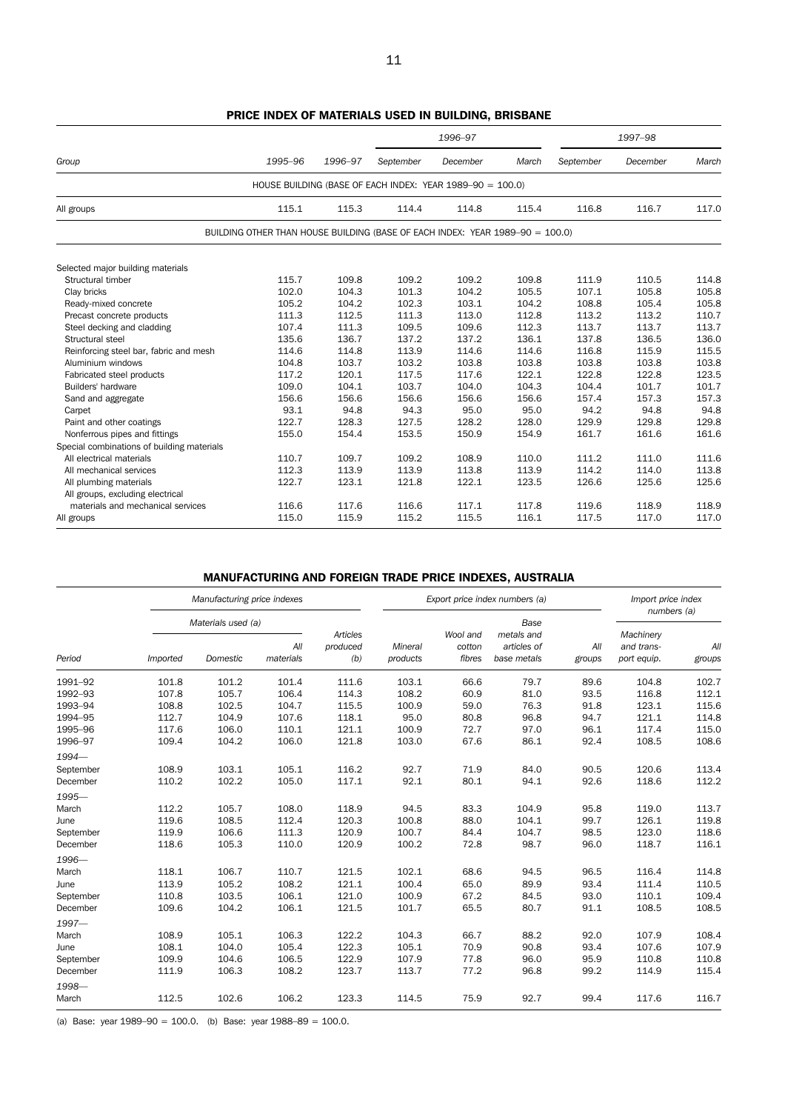|                                            |                                                                               |         |           | 1996-97                                                   |       |           | 1997-98  |       |
|--------------------------------------------|-------------------------------------------------------------------------------|---------|-----------|-----------------------------------------------------------|-------|-----------|----------|-------|
| Group                                      | 1995-96                                                                       | 1996-97 | September | December                                                  | March | September | December | March |
|                                            |                                                                               |         |           | HOUSE BUILDING (BASE OF EACH INDEX: YEAR 1989-90 = 100.0) |       |           |          |       |
| All groups                                 | 115.1                                                                         | 115.3   | 114.4     | 114.8                                                     | 115.4 | 116.8     | 116.7    | 117.0 |
|                                            | BUILDING OTHER THAN HOUSE BUILDING (BASE OF EACH INDEX: YEAR 1989-90 = 100.0) |         |           |                                                           |       |           |          |       |
| Selected major building materials          |                                                                               |         |           |                                                           |       |           |          |       |
| Structural timber                          | 115.7                                                                         | 109.8   | 109.2     | 109.2                                                     | 109.8 | 111.9     | 110.5    | 114.8 |
| Clay bricks                                | 102.0                                                                         | 104.3   | 101.3     | 104.2                                                     | 105.5 | 107.1     | 105.8    | 105.8 |
| Ready-mixed concrete                       | 105.2                                                                         | 104.2   | 102.3     | 103.1                                                     | 104.2 | 108.8     | 105.4    | 105.8 |
| Precast concrete products                  | 111.3                                                                         | 112.5   | 111.3     | 113.0                                                     | 112.8 | 113.2     | 113.2    | 110.7 |
| Steel decking and cladding                 | 107.4                                                                         | 111.3   | 109.5     | 109.6                                                     | 112.3 | 113.7     | 113.7    | 113.7 |
| Structural steel                           | 135.6                                                                         | 136.7   | 137.2     | 137.2                                                     | 136.1 | 137.8     | 136.5    | 136.0 |
| Reinforcing steel bar, fabric and mesh     | 114.6                                                                         | 114.8   | 113.9     | 114.6                                                     | 114.6 | 116.8     | 115.9    | 115.5 |
| Aluminium windows                          | 104.8                                                                         | 103.7   | 103.2     | 103.8                                                     | 103.8 | 103.8     | 103.8    | 103.8 |
| Fabricated steel products                  | 117.2                                                                         | 120.1   | 117.5     | 117.6                                                     | 122.1 | 122.8     | 122.8    | 123.5 |
| Builders' hardware                         | 109.0                                                                         | 104.1   | 103.7     | 104.0                                                     | 104.3 | 104.4     | 101.7    | 101.7 |
| Sand and aggregate                         | 156.6                                                                         | 156.6   | 156.6     | 156.6                                                     | 156.6 | 157.4     | 157.3    | 157.3 |
| Carpet                                     | 93.1                                                                          | 94.8    | 94.3      | 95.0                                                      | 95.0  | 94.2      | 94.8     | 94.8  |
| Paint and other coatings                   | 122.7                                                                         | 128.3   | 127.5     | 128.2                                                     | 128.0 | 129.9     | 129.8    | 129.8 |
| Nonferrous pipes and fittings              | 155.0                                                                         | 154.4   | 153.5     | 150.9                                                     | 154.9 | 161.7     | 161.6    | 161.6 |
| Special combinations of building materials |                                                                               |         |           |                                                           |       |           |          |       |
| All electrical materials                   | 110.7                                                                         | 109.7   | 109.2     | 108.9                                                     | 110.0 | 111.2     | 111.0    | 111.6 |
| All mechanical services                    | 112.3                                                                         | 113.9   | 113.9     | 113.8                                                     | 113.9 | 114.2     | 114.0    | 113.8 |
| All plumbing materials                     | 122.7                                                                         | 123.1   | 121.8     | 122.1                                                     | 123.5 | 126.6     | 125.6    | 125.6 |
| All groups, excluding electrical           |                                                                               |         |           |                                                           |       |           |          |       |
| materials and mechanical services          | 116.6                                                                         | 117.6   | 116.6     | 117.1                                                     | 117.8 | 119.6     | 118.9    | 118.9 |
| All groups                                 | 115.0                                                                         | 115.9   | 115.2     | 115.5                                                     | 116.1 | 117.5     | 117.0    | 117.0 |

# PRICE INDEX OF MATERIALS USED IN BUILDING, BRISBANE

# MANUFACTURING AND FOREIGN TRADE PRICE INDEXES, AUSTRALIA

|                                |                 | Manufacturing price indexes    |                  |                             |                     |                              | Export price index numbers (a)                   |               | Import price index<br>numbers (a)      |                |
|--------------------------------|-----------------|--------------------------------|------------------|-----------------------------|---------------------|------------------------------|--------------------------------------------------|---------------|----------------------------------------|----------------|
| Period                         | <i>Imported</i> | Materials used (a)<br>Domestic | All<br>materials | Articles<br>produced<br>(b) | Mineral<br>products | Wool and<br>cotton<br>fibres | Base<br>metals and<br>articles of<br>base metals | All<br>groups | Machinery<br>and trans-<br>port equip. | All<br>groups  |
| 1991-92                        | 101.8           | 101.2                          | 101.4            | 111.6                       | 103.1               | 66.6                         | 79.7                                             | 89.6          | 104.8                                  | 102.7          |
| 1992-93                        | 107.8           | 105.7                          | 106.4            | 114.3                       | 108.2               | 60.9                         | 81.0                                             | 93.5          | 116.8                                  | 112.1          |
| 1993-94                        | 108.8           | 102.5                          | 104.7            | 115.5                       | 100.9               | 59.0                         | 76.3                                             | 91.8          | 123.1                                  | 115.6          |
| 1994-95                        | 112.7           | 104.9                          | 107.6            | 118.1                       | 95.0                | 80.8                         | 96.8                                             | 94.7          | 121.1                                  | 114.8          |
| 1995-96                        | 117.6           | 106.0                          | 110.1            | 121.1                       | 100.9               | 72.7                         | 97.0                                             | 96.1          | 117.4                                  | 115.0          |
| 1996-97                        | 109.4           | 104.2                          | 106.0            | 121.8                       | 103.0               | 67.6                         | 86.1                                             | 92.4          | 108.5                                  | 108.6          |
| 1994-<br>September<br>December | 108.9<br>110.2  | 103.1<br>102.2                 | 105.1<br>105.0   | 116.2<br>117.1              | 92.7<br>92.1        | 71.9<br>80.1                 | 84.0<br>94.1                                     | 90.5<br>92.6  | 120.6<br>118.6                         | 113.4<br>112.2 |
| 1995-                          |                 |                                |                  |                             |                     |                              |                                                  |               |                                        |                |
| March                          | 112.2           | 105.7                          | 108.0            | 118.9                       | 94.5                | 83.3                         | 104.9                                            | 95.8          | 119.0                                  | 113.7          |
| June                           | 119.6           | 108.5                          | 112.4            | 120.3                       | 100.8               | 88.0                         | 104.1                                            | 99.7          | 126.1                                  | 119.8          |
| September                      | 119.9           | 106.6                          | 111.3            | 120.9                       | 100.7               | 84.4                         | 104.7                                            | 98.5          | 123.0                                  | 118.6          |
| December                       | 118.6           | 105.3                          | 110.0            | 120.9                       | 100.2               | 72.8                         | 98.7                                             | 96.0          | 118.7                                  | 116.1          |
| 1996-                          |                 |                                |                  |                             |                     |                              |                                                  |               |                                        |                |
| March                          | 118.1           | 106.7                          | 110.7            | 121.5                       | 102.1               | 68.6                         | 94.5                                             | 96.5          | 116.4                                  | 114.8          |
| June                           | 113.9           | 105.2                          | 108.2            | 121.1                       | 100.4               | 65.0                         | 89.9                                             | 93.4          | 111.4                                  | 110.5          |
| September                      | 110.8           | 103.5                          | 106.1            | 121.0                       | 100.9               | 67.2                         | 84.5                                             | 93.0          | 110.1                                  | 109.4          |
| December                       | 109.6           | 104.2                          | 106.1            | 121.5                       | 101.7               | 65.5                         | 80.7                                             | 91.1          | 108.5                                  | 108.5          |
| 1997-                          |                 |                                |                  |                             |                     |                              |                                                  |               |                                        |                |
| March                          | 108.9           | 105.1                          | 106.3            | 122.2                       | 104.3               | 66.7                         | 88.2                                             | 92.0          | 107.9                                  | 108.4          |
| June                           | 108.1           | 104.0                          | 105.4            | 122.3                       | 105.1               | 70.9                         | 90.8                                             | 93.4          | 107.6                                  | 107.9          |
| September                      | 109.9           | 104.6                          | 106.5            | 122.9                       | 107.9               | 77.8                         | 96.0                                             | 95.9          | 110.8                                  | 110.8          |
| December                       | 111.9           | 106.3                          | 108.2            | 123.7                       | 113.7               | 77.2                         | 96.8                                             | 99.2          | 114.9                                  | 115.4          |
| 1998-                          |                 |                                |                  |                             |                     |                              |                                                  |               |                                        |                |
| March                          | 112.5           | 102.6                          | 106.2            | 123.3                       | 114.5               | 75.9                         | 92.7                                             | 99.4          | 117.6                                  | 116.7          |

(a) Base: year  $1989-90 = 100.0$ . (b) Base: year  $1988-89 = 100.0$ .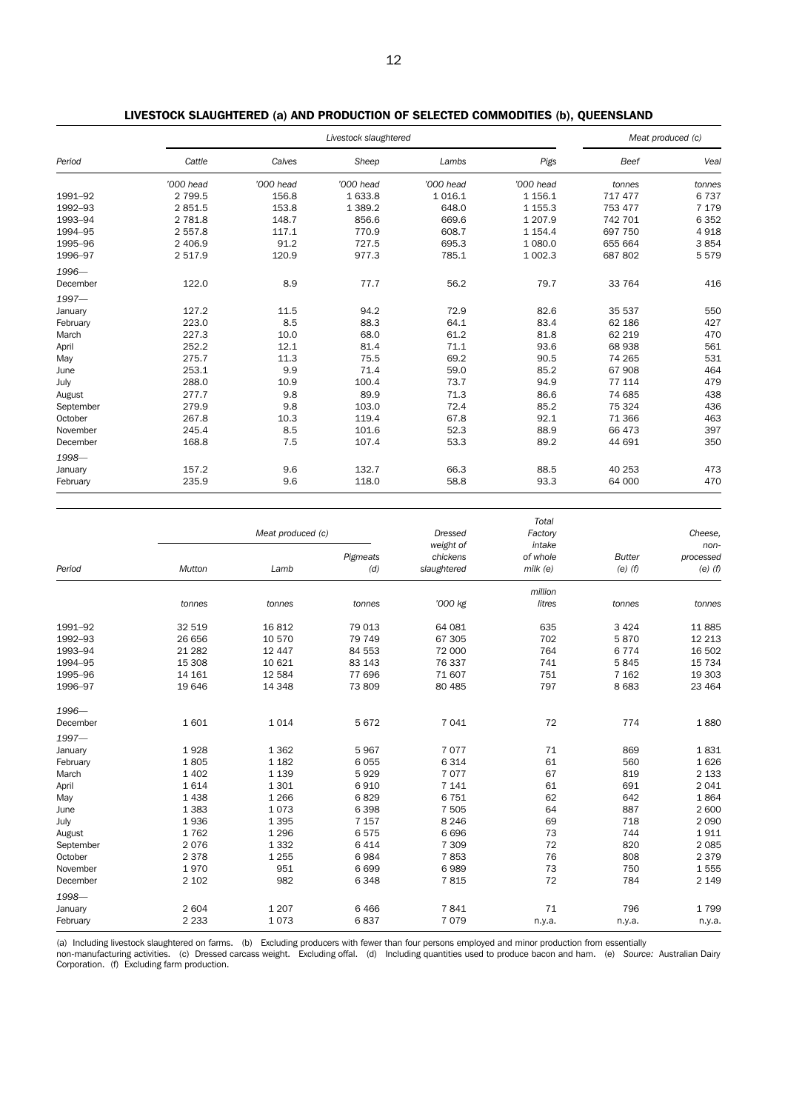|           |           |           | Livestock slaughtered |           |             | Meat produced (c) |         |
|-----------|-----------|-----------|-----------------------|-----------|-------------|-------------------|---------|
| Period    | Cattle    | Calves    | Sheep                 | Lambs     | Pigs        | Beef              | Veal    |
|           | '000 head | '000 head | '000 head             | '000 head | '000 head   | tonnes            | tonnes  |
| 1991-92   | 2 7 9 9.5 | 156.8     | 1 633.8               | 1016.1    | 1 1 5 6.1   | 717 477           | 6737    |
| 1992-93   | 2851.5    | 153.8     | 1 3 8 9.2             | 648.0     | 1 1 5 5 . 3 | 753 477           | 7 1 7 9 |
| 1993-94   | 2 781.8   | 148.7     | 856.6                 | 669.6     | 1 207.9     | 742 701           | 6 3 5 2 |
| 1994-95   | 2 557.8   | 117.1     | 770.9                 | 608.7     | 1 1 5 4 . 4 | 697 750           | 4918    |
| 1995-96   | 2 406.9   | 91.2      | 727.5                 | 695.3     | 1 080.0     | 655 664           | 3854    |
| 1996-97   | 2 517.9   | 120.9     | 977.3                 | 785.1     | 1 002.3     | 687 802           | 5579    |
| 1996-     |           |           |                       |           |             |                   |         |
| December  | 122.0     | 8.9       | 77.7                  | 56.2      | 79.7        | 33 764            | 416     |
| 1997-     |           |           |                       |           |             |                   |         |
| January   | 127.2     | 11.5      | 94.2                  | 72.9      | 82.6        | 35 537            | 550     |
| February  | 223.0     | 8.5       | 88.3                  | 64.1      | 83.4        | 62 186            | 427     |
| March     | 227.3     | 10.0      | 68.0                  | 61.2      | 81.8        | 62 219            | 470     |
| April     | 252.2     | 12.1      | 81.4                  | 71.1      | 93.6        | 68 938            | 561     |
| May       | 275.7     | 11.3      | 75.5                  | 69.2      | 90.5        | 74 265            | 531     |
| June      | 253.1     | 9.9       | 71.4                  | 59.0      | 85.2        | 67 908            | 464     |
| July      | 288.0     | 10.9      | 100.4                 | 73.7      | 94.9        | 77 114            | 479     |
| August    | 277.7     | 9.8       | 89.9                  | 71.3      | 86.6        | 74 685            | 438     |
| September | 279.9     | 9.8       | 103.0                 | 72.4      | 85.2        | 75 324            | 436     |
| October   | 267.8     | 10.3      | 119.4                 | 67.8      | 92.1        | 71 366            | 463     |
| November  | 245.4     | 8.5       | 101.6                 | 52.3      | 88.9        | 66 473            | 397     |
| December  | 168.8     | 7.5       | 107.4                 | 53.3      | 89.2        | 44 691            | 350     |
| 1998-     |           |           |                       |           |             |                   |         |
| January   | 157.2     | 9.6       | 132.7                 | 66.3      | 88.5        | 40 253            | 473     |
| February  | 235.9     | 9.6       | 118.0                 | 58.8      | 93.3        | 64 000            | 470     |

|  |  | LIVESTOCK SLAUGHTERED (a) AND PRODUCTION OF SELECTED COMMODITIES (b), QUEENSLAND |  |
|--|--|----------------------------------------------------------------------------------|--|
|--|--|----------------------------------------------------------------------------------|--|

|           |          | Meat produced (c) |                 | <b>Dressed</b>                       | Total<br>Factory                  | Cheese.                      |                                    |
|-----------|----------|-------------------|-----------------|--------------------------------------|-----------------------------------|------------------------------|------------------------------------|
| Period    | Mutton   | Lamb              | Pigmeats<br>(d) | weight of<br>chickens<br>slaughtered | intake<br>of whole<br>$m$ ilk (e) | <b>Butter</b><br>$(e)$ $(f)$ | $non-$<br>processed<br>$(e)$ $(f)$ |
|           |          |                   |                 |                                      | million                           |                              |                                    |
|           | tonnes   | tonnes            | tonnes          | '000 kg                              | litres                            | tonnes                       | tonnes                             |
| 1991-92   | 32 519   | 16812             | 79 013          | 64 081                               | 635                               | 3 4 2 4                      | 11885                              |
| 1992-93   | 26 656   | 10 570            | 79 749          | 67 305                               | 702                               | 5870                         | 12 2 13                            |
| 1993-94   | 21 2 8 2 | 12 447            | 84 553          | 72 000                               | 764                               | 6 7 7 4                      | 16 502                             |
| 1994-95   | 15 308   | 10 621            | 83 143          | 76 337                               | 741                               | 5845                         | 15 7 34                            |
| 1995-96   | 14 16 1  | 12 5 84           | 77 696          | 71 607                               | 751                               | 7 1 6 2                      | 19 303                             |
| 1996-97   | 19 646   | 14 348            | 73 809          | 80 4 85                              | 797                               | 8 6 8 3                      | 23 4 64                            |
| 1996-     |          |                   |                 |                                      |                                   |                              |                                    |
| December  | 1601     | 1014              | 5672            | 7 0 4 1                              | 72                                | 774                          | 1880                               |
| $1997 -$  |          |                   |                 |                                      |                                   |                              |                                    |
| January   | 1928     | 1 3 6 2           | 5967            | 7077                                 | 71                                | 869                          | 1831                               |
| February  | 1805     | 1 1 8 2           | 6 0 5 5         | 6314                                 | 61                                | 560                          | 1626                               |
| March     | 1 4 0 2  | 1 1 3 9           | 5929            | 7077                                 | 67                                | 819                          | 2 1 3 3                            |
| April     | 1614     | 1 3 0 1           | 6910            | 7 1 4 1                              | 61                                | 691                          | 2041                               |
| May       | 1 4 3 8  | 1 2 6 6           | 6829            | 6751                                 | 62                                | 642                          | 1864                               |
| June      | 1 3 8 3  | 1073              | 6 3 9 8         | 7 5 0 5                              | 64                                | 887                          | 2 600                              |
| July      | 1936     | 1 3 9 5           | 7 1 5 7         | 8 2 4 6                              | 69                                | 718                          | 2 0 9 0                            |
| August    | 1762     | 1 2 9 6           | 6575            | 6696                                 | 73                                | 744                          | 1911                               |
| September | 2076     | 1 3 3 2           | 6414            | 7 3 0 9                              | 72                                | 820                          | 2 0 8 5                            |
| October   | 2 3 7 8  | 1 2 5 5           | 6984            | 7853                                 | 76                                | 808                          | 2 3 7 9                            |
| November  | 1970     | 951               | 6 6 9 9         | 6989                                 | 73                                | 750                          | 1555                               |
| December  | 2 1 0 2  | 982               | 6348            | 7815                                 | 72                                | 784                          | 2 1 4 9                            |
| 1998-     |          |                   |                 |                                      |                                   |                              |                                    |
| January   | 2 604    | 1 2 0 7           | 6 4 6 6         | 7841                                 | 71                                | 796                          | 1799                               |
| February  | 2 2 3 3  | 1073              | 6837            | 7079                                 | n.y.a.                            | n.y.a.                       | n.y.a.                             |

(a) Including livestock slaughtered on farms. (b) Excluding producers with fewer than four persons employed and minor production from essentially<br>non-manufacturing activities. (c) Dressed carcass weight. Excluding offal. ( Corporation. (f) Excluding farm production.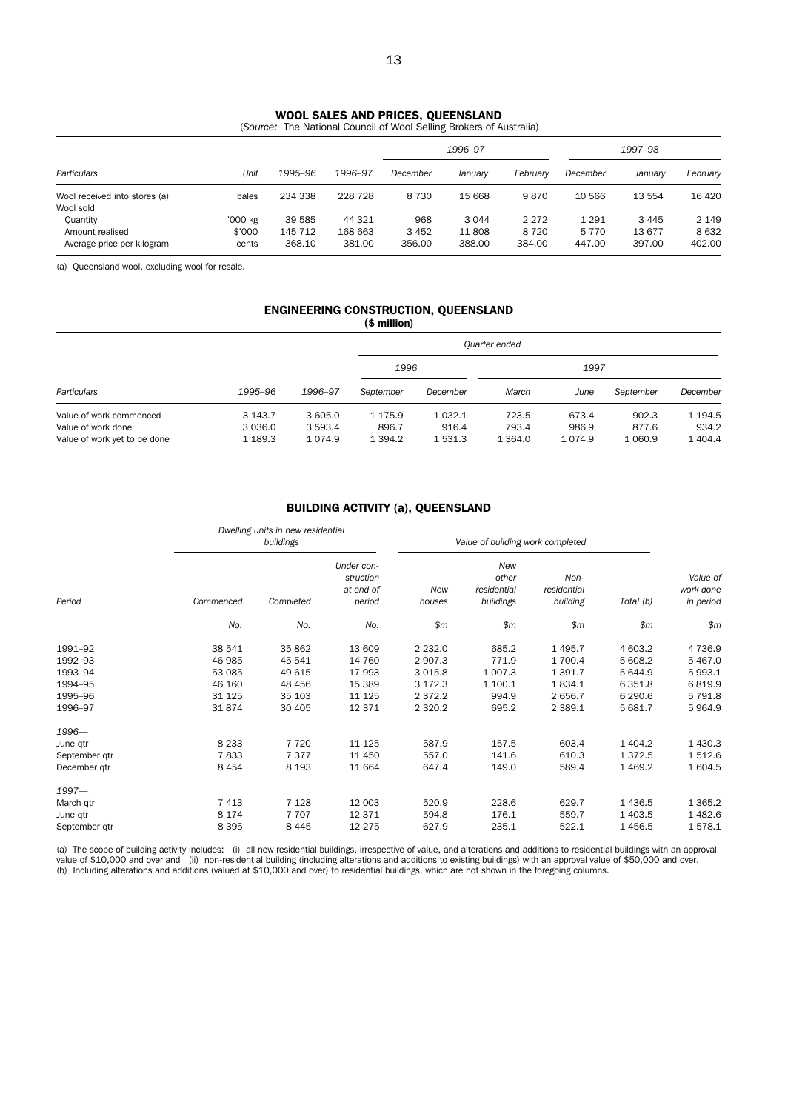### WOOL SALES AND PRICES, QUEENSLAND

(*Source:* The National Council of Wool Selling Brokers of Australia)

|                                                           |                            |                             |                             | 1996-97                  |                         |                              | 1997-98                      |                          |                           |
|-----------------------------------------------------------|----------------------------|-----------------------------|-----------------------------|--------------------------|-------------------------|------------------------------|------------------------------|--------------------------|---------------------------|
| Particulars                                               | Unit                       | 1995–96                     | 1996-97                     | December                 | Januarv                 | Februarv                     | December                     | Januarv                  | February                  |
| Wool received into stores (a)<br>Wool sold                | bales                      | 234 338                     | 228 728                     | 8 7 3 0                  | 15 668                  | 9870                         | 10 566                       | 13 554                   | 16 4 20                   |
| Quantity<br>Amount realised<br>Average price per kilogram | '000 kg<br>\$'000<br>cents | 39 585<br>145 712<br>368.10 | 44 321<br>168 663<br>381.00 | 968<br>3 4 5 2<br>356.00 | 3044<br>11808<br>388.00 | 2 2 7 2<br>8 7 2 0<br>384.00 | 1 2 9 1<br>5 7 7 0<br>447.00 | 3445<br>13 677<br>397.00 | 2 1 4 9<br>8632<br>402.00 |

(a) Queensland wool, excluding wool for resale.

#### ENGINEERING CONSTRUCTION, QUEENSLAND (\$ million)

|                                                                               |                                      |                                  |                                  |                           | Quarter ended                |                          |                             |                                   |
|-------------------------------------------------------------------------------|--------------------------------------|----------------------------------|----------------------------------|---------------------------|------------------------------|--------------------------|-----------------------------|-----------------------------------|
|                                                                               |                                      |                                  | 1996                             |                           |                              |                          |                             |                                   |
| Particulars                                                                   | 1995–96                              | 1996-97                          | September                        | December                  | March                        | June                     | September                   | December                          |
| Value of work commenced<br>Value of work done<br>Value of work yet to be done | 3 1 4 3 . 7<br>3 0 3 6 .0<br>1 189.3 | 3 605.0<br>3 593.4<br>1 0 7 4 .9 | 1 1 7 5 .9<br>896.7<br>1 3 9 4.2 | 1032.1<br>916.4<br>1531.3 | 723.5<br>793.4<br>1 3 6 4 .0 | 673.4<br>986.9<br>1074.9 | 902.3<br>877.6<br>1 0 6 0.9 | 1 1 9 4 .5<br>934.2<br>1 4 0 4 .4 |

### BUILDING ACTIVITY (a), QUEENSLAND

|               |           | Dwelling units in new residential<br>buildings |                                                |               |                                          | Value of building work completed |              |                                    |  |  |
|---------------|-----------|------------------------------------------------|------------------------------------------------|---------------|------------------------------------------|----------------------------------|--------------|------------------------------------|--|--|
| Period        | Commenced | Completed                                      | Under con-<br>struction<br>at end of<br>period | New<br>houses | New<br>other<br>residential<br>buildings | Non-<br>residential<br>building  | Total (b)    | Value of<br>work done<br>in period |  |  |
|               | No.       | No.                                            | No.                                            | \$m\$         | $\mathsf{m}$                             | $\mathsf{m}$                     | $\mathsf{m}$ | \$m                                |  |  |
| 1991-92       | 38 541    | 35 862                                         | 13 609                                         | 2 2 3 2 .0    | 685.2                                    | 1495.7                           | 4 603.2      | 4 7 3 6.9                          |  |  |
| 1992-93       | 46 985    | 45 541                                         | 14 760                                         | 2907.3        | 771.9                                    | 1 700.4                          | 5 608.2      | 5 4 6 7 .0                         |  |  |
| 1993-94       | 53 085    | 49 615                                         | 17 993                                         | 3 0 1 5.8     | 1 0 0 7.3                                | 1 3 9 1.7                        | 5 644.9      | 5 9 9 3.1                          |  |  |
| 1994-95       | 46 160    | 48 45 6                                        | 15 389                                         | 3 172.3       | 1 100.1                                  | 1834.1                           | 6 3 5 1.8    | 6819.9                             |  |  |
| 1995-96       | 31 1 25   | 35 103                                         | 11 1 25                                        | 2 3 7 2 . 2   | 994.9                                    | 2 656.7                          | 6 290.6      | 5 7 9 1.8                          |  |  |
| 1996-97       | 31874     | 30 405                                         | 12 371                                         | 2 3 2 0.2     | 695.2                                    | 2 3 8 9.1                        | 5 681.7      | 5 9 64.9                           |  |  |
| 1996-         |           |                                                |                                                |               |                                          |                                  |              |                                    |  |  |
| June qtr      | 8 2 3 3   | 7 7 2 0                                        | 11 1 25                                        | 587.9         | 157.5                                    | 603.4                            | 1 404.2      | 1 4 3 0.3                          |  |  |
| September qtr | 7833      | 7377                                           | 11 450                                         | 557.0         | 141.6                                    | 610.3                            | 1 372.5      | 1512.6                             |  |  |
| December gtr  | 8 4 5 4   | 8 1 9 3                                        | 11 664                                         | 647.4         | 149.0                                    | 589.4                            | 1 4 6 9.2    | 1 604.5                            |  |  |
| $1997 -$      |           |                                                |                                                |               |                                          |                                  |              |                                    |  |  |
| March qtr     | 7413      | 7 1 2 8                                        | 12 003                                         | 520.9         | 228.6                                    | 629.7                            | 1 4 3 6.5    | 1 3 6 5.2                          |  |  |
| June qtr      | 8 1 7 4   | 7707                                           | 12 3 7 1                                       | 594.8         | 176.1                                    | 559.7                            | 1 403.5      | 1 4 8 2.6                          |  |  |
| September qtr | 8 3 9 5   | 8 4 4 5                                        | 12 275                                         | 627.9         | 235.1                                    | 522.1                            | 1456.5       | 1578.1                             |  |  |
|               |           |                                                |                                                |               |                                          |                                  |              |                                    |  |  |

(a) The scope of building activity includes: (i) all new residential buildings, irrespective of value, and alterations and additions to residential buildings with an approval<br>value of \$10,000 and over and (ii) non-resident (b) Including alterations and additions (valued at \$10,000 and over) to residential buildings, which are not shown in the foregoing columns.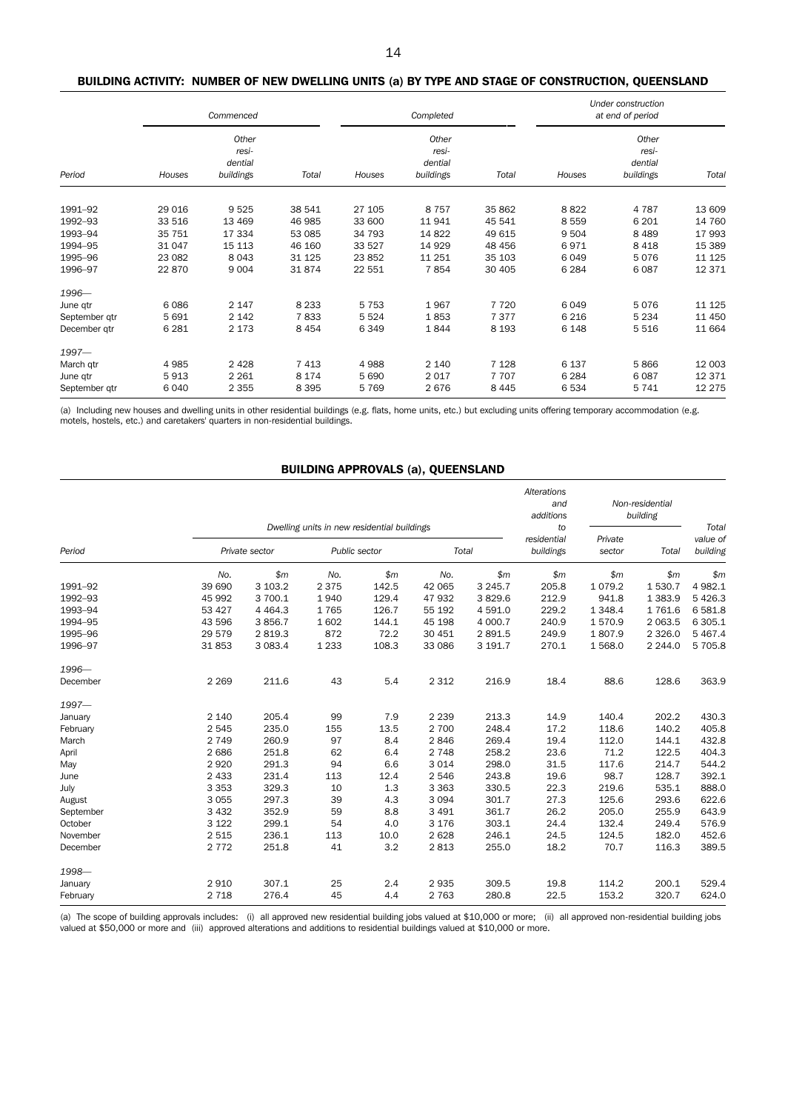# BUILDING ACTIVITY: NUMBER OF NEW DWELLING UNITS (a) BY TYPE AND STAGE OF CONSTRUCTION, QUEENSLAND

|                    | Commenced |                                        |                  | Completed        |                                        |                  | Under construction<br>at end of period |                                        |                  |
|--------------------|-----------|----------------------------------------|------------------|------------------|----------------------------------------|------------------|----------------------------------------|----------------------------------------|------------------|
| Period             | Houses    | Other<br>resi-<br>dential<br>buildings | Total            | Houses           | Other<br>resi-<br>dential<br>buildings | Total            | Houses                                 | Other<br>resi-<br>dential<br>buildings | Total            |
|                    | 29 016    |                                        |                  |                  | 8 7 5 7                                |                  |                                        | 4 7 8 7                                |                  |
| 1991-92<br>1992-93 | 33 516    | 9 5 2 5<br>13 4 69                     | 38 541<br>46 985 | 27 105<br>33 600 | 11 941                                 | 35 862<br>45 541 | 8822<br>8559                           | 6 201                                  | 13 609<br>14 760 |
| 1993-94            | 35 751    | 17 334                                 | 53 085           | 34 793           | 14 822                                 | 49 615           | 9 5 0 4                                | 8 4 8 9                                | 17 993           |
| 1994-95            | 31 047    | 15 113                                 | 46 160           | 33 527           | 14 9 29                                | 48 45 6          | 6971                                   | 8 4 1 8                                | 15 389           |
| 1995-96            | 23 082    | 8 0 4 3                                | 31 1 25          | 23852            | 11 251                                 | 35 103           | 6 0 4 9                                | 5076                                   | 11 1 25          |
| 1996-97            | 22 870    | 9 0 0 4                                | 31874            | 22 551           | 7854                                   | 30 405           | 6 2 8 4                                | 6 0 8 7                                | 12 371           |
| 1996-              |           |                                        |                  |                  |                                        |                  |                                        |                                        |                  |
| June qtr           | 6086      | 2 1 4 7                                | 8 2 3 3          | 5 7 5 3          | 1967                                   | 7 7 2 0          | 6 0 4 9                                | 5076                                   | 11 125           |
| September qtr      | 5 6 9 1   | 2 1 4 2                                | 7833             | 5 5 2 4          | 1853                                   | 7377             | 6 2 1 6                                | 5 2 3 4                                | 11 450           |
| December gtr       | 6 2 8 1   | 2 1 7 3                                | 8 4 5 4          | 6349             | 1844                                   | 8 1 9 3          | 6 1 4 8                                | 5 5 1 6                                | 11 664           |
| $1997 -$           |           |                                        |                  |                  |                                        |                  |                                        |                                        |                  |
| March gtr          | 4985      | 2 4 2 8                                | 7 4 1 3          | 4988             | 2 1 4 0                                | 7 1 2 8          | 6 1 3 7                                | 5866                                   | 12 003           |
| June qtr           | 5913      | 2 2 6 1                                | 8 1 7 4          | 5 6 9 0          | 2 0 1 7                                | 7 7 0 7          | 6 2 8 4                                | 6 0 8 7                                | 12 371           |
| September qtr      | 6040      | 2 3 5 5                                | 8 3 9 5          | 5769             | 2676                                   | 8 4 4 5          | 6534                                   | 5741                                   | 12 275           |

(a) Including new houses and dwelling units in other residential buildings (e.g. flats, home units, etc.) but excluding units offering temporary accommodation (e.g. motels, hostels, etc.) and caretakers' quarters in non-residential buildings.

### BUILDING APPROVALS (a), QUEENSLAND

|           |         | Dwelling units in new residential buildings |               |       |         |             |                                | Non-residential<br>building |            | Total                |
|-----------|---------|---------------------------------------------|---------------|-------|---------|-------------|--------------------------------|-----------------------------|------------|----------------------|
| Period    |         | Private sector                              | Public sector |       | Total   |             | to<br>residential<br>buildings | Private<br>sector           | Total      | value of<br>building |
|           | No.     | \$m\$                                       | No.           | \$m\$ | No.     | \$m\$       | \$m\$                          | \$m\$                       | \$m\$      | \$m                  |
| 1991-92   | 39 690  | 3 103.2                                     | 2 3 7 5       | 142.5 | 42 065  | 3 2 4 5 . 7 | 205.8                          | 1 0 7 9 . 2                 | 1 530.7    | 4 982.1              |
| 1992-93   | 45 992  | 3 700.1                                     | 1940          | 129.4 | 47 932  | 3829.6      | 212.9                          | 941.8                       | 1 3 8 3.9  | 5 4 2 6.3            |
| 1993-94   | 53 4 27 | 4 4 6 4 .3                                  | 1765          | 126.7 | 55 192  | 4 5 9 1.0   | 229.2                          | 1 3 4 8.4                   | 1761.6     | 6 5 8 1.8            |
| 1994-95   | 43 596  | 3856.7                                      | 1602          | 144.1 | 45 198  | 4 000.7     | 240.9                          | 1570.9                      | 2 0 6 3.5  | 6 305.1              |
| 1995-96   | 29 579  | 2 8 1 9 . 3                                 | 872           | 72.2  | 30 451  | 2 891.5     | 249.9                          | 1807.9                      | 2 3 2 6.0  | 5 4 6 7 . 4          |
| 1996-97   | 31853   | 3 0 8 3.4                                   | 1 2 3 3       | 108.3 | 33 086  | 3 191.7     | 270.1                          | 1 568.0                     | 2 2 4 4 .0 | 5 705.8              |
| 1996-     |         |                                             |               |       |         |             |                                |                             |            |                      |
| December  | 2 2 6 9 | 211.6                                       | 43            | 5.4   | 2 3 1 2 | 216.9       | 18.4                           | 88.6                        | 128.6      | 363.9                |
| $1997 -$  |         |                                             |               |       |         |             |                                |                             |            |                      |
| January   | 2 1 4 0 | 205.4                                       | 99            | 7.9   | 2 2 3 9 | 213.3       | 14.9                           | 140.4                       | 202.2      | 430.3                |
| February  | 2 5 4 5 | 235.0                                       | 155           | 13.5  | 2 700   | 248.4       | 17.2                           | 118.6                       | 140.2      | 405.8                |
| March     | 2 7 4 9 | 260.9                                       | 97            | 8.4   | 2846    | 269.4       | 19.4                           | 112.0                       | 144.1      | 432.8                |
| April     | 2686    | 251.8                                       | 62            | 6.4   | 2 7 4 8 | 258.2       | 23.6                           | 71.2                        | 122.5      | 404.3                |
| May       | 2 9 2 0 | 291.3                                       | 94            | 6.6   | 3 0 1 4 | 298.0       | 31.5                           | 117.6                       | 214.7      | 544.2                |
| June      | 2 4 3 3 | 231.4                                       | 113           | 12.4  | 2546    | 243.8       | 19.6                           | 98.7                        | 128.7      | 392.1                |
| July      | 3 3 5 3 | 329.3                                       | 10            | 1.3   | 3 3 6 3 | 330.5       | 22.3                           | 219.6                       | 535.1      | 888.0                |
| August    | 3 0 5 5 | 297.3                                       | 39            | 4.3   | 3 0 9 4 | 301.7       | 27.3                           | 125.6                       | 293.6      | 622.6                |
| September | 3 4 3 2 | 352.9                                       | 59            | 8.8   | 3 4 9 1 | 361.7       | 26.2                           | 205.0                       | 255.9      | 643.9                |
| October   | 3 1 2 2 | 299.1                                       | 54            | 4.0   | 3 1 7 6 | 303.1       | 24.4                           | 132.4                       | 249.4      | 576.9                |
| November  | 2 5 1 5 | 236.1                                       | 113           | 10.0  | 2628    | 246.1       | 24.5                           | 124.5                       | 182.0      | 452.6                |
| December  | 2 7 7 2 | 251.8                                       | 41            | 3.2   | 2813    | 255.0       | 18.2                           | 70.7                        | 116.3      | 389.5                |
| 1998-     |         |                                             |               |       |         |             |                                |                             |            |                      |
| January   | 2910    | 307.1                                       | 25            | 2.4   | 2 9 3 5 | 309.5       | 19.8                           | 114.2                       | 200.1      | 529.4                |
| February  | 2 7 1 8 | 276.4                                       | 45            | 4.4   | 2 7 6 3 | 280.8       | 22.5                           | 153.2                       | 320.7      | 624.0                |

(a) The scope of building approvals includes: (i) all approved new residential building jobs valued at \$10,000 or more; (ii) all approved non-residential building jobs<br>valued at \$50,000 or more and (iii) approved alteratio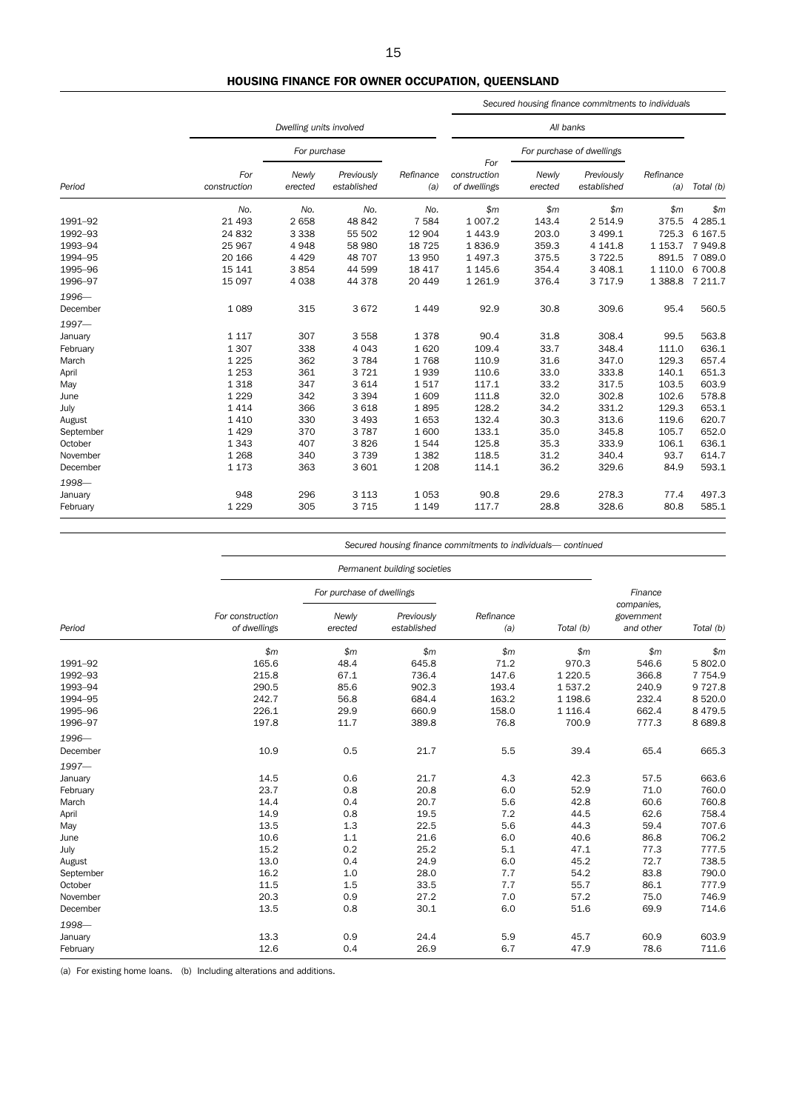# HOUSING FINANCE FOR OWNER OCCUPATION, QUEENSLAND

|           |                     |                         |                           |                  |                              |                           | Secured housing finance commitments to individuals |                  |             |
|-----------|---------------------|-------------------------|---------------------------|------------------|------------------------------|---------------------------|----------------------------------------------------|------------------|-------------|
|           |                     | Dwelling units involved |                           |                  |                              |                           |                                                    |                  |             |
|           |                     | For purchase            |                           |                  | For                          | For purchase of dwellings |                                                    |                  |             |
| Period    | For<br>construction | Newly<br>erected        | Previously<br>established | Refinance<br>(a) | construction<br>of dwellings | Newly<br>erected          | Previously<br>established                          | Refinance<br>(a) | Total (b)   |
|           | No.                 | No.                     | No.                       | No.              | \$m                          | \$m\$                     | \$m\$                                              | \$m              | \$m         |
| 1991-92   | 21 4 93             | 2658                    | 48 842                    | 7 5 8 4          | 1 0 0 7.2                    | 143.4                     | 2 5 1 4.9                                          | 375.5            | 4 2 8 5 . 1 |
| 1992-93   | 24 8 32             | 3 3 3 8                 | 55 502                    | 12 904           | 1 4 4 3.9                    | 203.0                     | 3 4 9 9.1                                          | 725.3            | 6 167.5     |
| 1993-94   | 25 967              | 4948                    | 58 980                    | 18 7 25          | 1836.9                       | 359.3                     | 4 1 4 1.8                                          | 1 1 5 3 . 7      | 7949.8      |
| 1994-95   | 20 166              | 4 4 2 9                 | 48 707                    | 13 950           | 1 497.3                      | 375.5                     | 3722.5                                             | 891.5            | 7 089.0     |
| 1995-96   | 15 141              | 3854                    | 44 599                    | 18 417           | 1 1 4 5 . 6                  | 354.4                     | 3 408.1                                            | 1 1 1 0 . 0      | 6 700.8     |
| 1996-97   | 15 097              | 4 0 38                  | 44 378                    | 20 449           | 1 2 6 1.9                    | 376.4                     | 3 7 1 7 .9                                         | 1 3 8 8.8        | 7 211.7     |
| 1996-     |                     |                         |                           |                  |                              |                           |                                                    |                  |             |
| December  | 1089                | 315                     | 3672                      | 1 4 4 9          | 92.9                         | 30.8                      | 309.6                                              | 95.4             | 560.5       |
| $1997 -$  |                     |                         |                           |                  |                              |                           |                                                    |                  |             |
| January   | 1 1 1 7             | 307                     | 3 5 5 8                   | 1378             | 90.4                         | 31.8                      | 308.4                                              | 99.5             | 563.8       |
| February  | 1 3 0 7             | 338                     | 4 0 4 3                   | 1620             | 109.4                        | 33.7                      | 348.4                                              | 111.0            | 636.1       |
| March     | 1 2 2 5             | 362                     | 3 7 8 4                   | 1768             | 110.9                        | 31.6                      | 347.0                                              | 129.3            | 657.4       |
| April     | 1 2 5 3             | 361                     | 3721                      | 1939             | 110.6                        | 33.0                      | 333.8                                              | 140.1            | 651.3       |
| May       | 1 3 1 8             | 347                     | 3 6 1 4                   | 1517             | 117.1                        | 33.2                      | 317.5                                              | 103.5            | 603.9       |
| June      | 1 2 2 9             | 342                     | 3 3 9 4                   | 1 609            | 111.8                        | 32.0                      | 302.8                                              | 102.6            | 578.8       |
| July      | 1 4 1 4             | 366                     | 3 6 18                    | 1895             | 128.2                        | 34.2                      | 331.2                                              | 129.3            | 653.1       |
| August    | 1 4 1 0             | 330                     | 3 4 9 3                   | 1653             | 132.4                        | 30.3                      | 313.6                                              | 119.6            | 620.7       |
| September | 1429                | 370                     | 3787                      | 1 600            | 133.1                        | 35.0                      | 345.8                                              | 105.7            | 652.0       |
| October   | 1 3 4 3             | 407                     | 3826                      | 1544             | 125.8                        | 35.3                      | 333.9                                              | 106.1            | 636.1       |
| November  | 1 2 6 8             | 340                     | 3739                      | 1 3 8 2          | 118.5                        | 31.2                      | 340.4                                              | 93.7             | 614.7       |
| December  | 1 1 7 3             | 363                     | 3 601                     | 1 2 0 8          | 114.1                        | 36.2                      | 329.6                                              | 84.9             | 593.1       |
| 1998-     |                     |                         |                           |                  |                              |                           |                                                    |                  |             |
| January   | 948                 | 296                     | 3 1 1 3                   | 1 0 5 3          | 90.8                         | 29.6                      | 278.3                                              | 77.4             | 497.3       |
| February  | 1 2 2 9             | 305                     | 3 7 1 5                   | 1 1 4 9          | 117.7                        | 28.8                      | 328.6                                              | 80.8             | 585.1       |

*Secured housing finance commitments to individuals— continued*

|           |                                  | Permanent building societies |                           |                  |           |                                       |           |  |  |
|-----------|----------------------------------|------------------------------|---------------------------|------------------|-----------|---------------------------------------|-----------|--|--|
|           |                                  | For purchase of dwellings    |                           |                  |           | Finance                               |           |  |  |
| Period    | For construction<br>of dwellings | Newly<br>erected             | Previously<br>established | Refinance<br>(a) | Total (b) | companies.<br>government<br>and other | Total (b) |  |  |
|           | \$m                              | \$m                          | \$m\$                     | \$m              | \$m       | \$m\$                                 | \$m       |  |  |
| 1991-92   | 165.6                            | 48.4                         | 645.8                     | 71.2             | 970.3     | 546.6                                 | 5 802.0   |  |  |
| 1992-93   | 215.8                            | 67.1                         | 736.4                     | 147.6            | 1 2 2 0.5 | 366.8                                 | 7 7 5 4.9 |  |  |
| 1993-94   | 290.5                            | 85.6                         | 902.3                     | 193.4            | 1537.2    | 240.9                                 | 9727.8    |  |  |
| 1994-95   | 242.7                            | 56.8                         | 684.4                     | 163.2            | 1 1 98.6  | 232.4                                 | 8 5 20.0  |  |  |
| 1995-96   | 226.1                            | 29.9                         | 660.9                     | 158.0            | 1 1 1 6.4 | 662.4                                 | 8 4 7 9.5 |  |  |
| 1996-97   | 197.8                            | 11.7                         | 389.8                     | 76.8             | 700.9     | 777.3                                 | 8689.8    |  |  |
| 1996-     |                                  |                              |                           |                  |           |                                       |           |  |  |
| December  | 10.9                             | 0.5                          | 21.7                      | 5.5              | 39.4      | 65.4                                  | 665.3     |  |  |
| $1997 -$  |                                  |                              |                           |                  |           |                                       |           |  |  |
| January   | 14.5                             | 0.6                          | 21.7                      | 4.3              | 42.3      | 57.5                                  | 663.6     |  |  |
| February  | 23.7                             | 0.8                          | 20.8                      | 6.0              | 52.9      | 71.0                                  | 760.0     |  |  |
| March     | 14.4                             | 0.4                          | 20.7                      | 5.6              | 42.8      | 60.6                                  | 760.8     |  |  |
| April     | 14.9                             | 0.8                          | 19.5                      | 7.2              | 44.5      | 62.6                                  | 758.4     |  |  |
| May       | 13.5                             | 1.3                          | 22.5                      | 5.6              | 44.3      | 59.4                                  | 707.6     |  |  |
| June      | 10.6                             | 1.1                          | 21.6                      | 6.0              | 40.6      | 86.8                                  | 706.2     |  |  |
| July      | 15.2                             | 0.2                          | 25.2                      | 5.1              | 47.1      | 77.3                                  | 777.5     |  |  |
| August    | 13.0                             | 0.4                          | 24.9                      | 6.0              | 45.2      | 72.7                                  | 738.5     |  |  |
| September | 16.2                             | 1.0                          | 28.0                      | 7.7              | 54.2      | 83.8                                  | 790.0     |  |  |
| October   | 11.5                             | 1.5                          | 33.5                      | 7.7              | 55.7      | 86.1                                  | 777.9     |  |  |
| November  | 20.3                             | 0.9                          | 27.2                      | 7.0              | 57.2      | 75.0                                  | 746.9     |  |  |
| December  | 13.5                             | 0.8                          | 30.1                      | 6.0              | 51.6      | 69.9                                  | 714.6     |  |  |
| 1998-     |                                  |                              |                           |                  |           |                                       |           |  |  |
| January   | 13.3                             | 0.9                          | 24.4                      | 5.9              | 45.7      | 60.9                                  | 603.9     |  |  |
| February  | 12.6                             | 0.4                          | 26.9                      | 6.7              | 47.9      | 78.6                                  | 711.6     |  |  |

(a) For existing home loans. (b) Including alterations and additions.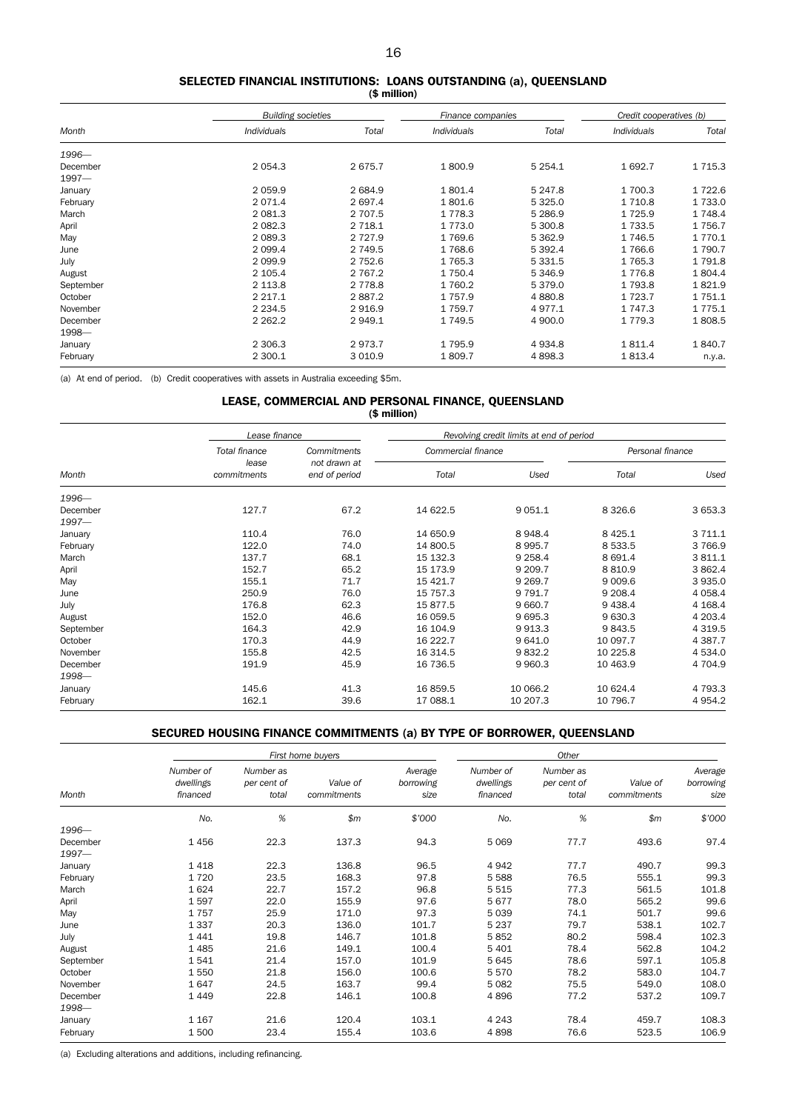#### SELECTED FINANCIAL INSTITUTIONS: LOANS OUTSTANDING (a), QUEENSLAND (\$ million)

|           | <b>Building societies</b> |             | Finance companies |             | Credit cooperatives (b) |             |
|-----------|---------------------------|-------------|-------------------|-------------|-------------------------|-------------|
| Month     | <b>Individuals</b>        | Total       | Individuals       | Total       | Individuals             | Total       |
| 1996-     |                           |             |                   |             |                         |             |
| December  | 2 0 5 4 . 3               | 2675.7      | 1800.9            | 5 2 5 4 . 1 | 1 692.7                 | 1 7 1 5 . 3 |
| $1997 -$  |                           |             |                   |             |                         |             |
| January   | 2 0 5 9.9                 | 2 6 8 4.9   | 1801.4            | 5 247.8     | 1 700.3                 | 1722.6      |
| February  | 2071.4                    | 2 6 9 7.4   | 1801.6            | 5 3 2 5 . 0 | 1 7 1 0.8               | 1733.0      |
| March     | 2 0 8 1.3                 | 2 707.5     | 1 7 7 8.3         | 5 2 8 6.9   | 1 7 2 5 . 9             | 1 748.4     |
| April     | 2 082.3                   | 2 7 18.1    | 1 7 7 3 .0        | 5 300.8     | 1 7 3 3 .5              | 1756.7      |
| May       | 2 0 8 9.3                 | 2 7 2 7 .9  | 1769.6            | 5 3 6 2.9   | 1 746.5                 | 1 7 7 0.1   |
| June      | 2 0 9 9.4                 | 2 749.5     | 1768.6            | 5 3 9 2.4   | 1766.6                  | 1 7 9 0.7   |
| July      | 2 0 9 9.9                 | 2 7 5 2.6   | 1 7 6 5 . 3       | 5 3 3 1.5   | 1 7 6 5 . 3             | 1791.8      |
| August    | 2 105.4                   | 2 7 6 7 . 2 | 1 7 5 0.4         | 5 346.9     | 1 7 7 6.8               | 1804.4      |
| September | 2 1 1 3 . 8               | 2 7 7 8.8   | 1 760.2           | 5 379.0     | 1 793.8                 | 1821.9      |
| October   | 2 2 1 7 . 1               | 2887.2      | 1 7 5 7 .9        | 4 8 8 0.8   | 1 7 2 3 . 7             | 1 7 5 1 . 1 |
| November  | 2 2 3 4 .5                | 2916.9      | 1 7 5 9.7         | 4977.1      | 1 747.3                 | 1775.1      |
| December  | 2 2 6 2 . 2               | 2949.1      | 1 7 4 9.5         | 4 900.0     | 1 7 7 9 . 3             | 1808.5      |
| 1998-     |                           |             |                   |             |                         |             |
| January   | 2 3 0 6.3                 | 2973.7      | 1 7 9 5.9         | 4 9 34.8    | 1811.4                  | 1840.7      |
| February  | 2 300.1                   | 3 0 1 0.9   | 1809.7            | 4898.3      | 1813.4                  | n.y.a.      |

(a) At end of period. (b) Credit cooperatives with assets in Australia exceeding \$5m.

#### LEASE, COMMERCIAL AND PERSONAL FINANCE, QUEENSLAND (\$ million)

|                      | Lease finance        |                               | Revolving credit limits at end of period |           |                  |             |  |
|----------------------|----------------------|-------------------------------|------------------------------------------|-----------|------------------|-------------|--|
|                      | Total finance        | Commitments                   | Commercial finance                       |           | Personal finance |             |  |
| Month                | lease<br>commitments | not drawn at<br>end of period | Total                                    | Used      | Total            | Used        |  |
| $1996 -$             |                      |                               |                                          |           |                  |             |  |
| December<br>$1997 -$ | 127.7                | 67.2                          | 14 622.5                                 | 9 0 5 1.1 | 8 3 2 6.6        | 3 653.3     |  |
| January              | 110.4                | 76.0                          | 14 650.9                                 | 8948.4    | 8 4 2 5 . 1      | 3 7 1 1.1   |  |
| February             | 122.0                | 74.0                          | 14 800.5                                 | 8 9 9 5.7 | 8 5 3 3.5        | 3766.9      |  |
| March                | 137.7                | 68.1                          | 15 132.3                                 | 9 2 5 8.4 | 8 6 9 1.4        | 3811.1      |  |
| April                | 152.7                | 65.2                          | 15 173.9                                 | 9 209.7   | 8 8 1 0.9        | 3 862.4     |  |
| May                  | 155.1                | 71.7                          | 15 4 21.7                                | 9 2 6 9.7 | 9 0 0 9.6        | 3935.0      |  |
| June                 | 250.9                | 76.0                          | 15 757.3                                 | 9 7 9 1.7 | 9 208.4          | 4 0 58.4    |  |
| July                 | 176.8                | 62.3                          | 15877.5                                  | 9 6 60.7  | 9 4 38.4         | 4 1 68.4    |  |
| August               | 152.0                | 46.6                          | 16 059.5                                 | 9 6 9 5.3 | 9 630.3          | 4 203.4     |  |
| September            | 164.3                | 42.9                          | 16 104.9                                 | 9913.3    | 9843.5           | 4 3 1 9.5   |  |
| October              | 170.3                | 44.9                          | 16 222.7                                 | 9 641.0   | 10 097.7         | 4 3 8 7 . 7 |  |
| November             | 155.8                | 42.5                          | 16 314.5                                 | 9832.2    | 10 225.8         | 4 5 3 4 .0  |  |
| December             | 191.9                | 45.9                          | 16 736.5                                 | 9 9 6 0.3 | 10 463.9         | 4 704.9     |  |
| 1998-                |                      |                               |                                          |           |                  |             |  |
| January              | 145.6                | 41.3                          | 16859.5                                  | 10 066.2  | 10 624.4         | 4 7 9 3 . 3 |  |
| February             | 162.1                | 39.6                          | 17 088.1                                 | 10 207.3  | 10 796.7         | 4 9 5 4.2   |  |

# SECURED HOUSING FINANCE COMMITMENTS (a) BY TYPE OF BORROWER, QUEENSLAND

|           |                                    |                                   | First home buyers       |                              | Other                              |                                   |                         |                              |  |
|-----------|------------------------------------|-----------------------------------|-------------------------|------------------------------|------------------------------------|-----------------------------------|-------------------------|------------------------------|--|
| Month     | Number of<br>dwellings<br>financed | Number as<br>per cent of<br>total | Value of<br>commitments | Average<br>borrowing<br>size | Number of<br>dwellings<br>financed | Number as<br>per cent of<br>total | Value of<br>commitments | Average<br>borrowing<br>size |  |
|           | No.                                | %                                 | \$m\$                   | \$7000                       | No.                                | $%$                               | \$m\$                   | \$'000                       |  |
| 1996-     |                                    |                                   |                         |                              |                                    |                                   |                         |                              |  |
| December  | 1456                               | 22.3                              | 137.3                   | 94.3                         | 5 0 6 9                            | 77.7                              | 493.6                   | 97.4                         |  |
| $1997 -$  |                                    |                                   |                         |                              |                                    |                                   |                         |                              |  |
| January   | 1418                               | 22.3                              | 136.8                   | 96.5                         | 4942                               | 77.7                              | 490.7                   | 99.3                         |  |
| February  | 1720                               | 23.5                              | 168.3                   | 97.8                         | 5588                               | 76.5                              | 555.1                   | 99.3                         |  |
| March     | 1624                               | 22.7                              | 157.2                   | 96.8                         | 5 5 1 5                            | 77.3                              | 561.5                   | 101.8                        |  |
| April     | 1597                               | 22.0                              | 155.9                   | 97.6                         | 5677                               | 78.0                              | 565.2                   | 99.6                         |  |
| May       | 1757                               | 25.9                              | 171.0                   | 97.3                         | 5 0 3 9                            | 74.1                              | 501.7                   | 99.6                         |  |
| June      | 1 3 3 7                            | 20.3                              | 136.0                   | 101.7                        | 5 2 3 7                            | 79.7                              | 538.1                   | 102.7                        |  |
| July      | 1 4 4 1                            | 19.8                              | 146.7                   | 101.8                        | 5852                               | 80.2                              | 598.4                   | 102.3                        |  |
| August    | 1 4 8 5                            | 21.6                              | 149.1                   | 100.4                        | 5 4 0 1                            | 78.4                              | 562.8                   | 104.2                        |  |
| September | 1541                               | 21.4                              | 157.0                   | 101.9                        | 5645                               | 78.6                              | 597.1                   | 105.8                        |  |
| October   | 1 5 5 0                            | 21.8                              | 156.0                   | 100.6                        | 5570                               | 78.2                              | 583.0                   | 104.7                        |  |
| November  | 1647                               | 24.5                              | 163.7                   | 99.4                         | 5 0 8 2                            | 75.5                              | 549.0                   | 108.0                        |  |
| December  | 1 4 4 9                            | 22.8                              | 146.1                   | 100.8                        | 4896                               | 77.2                              | 537.2                   | 109.7                        |  |
| 1998-     |                                    |                                   |                         |                              |                                    |                                   |                         |                              |  |
| January   | 1 1 6 7                            | 21.6                              | 120.4                   | 103.1                        | 4 2 4 3                            | 78.4                              | 459.7                   | 108.3                        |  |
| February  | 1500                               | 23.4                              | 155.4                   | 103.6                        | 4898                               | 76.6                              | 523.5                   | 106.9                        |  |

(a) Excluding alterations and additions, including refinancing.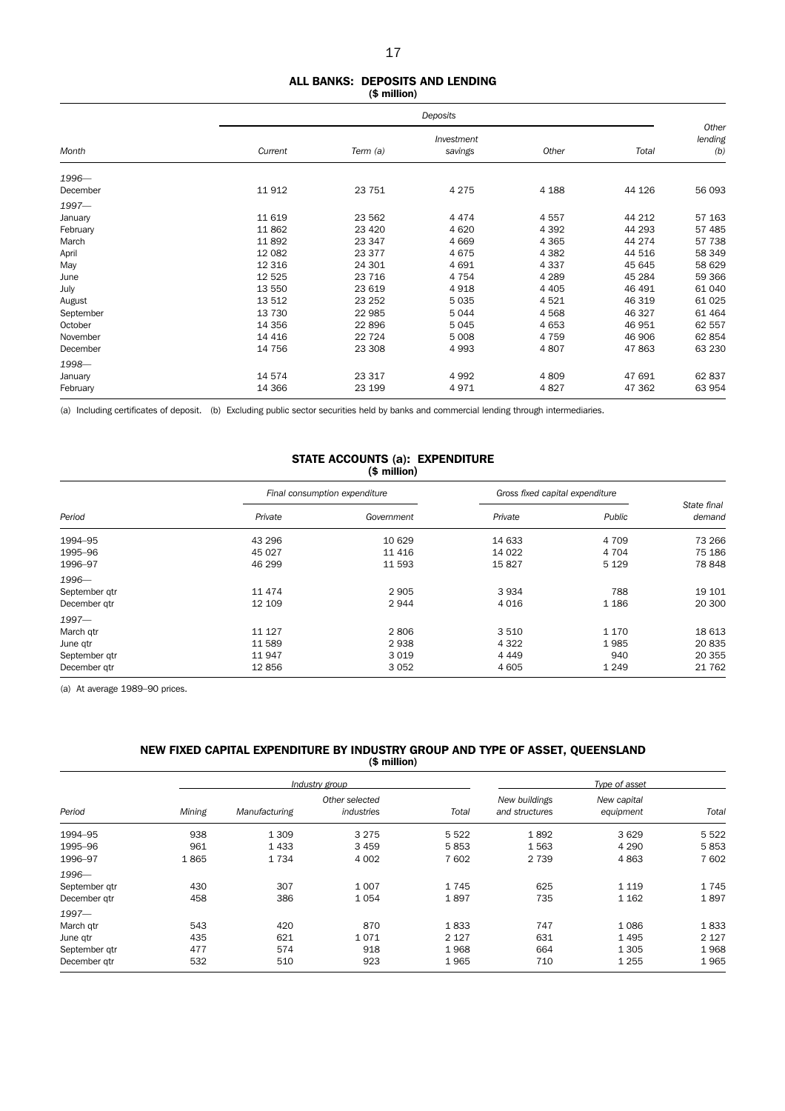#### ALL BANKS: DEPOSITS AND LENDING (\$ million)

|           |          | Deposits |                       |         |        |                         |  |  |  |
|-----------|----------|----------|-----------------------|---------|--------|-------------------------|--|--|--|
| Month     | Current  | Term (a) | Investment<br>savings | Other   | Total  | Other<br>lending<br>(b) |  |  |  |
| $1996 -$  |          |          |                       |         |        |                         |  |  |  |
| December  | 11912    | 23 751   | 4 2 7 5               | 4 1 8 8 | 44 126 | 56 093                  |  |  |  |
| $1997 -$  |          |          |                       |         |        |                         |  |  |  |
| January   | 11 6 19  | 23 562   | 4474                  | 4557    | 44 212 | 57 163                  |  |  |  |
| February  | 11862    | 23 4 20  | 4 6 20                | 4 3 9 2 | 44 293 | 57 485                  |  |  |  |
| March     | 11892    | 23 347   | 4 6 6 9               | 4 3 6 5 | 44 274 | 57 738                  |  |  |  |
| April     | 12 082   | 23 377   | 4675                  | 4 3 8 2 | 44 516 | 58 349                  |  |  |  |
| May       | 12 3 16  | 24 301   | 4 6 9 1               | 4 3 3 7 | 45 645 | 58 629                  |  |  |  |
| June      | 12 5 25  | 23 716   | 4 7 5 4               | 4 2 8 9 | 45 284 | 59 366                  |  |  |  |
| July      | 13 550   | 23 619   | 4918                  | 4 4 0 5 | 46 491 | 61 040                  |  |  |  |
| August    | 13512    | 23 25 2  | 5 0 3 5               | 4521    | 46 319 | 61 0 25                 |  |  |  |
| September | 13 7 30  | 22 985   | 5044                  | 4568    | 46 327 | 61 4 64                 |  |  |  |
| October   | 14 3 5 6 | 22 896   | 5045                  | 4 6 5 3 | 46 951 | 62 557                  |  |  |  |
| November  | 14 4 16  | 22 7 24  | 5 0 0 8               | 4 7 5 9 | 46 906 | 62 854                  |  |  |  |
| December  | 14 756   | 23 308   | 4993                  | 4807    | 47863  | 63 230                  |  |  |  |
| 1998-     |          |          |                       |         |        |                         |  |  |  |
| January   | 14 574   | 23 317   | 4 9 9 2               | 4809    | 47 691 | 62 837                  |  |  |  |
| February  | 14 3 66  | 23 199   | 4971                  | 4827    | 47 362 | 63 954                  |  |  |  |

(a) Including certificates of deposit. (b) Excluding public sector securities held by banks and commercial lending through intermediaries.

### STATE ACCOUNTS (a): EXPENDITURE  $(* min  $(\text{S})^2$$

|               |          | Final consumption expenditure | Gross fixed capital expenditure |         |                       |
|---------------|----------|-------------------------------|---------------------------------|---------|-----------------------|
| Period        | Private  | Government                    | Private                         | Public  | State final<br>demand |
| 1994-95       | 43 296   | 10 629                        | 14 633                          | 4 709   | 73 266                |
| 1995-96       | 45 0 27  | 11 4 16                       | 14 0 22                         | 4 704   | 75 186                |
| 1996-97       | 46 299   | 11 593                        | 15827                           | 5 1 2 9 | 78 848                |
| $1996 -$      |          |                               |                                 |         |                       |
| September qtr | 11 474   | 2 9 0 5                       | 3934                            | 788     | 19 10 1               |
| December gtr  | 12 109   | 2944                          | 4 0 1 6                         | 1 1 8 6 | 20 300                |
| $1997 -$      |          |                               |                                 |         |                       |
| March qtr     | 11 1 2 7 | 2806                          | 3510                            | 1 1 7 0 | 18 613                |
| June qtr      | 11 589   | 2938                          | 4 3 2 2                         | 1985    | 20 835                |
| September qtr | 11947    | 3019                          | 4 4 4 9                         | 940     | 20 355                |
| December gtr  | 12856    | 3052                          | 4 6 0 5                         | 1 2 4 9 | 21 762                |

(a) At average 1989–90 prices.

### NEW FIXED CAPITAL EXPENDITURE BY INDUSTRY GROUP AND TYPE OF ASSET, QUEENSLAND (\$ million)

|               |        |               | Industry group               | Type of asset |                                 |                          |         |
|---------------|--------|---------------|------------------------------|---------------|---------------------------------|--------------------------|---------|
| Period        | Mining | Manufacturing | Other selected<br>industries | Total         | New buildings<br>and structures | New capital<br>equipment | Total   |
| 1994-95       | 938    | 1 3 0 9       | 3 2 7 5                      | 5 5 2 2       | 1892                            | 3629                     | 5 5 2 2 |
| 1995-96       | 961    | 1 4 3 3       | 3459                         | 5853          | 1563                            | 4 2 9 0                  | 5853    |
| 1996-97       | 1865   | 1 7 3 4       | 4 0 0 2                      | 7 602         | 2 7 3 9                         | 4863                     | 7 602   |
| 1996-         |        |               |                              |               |                                 |                          |         |
| September gtr | 430    | 307           | 1 0 0 7                      | 1745          | 625                             | 1 1 1 9                  | 1745    |
| December qtr  | 458    | 386           | 1054                         | 1897          | 735                             | 1 1 6 2                  | 1897    |
| $1997 -$      |        |               |                              |               |                                 |                          |         |
| March gtr     | 543    | 420           | 870                          | 1833          | 747                             | 1086                     | 1833    |
| June gtr      | 435    | 621           | 1071                         | 2 1 2 7       | 631                             | 1495                     | 2 1 2 7 |
| September gtr | 477    | 574           | 918                          | 1968          | 664                             | 1 3 0 5                  | 1968    |
| December atr  | 532    | 510           | 923                          | 1965          | 710                             | 1 2 5 5                  | 1965    |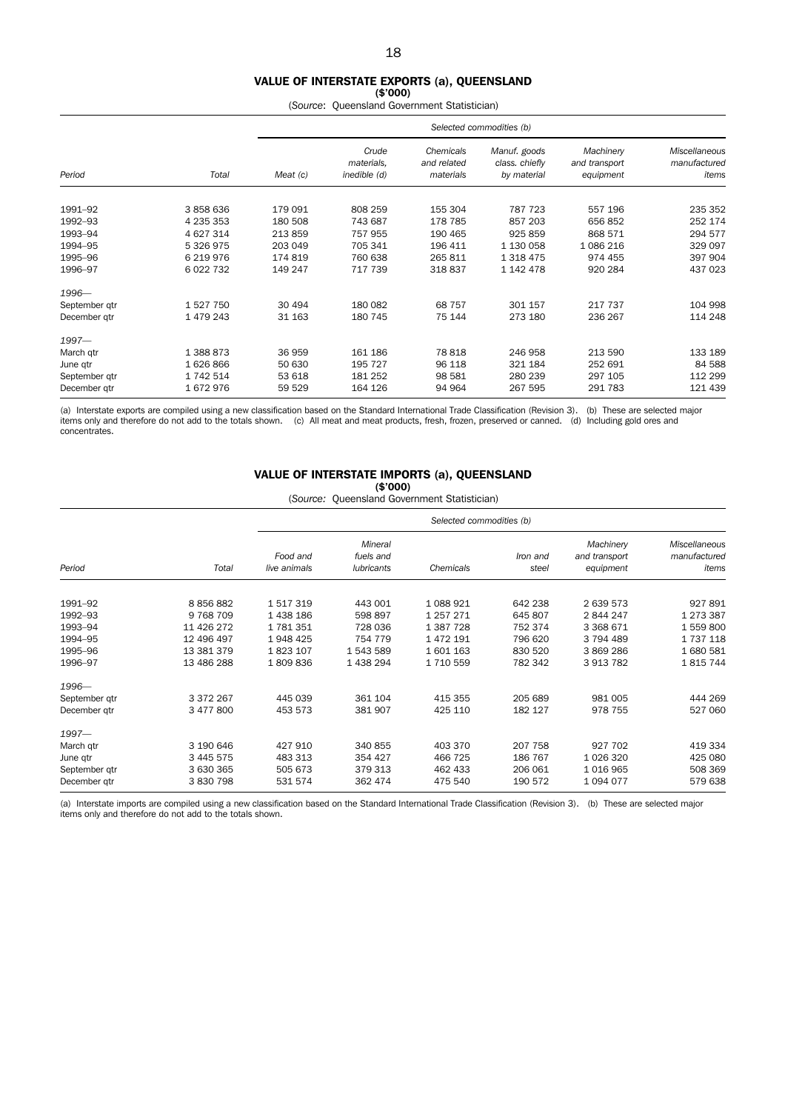# VALUE OF INTERSTATE EXPORTS (a), QUEENSLAND

 $($ \$'000)

(*Source*: Queensland Government Statistician)

|                    |                        |                    | Selected commodities (b)            |                                       |                                               |                                         |                                        |  |  |  |
|--------------------|------------------------|--------------------|-------------------------------------|---------------------------------------|-----------------------------------------------|-----------------------------------------|----------------------------------------|--|--|--|
| Period             | Total                  | Meat (c)           | Crude<br>materials,<br>inedible (d) | Chemicals<br>and related<br>materials | Manuf. goods<br>class. chiefly<br>by material | Machinery<br>and transport<br>equipment | Miscellaneous<br>manufactured<br>items |  |  |  |
|                    |                        |                    |                                     |                                       |                                               |                                         |                                        |  |  |  |
| 1991-92            | 3858636                | 179 091            | 808 259                             | 155 304                               | 787 723                                       | 557 196                                 | 235 352                                |  |  |  |
| 1992-93            | 4 235 353<br>4 627 314 | 180 508<br>213 859 | 743 687<br>757 955                  | 178 785<br>190 465                    | 857 203<br>925 859                            | 656 852<br>868 571                      | 252 174<br>294 577                     |  |  |  |
| 1993-94<br>1994-95 | 5 326 975              | 203 049            | 705 341                             | 196 411                               | 1 130 058                                     | 1 086 216                               | 329 097                                |  |  |  |
| 1995-96            | 6 219 976              | 174 819            | 760 638                             | 265 811                               | 1 3 1 8 4 7 5                                 | 974 455                                 | 397 904                                |  |  |  |
| 1996-97            | 6 022 732              | 149 247            | 717 739                             | 318 837                               | 1 142 478                                     | 920 284                                 | 437 023                                |  |  |  |
| 1996-              |                        |                    |                                     |                                       |                                               |                                         |                                        |  |  |  |
| September gtr      | 1527750                | 30 494             | 180 082                             | 68 757                                | 301 157                                       | 217 737                                 | 104 998                                |  |  |  |
| December gtr       | 1479243                | 31 163             | 180 745                             | 75 144                                | 273 180                                       | 236 267                                 | 114 248                                |  |  |  |
| $1997 -$           |                        |                    |                                     |                                       |                                               |                                         |                                        |  |  |  |
| March qtr          | 1 388 873              | 36 959             | 161 186                             | 78818                                 | 246 958                                       | 213 590                                 | 133 189                                |  |  |  |
| June qtr           | 1626866                | 50 630             | 195 727                             | 96 118                                | 321 184                                       | 252 691                                 | 84 588                                 |  |  |  |
| September qtr      | 1 742 514              | 53 618             | 181 252                             | 98 581                                | 280 239                                       | 297 105                                 | 112 299                                |  |  |  |
| December gtr       | 1672976                | 59 529             | 164 126                             | 94 964                                | 267 595                                       | 291 783                                 | 121 439                                |  |  |  |

(a) Interstate exports are compiled using a new classification based on the Standard International Trade Classification (Revision 3). (b) These are selected major<br>items only and therefore do not add to the totals shown. (c concentrates.

# VALUE OF INTERSTATE IMPORTS (a), QUEENSLAND

(\$'000)

(*Source:* Queensland Government Statistician)

|               |               |                          |                                    | Selected commodities (b) |                   |                                         |                                               |
|---------------|---------------|--------------------------|------------------------------------|--------------------------|-------------------|-----------------------------------------|-----------------------------------------------|
| Period        | Total         | Food and<br>live animals | Mineral<br>fuels and<br>lubricants | Chemicals                | Iron and<br>steel | Machinery<br>and transport<br>equipment | <b>Miscellaneous</b><br>manufactured<br>items |
| 1991-92       | 8856882       | 1517319                  | 443 001                            | 1088921                  | 642 238           | 2 639 573                               | 927891                                        |
| 1992-93       | 9 7 68 7 09   | 1 438 186                | 598 897                            | 1 257 271                | 645 807           | 2 844 247                               | 1 273 387                                     |
| 1993-94       | 11 426 272    | 1781351                  | 728 036                            | 1 387 728                | 752 374           | 3 3 68 6 7 1                            | 1 559 800                                     |
| 1994-95       | 12 496 497    | 1948 425                 | 754 779                            | 1 472 191                | 796 620           | 3 794 489                               | 1 737 118                                     |
| 1995-96       | 13 381 379    | 1823 107                 | 1543589                            | 1601163                  | 830 520           | 3869286                                 | 1680581                                       |
| 1996-97       | 13 486 288    | 1809836                  | 1 438 294                          | 1 710 559                | 782 342           | 3913782                                 | 1815744                                       |
| 1996-         |               |                          |                                    |                          |                   |                                         |                                               |
| September qtr | 3 3 7 2 2 6 7 | 445 039                  | 361 104                            | 415 355                  | 205 689           | 981 005                                 | 444 269                                       |
| December gtr  | 3 477 800     | 453 573                  | 381 907                            | 425 110                  | 182 127           | 978 755                                 | 527 060                                       |
| $1997 -$      |               |                          |                                    |                          |                   |                                         |                                               |
| March qtr     | 3 190 646     | 427 910                  | 340 855                            | 403 370                  | 207 758           | 927 702                                 | 419 334                                       |
| June qtr      | 3 4 4 5 5 7 5 | 483 313                  | 354 427                            | 466 725                  | 186 767           | 1 0 26 3 20                             | 425 080                                       |
| September qtr | 3 630 365     | 505 673                  | 379 313                            | 462 433                  | 206 061           | 1016965                                 | 508 369                                       |
| December gtr  | 3 830 798     | 531 574                  | 362 474                            | 475 540                  | 190 572           | 1 0 9 4 0 7 7                           | 579 638                                       |

(a) Interstate imports are compiled using a new classification based on the Standard International Trade Classification (Revision 3). (b) These are selected major items only and therefore do not add to the totals shown.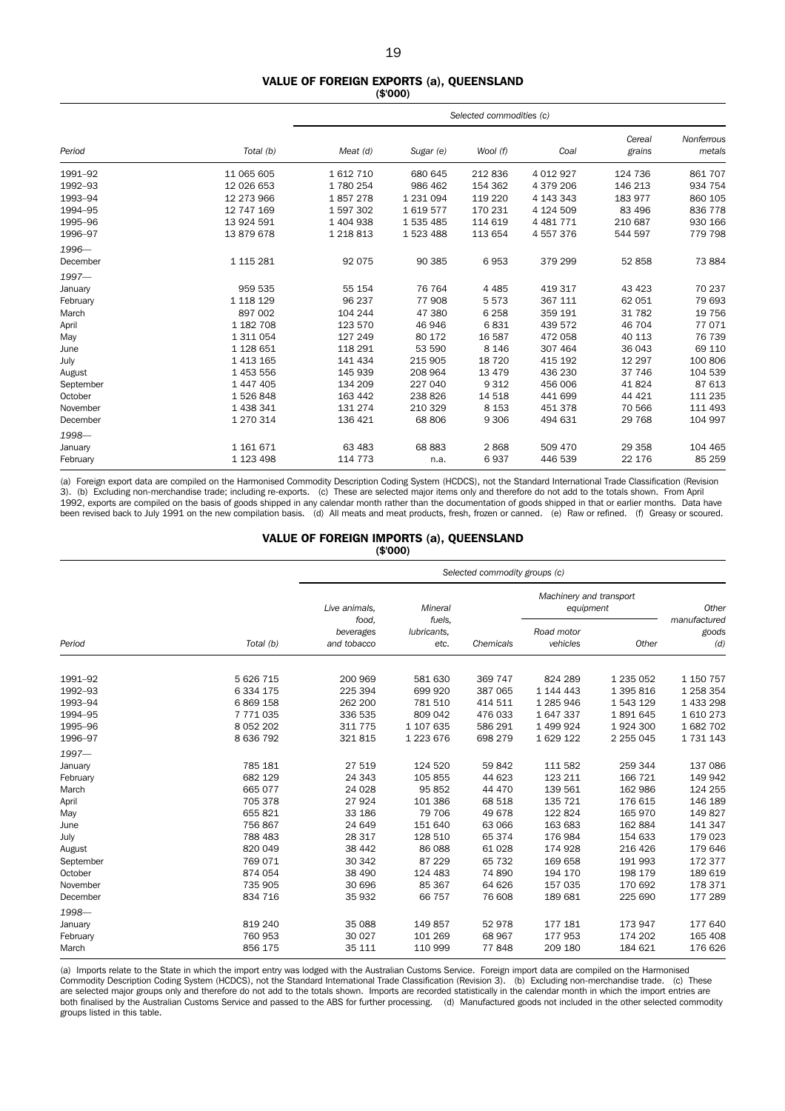#### VALUE OF FOREIGN EXPORTS (a), QUEENSLAND (\$'000)

|           |               |             |               | Selected commodities (c) |               |                  |                      |  |  |
|-----------|---------------|-------------|---------------|--------------------------|---------------|------------------|----------------------|--|--|
| Period    | Total (b)     | Meat (d)    | Sugar (e)     | Wool (f)                 | Coal          | Cereal<br>grains | Nonferrous<br>metals |  |  |
| 1991-92   | 11 065 605    | 1612710     | 680 645       | 212836                   | 4 0 1 2 9 2 7 | 124 736          | 861 707              |  |  |
| 1992-93   | 12 026 653    | 1780254     | 986 462       | 154 362                  | 4 379 206     | 146 213          | 934 754              |  |  |
| 1993-94   | 12 273 966    | 1857278     | 1 2 3 1 0 9 4 | 119 220                  | 4 143 343     | 183 977          | 860 105              |  |  |
| 1994-95   | 12 747 169    | 1597302     | 1619577       | 170 231                  | 4 124 509     | 83 496           | 836 778              |  |  |
| 1995-96   | 13 924 591    | 1 404 938   | 1 535 485     | 114 619                  | 4 4 8 1 7 7 1 | 210 687          | 930 166              |  |  |
| 1996-97   | 13 879 678    | 1 2 1 8 1 3 | 1 523 488     | 113 654                  | 4 557 376     | 544 597          | 779 798              |  |  |
| 1996-     |               |             |               |                          |               |                  |                      |  |  |
| December  | 1 1 1 5 2 8 1 | 92 075      | 90 385        | 6953                     | 379 299       | 52 858           | 73 884               |  |  |
| $1997-$   |               |             |               |                          |               |                  |                      |  |  |
| January   | 959 535       | 55 154      | 76 764        | 4 4 8 5                  | 419 317       | 43 4 23          | 70 237               |  |  |
| February  | 1 118 129     | 96 237      | 77 908        | 5573                     | 367 111       | 62 051           | 79 693               |  |  |
| March     | 897 002       | 104 244     | 47 380        | 6 2 5 8                  | 359 191       | 31 782           | 19 756               |  |  |
| April     | 1 182 708     | 123 570     | 46 946        | 6831                     | 439 572       | 46 704           | 77 071               |  |  |
| May       | 1 311 054     | 127 249     | 80 172        | 16 587                   | 472 058       | 40 113           | 76 739               |  |  |
| June      | 1 128 651     | 118 291     | 53 590        | 8 1 4 6                  | 307 464       | 36 043           | 69 110               |  |  |
| July      | 1 413 165     | 141 434     | 215 905       | 18 7 20                  | 415 192       | 12 297           | 100 806              |  |  |
| August    | 1 453 556     | 145 939     | 208 964       | 13 4 7 9                 | 436 230       | 37 746           | 104 539              |  |  |
| September | 1 447 405     | 134 209     | 227 040       | 9 3 1 2                  | 456 006       | 41 824           | 87 613               |  |  |
| October   | 1526848       | 163 442     | 238 826       | 14 5 18                  | 441 699       | 44 4 21          | 111 235              |  |  |
| November  | 1 438 341     | 131 274     | 210 329       | 8 1 5 3                  | 451 378       | 70 566           | 111 493              |  |  |
| December  | 1 270 314     | 136 421     | 68 806        | 9 3 0 6                  | 494 631       | 29 7 68          | 104 997              |  |  |
| 1998-     |               |             |               |                          |               |                  |                      |  |  |
| January   | 1 161 671     | 63 4 83     | 68 883        | 2868                     | 509 470       | 29 358           | 104 465              |  |  |
| February  | 1 123 498     | 114 773     | n.a.          | 6937                     | 446 539       | 22 176           | 85 25 9              |  |  |

(a) Foreign export data are compiled on the Harmonised Commodity Description Coding System (HCDCS), not the Standard International Trade Classification (Revision 3). (b) Excluding non-merchandise trade; including re-exports. (c) These are selected major items only and therefore do not add to the totals shown. From April 1992, exports are compiled on the basis of goods shipped in any calendar month rather than the documentation of goods shipped in that or earlier months. Data have been revised back to July 1991 on the new compilation basis. (d) All meats and meat products, fresh, frozen or canned. (e) Raw or refined. (f) Greasy or scoured.

#### VALUE OF FOREIGN IMPORTS (a), QUEENSLAND (\$'000)

|           |               |                          |                     | Selected commodity groups (c) |                                      |           |                       |  |  |  |
|-----------|---------------|--------------------------|---------------------|-------------------------------|--------------------------------------|-----------|-----------------------|--|--|--|
|           |               | Live animals,<br>food,   | Mineral<br>fuels.   |                               | Machinery and transport<br>equipment |           | Other<br>manufactured |  |  |  |
| Period    | Total (b)     | beverages<br>and tobacco | lubricants,<br>etc. | Chemicals                     | Road motor<br>vehicles               | Other     | goods<br>(d)          |  |  |  |
| 1991-92   | 5 626 715     | 200 969                  | 581 630             | 369 747                       | 824 289                              | 1 235 052 | 1 150 757             |  |  |  |
| 1992-93   | 6 3 3 4 1 7 5 | 225 394                  | 699 920             | 387 065                       | 1 144 443                            | 1 395 816 | 1 258 354             |  |  |  |
| 1993-94   | 6 8 69 1 58   | 262 200                  | 781 510             | 414 511                       | 1 285 946                            | 1 543 129 | 1 433 298             |  |  |  |
| 1994-95   | 7771035       | 336 535                  | 809 042             | 476 033                       | 1647337                              | 1891645   | 1610273               |  |  |  |
| 1995-96   | 8 0 5 2 2 0 2 | 311 775                  | 1 107 635           | 586 291                       | 1 499 924                            | 1924 300  | 1 682 702             |  |  |  |
| 1996-97   | 8 636 792     | 321815                   | 1 223 676           | 698 279                       | 1 629 122                            | 2 255 045 | 1 7 3 1 1 4 3         |  |  |  |
| $1997 -$  |               |                          |                     |                               |                                      |           |                       |  |  |  |
| January   | 785 181       | 27 519                   | 124 520             | 59 842                        | 111 582                              | 259 344   | 137 086               |  |  |  |
| February  | 682 129       | 24 343                   | 105 855             | 44 623                        | 123 211                              | 166 721   | 149 942               |  |  |  |
| March     | 665 077       | 24 0 28                  | 95 852              | 44 470                        | 139 561                              | 162 986   | 124 255               |  |  |  |
| April     | 705 378       | 27 9 24                  | 101 386             | 68 518                        | 135 721                              | 176 615   | 146 189               |  |  |  |
| May       | 655 821       | 33 186                   | 79 706              | 49 678                        | 122 824                              | 165 970   | 149827                |  |  |  |
| June      | 756 867       | 24 649                   | 151 640             | 63 066                        | 163 683                              | 162 884   | 141 347               |  |  |  |
| July      | 788 483       | 28 317                   | 128 510             | 65 374                        | 176 984                              | 154 633   | 179 023               |  |  |  |
| August    | 820 049       | 38 442                   | 86 088              | 61 028                        | 174 928                              | 216 426   | 179 646               |  |  |  |
| September | 769 071       | 30 342                   | 87 229              | 65 732                        | 169 658                              | 191 993   | 172 377               |  |  |  |
| October   | 874 054       | 38 490                   | 124 483             | 74 890                        | 194 170                              | 198 179   | 189 619               |  |  |  |
| November  | 735 905       | 30 696                   | 85 367              | 64 626                        | 157 035                              | 170 692   | 178 371               |  |  |  |
| December  | 834 716       | 35 932                   | 66 757              | 76 608                        | 189 681                              | 225 690   | 177 289               |  |  |  |
| 1998-     |               |                          |                     |                               |                                      |           |                       |  |  |  |
| January   | 819 240       | 35 088                   | 149 857             | 52 978                        | 177 181                              | 173 947   | 177 640               |  |  |  |
| February  | 760 953       | 30 0 27                  | 101 269             | 68 967                        | 177953                               | 174 202   | 165 408               |  |  |  |
| March     | 856 175       | 35 111                   | 110 999             | 77848                         | 209 180                              | 184 621   | 176 626               |  |  |  |

(a) Imports relate to the State in which the import entry was lodged with the Australian Customs Service. Foreign import data are compiled on the Harmonised Commodity Description Coding System (HCDCS), not the Standard International Trade Classification (Revision 3). (b) Excluding non-merchandise trade. (c) These are selected major groups only and therefore do not add to the totals shown. Imports are recorded statistically in the calendar month in which the import entries are both finalised by the Australian Customs Service and passed to the ABS for further processing. (d) Manufactured goods not included in the other selected commodity groups listed in this table.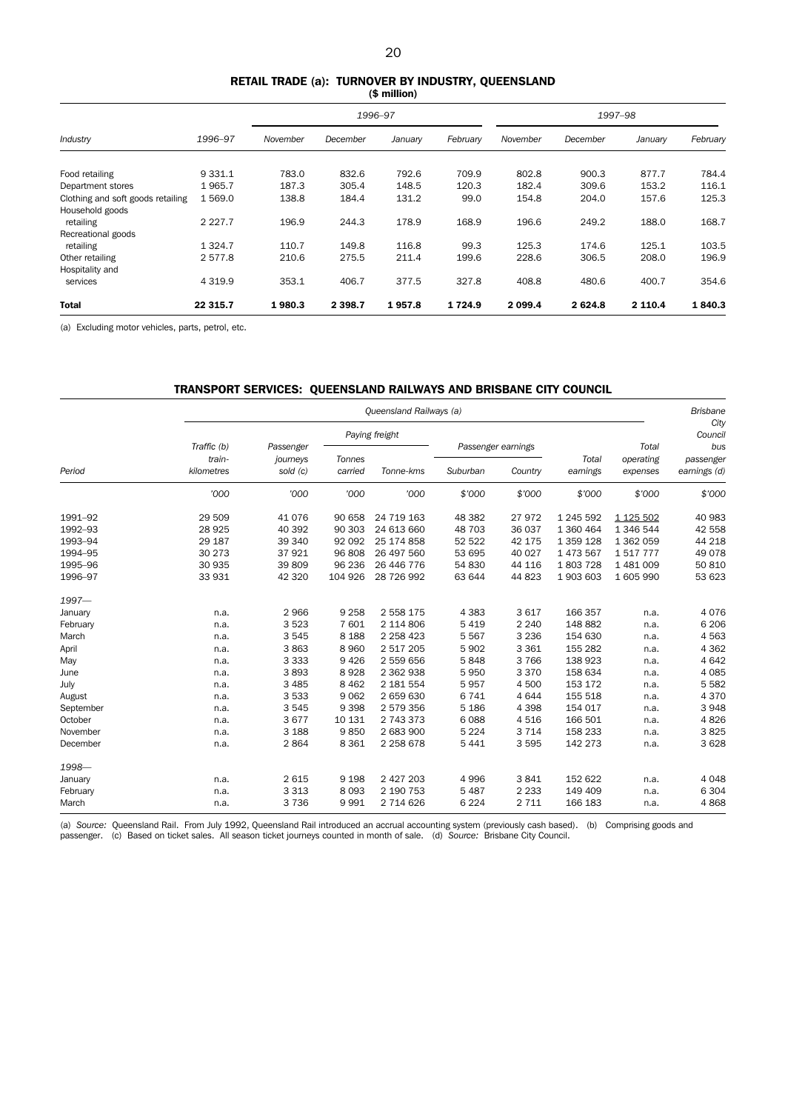#### RETAIL TRADE (a): TURNOVER BY INDUSTRY, QUEENSLAND (\$ million)

|                                   |             |          | 1996-97   |         |          |           | 1997-98  |         |          |  |
|-----------------------------------|-------------|----------|-----------|---------|----------|-----------|----------|---------|----------|--|
| Industry                          | 1996-97     | November | December  | January | February | November  | December | January | February |  |
| Food retailing                    | 9 3 3 1.1   | 783.0    | 832.6     | 792.6   | 709.9    | 802.8     | 900.3    | 877.7   | 784.4    |  |
| Department stores                 | 1965.7      | 187.3    | 305.4     | 148.5   | 120.3    | 182.4     | 309.6    | 153.2   | 116.1    |  |
| Clothing and soft goods retailing | 1 569.0     | 138.8    | 184.4     | 131.2   | 99.0     | 154.8     | 204.0    | 157.6   | 125.3    |  |
| Household goods                   |             |          |           |         |          |           |          |         |          |  |
| retailing                         | 2 2 2 7 . 7 | 196.9    | 244.3     | 178.9   | 168.9    | 196.6     | 249.2    | 188.0   | 168.7    |  |
| Recreational goods                |             |          |           |         |          |           |          |         |          |  |
| retailing                         | 1 3 2 4 . 7 | 110.7    | 149.8     | 116.8   | 99.3     | 125.3     | 174.6    | 125.1   | 103.5    |  |
| Other retailing                   | 2577.8      | 210.6    | 275.5     | 211.4   | 199.6    | 228.6     | 306.5    | 208.0   | 196.9    |  |
| Hospitality and                   |             |          |           |         |          |           |          |         |          |  |
| services                          | 4 3 1 9.9   | 353.1    | 406.7     | 377.5   | 327.8    | 408.8     | 480.6    | 400.7   | 354.6    |  |
| <b>Total</b>                      | 22 315.7    | 1980.3   | 2 3 9 8.7 | 1957.8  | 1724.9   | 2 0 9 9.4 | 2624.8   | 2 110.4 | 1840.3   |  |

(a) Excluding motor vehicles, parts, petrol, etc.

### TRANSPORT SERVICES: QUEENSLAND RAILWAYS AND BRISBANE CITY COUNCIL

|           |                       |                       |         | Queensland Railways (a) |                    |         |           |                    | <b>Brisbane</b>  |
|-----------|-----------------------|-----------------------|---------|-------------------------|--------------------|---------|-----------|--------------------|------------------|
|           |                       |                       |         | Paying freight          |                    |         |           |                    | City<br>Council  |
|           | Traffic (b)<br>train- | Passenger<br>journeys | Tonnes  |                         | Passenger earnings |         | Total     | Total<br>operating | bus<br>passenger |
| Period    | kilometres            | sold (c)              | carried | Tonne-kms               | Suburban           | Country | earnings  | expenses           | earnings (d)     |
|           | '000                  | '000                  | '000    | '000                    | \$'000             | \$'000  | \$'000    | \$'000             | \$'000           |
| 1991-92   | 29 509                | 41 0 76               | 90 658  | 24 719 163              | 48 382             | 27972   | 1 245 592 | 1 1 25 5 0 2       | 40 983           |
| 1992-93   | 28 9 25               | 40 392                | 90 303  | 24 613 660              | 48 703             | 36 037  | 1 360 464 | 1 346 544          | 42 558           |
| 1993-94   | 29 187                | 39 340                | 92 092  | 25 174 858              | 52 522             | 42 175  | 1 359 128 | 1 362 059          | 44 218           |
| 1994-95   | 30 273                | 37 921                | 96 808  | 26 497 560              | 53 695             | 40 027  | 1 473 567 | 1517777            | 49 0 78          |
| 1995-96   | 30 935                | 39 809                | 96 236  | 26 446 776              | 54 830             | 44 116  | 1803728   | 1 481 009          | 50 810           |
| 1996-97   | 33 931                | 42 320                | 104 926 | 28 726 992              | 63 644             | 44 823  | 1903 603  | 1 605 990          | 53 623           |
| $1997 -$  |                       |                       |         |                         |                    |         |           |                    |                  |
| January   | n.a.                  | 2966                  | 9 2 5 8 | 2 558 175               | 4 3 8 3            | 3617    | 166 357   | n.a.               | 4 0 7 6          |
| February  | n.a.                  | 3523                  | 7 601   | 2 114 806               | 5 4 1 9            | 2 2 4 0 | 148 882   | n.a.               | 6 20 6           |
| March     | n.a.                  | 3545                  | 8 1 8 8 | 2 2 5 8 4 2 3           | 5 5 6 7            | 3 2 3 6 | 154 630   | n.a.               | 4 5 6 3          |
| April     | n.a.                  | 3863                  | 8 9 6 0 | 2 517 205               | 5 9 0 2            | 3 3 6 1 | 155 282   | n.a.               | 4 3 6 2          |
| May       | n.a.                  | 3 3 3 3               | 9 4 2 6 | 2 559 656               | 5848               | 3766    | 138 923   | n.a.               | 4 6 4 2          |
| June      | n.a.                  | 3893                  | 8928    | 2 362 938               | 5950               | 3 3 7 0 | 158 634   | n.a.               | 4 0 8 5          |
| July      | n.a.                  | 3 4 8 5               | 8 4 6 2 | 2 181 554               | 5957               | 4 500   | 153 172   | n.a.               | 5 5 8 2          |
| August    | n.a.                  | 3 5 3 3               | 9 0 6 2 | 2 659 630               | 6741               | 4644    | 155 518   | n.a.               | 4 3 7 0          |
| September | n.a.                  | 3 5 4 5               | 9 3 9 8 | 2 579 356               | 5 1 8 6            | 4 3 9 8 | 154 017   | n.a.               | 3948             |
| October   | n.a.                  | 3 6 7 7               | 10 131  | 2 743 373               | 6088               | 4516    | 166 501   | n.a.               | 4826             |
| November  | n.a.                  | 3 1 8 8               | 9850    | 2 683 900               | 5 2 2 4            | 3 7 1 4 | 158 233   | n.a.               | 3825             |
| December  | n.a.                  | 2864                  | 8 3 6 1 | 2 2 5 8 6 7 8           | 5 4 4 1            | 3595    | 142 273   | n.a.               | 3 6 28           |
| 1998-     |                       |                       |         |                         |                    |         |           |                    |                  |
| January   | n.a.                  | 2615                  | 9 1 9 8 | 2 427 203               | 4 9 9 6            | 3841    | 152 622   | n.a.               | 4 0 4 8          |
| February  | n.a.                  | 3 3 1 3               | 8 0 9 3 | 2 190 753               | 5 4 8 7            | 2 2 3 3 | 149 409   | n.a.               | 6 3 0 4          |
| March     | n.a.                  | 3736                  | 9 9 9 1 | 2 714 626               | 6 2 2 4            | 2 7 1 1 | 166 183   | n.a.               | 4868             |

(a) *Source:* Queensland Rail. From July 1992, Queensland Rail introduced an accrual accounting system (previously cash based). (b) Comprising goods and passenger. (c) Based on ticket sales. All season ticket journeys counted in month of sale. (d) *Source:* Brisbane City Council.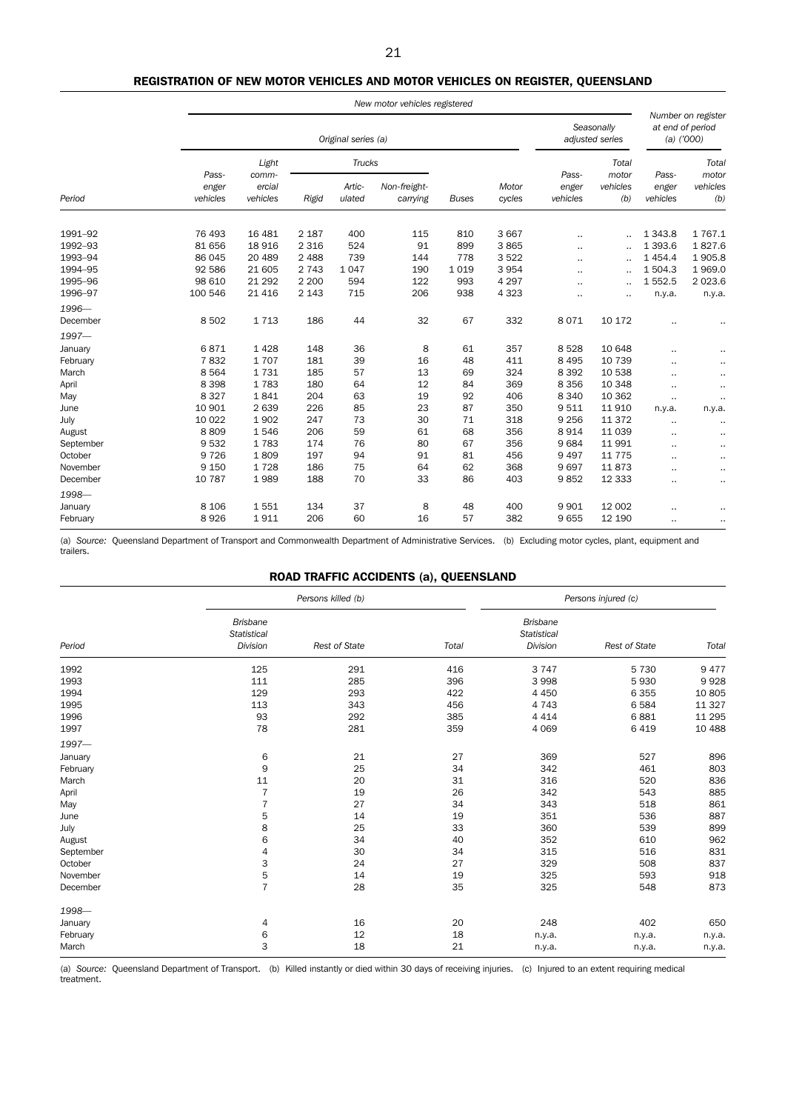### REGISTRATION OF NEW MOTOR VEHICLES AND MOTOR VEHICLES ON REGISTER, QUEENSLAND

|           |                            |                             |         |                     | New motor vehicles registered |              |                 |                            |                               |                            |                                                        |
|-----------|----------------------------|-----------------------------|---------|---------------------|-------------------------------|--------------|-----------------|----------------------------|-------------------------------|----------------------------|--------------------------------------------------------|
|           |                            |                             |         | Original series (a) |                               |              |                 |                            | Seasonally<br>adjusted series |                            | Number on register<br>at end of period<br>$(a)$ ('000) |
|           |                            | Light                       |         | <b>Trucks</b>       |                               |              |                 | Total                      |                               |                            | Total                                                  |
| Period    | Pass-<br>enger<br>vehicles | comm-<br>ercial<br>vehicles | Rigid   | Artic-<br>ulated    | Non-freight-<br>carrying      | <b>Buses</b> | Motor<br>cycles | Pass-<br>enger<br>vehicles | motor<br>vehicles<br>(b)      | Pass-<br>enger<br>vehicles | motor<br>vehicles<br>(b)                               |
| 1991-92   | 76 493                     | 16 4 8 1                    | 2 1 8 7 | 400                 | 115                           | 810          | 3 6 6 7         |                            | $\ddotsc$                     | 1 3 4 3.8                  | 1767.1                                                 |
| 1992-93   | 81 656                     | 18 9 16                     | 2 3 1 6 | 524                 | 91                            | 899          | 3865            |                            | $\cdot$ .                     | 1 3 9 3.6                  | 1827.6                                                 |
| 1993-94   | 86 045                     | 20 489                      | 2 4 8 8 | 739                 | 144                           | 778          | 3522            | ٠.                         | $\cdot$ .                     | 1 4 5 4 . 4                | 1905.8                                                 |
| 1994-95   | 92 586                     | 21 605                      | 2 7 4 3 | 1047                | 190                           | 1019         | 3 9 5 4         |                            | $\ddotsc$                     | 1 504.3                    | 1969.0                                                 |
| 1995-96   | 98 610                     | 21 29 2                     | 2 2 0 0 | 594                 | 122                           | 993          | 4 2 9 7         |                            | $\cdot$ .                     | 1 5 5 2.5                  | 2 0 2 3.6                                              |
| 1996-97   | 100 546                    | 21 4 16                     | 2 1 4 3 | 715                 | 206                           | 938          | 4 3 2 3         | $\cdot$ .                  | $\ddot{\phantom{a}}$          | n.y.a.                     | n.y.a.                                                 |
| 1996-     |                            |                             |         |                     |                               |              |                 |                            |                               |                            |                                                        |
| December  | 8 5 0 2                    | 1713                        | 186     | 44                  | 32                            | 67           | 332             | 8071                       | 10 172                        | $\cdot$ .                  |                                                        |
| $1997-$   |                            |                             |         |                     |                               |              |                 |                            |                               |                            |                                                        |
| January   | 6871                       | 1 4 2 8                     | 148     | 36                  | 8                             | 61           | 357             | 8528                       | 10 648                        |                            | ٠.                                                     |
| February  | 7832                       | 1707                        | 181     | 39                  | 16                            | 48           | 411             | 8 4 9 5                    | 10 739                        | ٠.                         | ٠.                                                     |
| March     | 8 5 6 4                    | 1731                        | 185     | 57                  | 13                            | 69           | 324             | 8 3 9 2                    | 10 538                        |                            | ٠.                                                     |
| April     | 8 3 9 8                    | 1783                        | 180     | 64                  | 12                            | 84           | 369             | 8 3 5 6                    | 10 348                        |                            | $\ddotsc$                                              |
| May       | 8 3 2 7                    | 1841                        | 204     | 63                  | 19                            | 92           | 406             | 8 3 4 0                    | 10 362                        | $\cdot$ .                  |                                                        |
| June      | 10 901                     | 2639                        | 226     | 85                  | 23                            | 87           | 350             | 9511                       | 11 910                        | n.y.a.                     | n.y.a.                                                 |
| July      | 10 0 22                    | 1902                        | 247     | 73                  | 30                            | 71           | 318             | 9 2 5 6                    | 11 372                        |                            |                                                        |
| August    | 8809                       | 1546                        | 206     | 59                  | 61                            | 68           | 356             | 8914                       | 11 0 39                       | $\cdot$ .                  |                                                        |
| September | 9532                       | 1783                        | 174     | 76                  | 80                            | 67           | 356             | 9684                       | 11 991                        | $\cdot$ .                  |                                                        |
| October   | 9 7 2 6                    | 1809                        | 197     | 94                  | 91                            | 81           | 456             | 9497                       | 11 7 7 5                      | $\ddotsc$                  |                                                        |
| November  | 9 1 5 0                    | 1728                        | 186     | 75                  | 64                            | 62           | 368             | 9697                       | 11873                         | $\cdot$                    |                                                        |
| December  | 10 787                     | 1989                        | 188     | 70                  | 33                            | 86           | 403             | 9852                       | 12 3 3 3                      | ٠.                         |                                                        |
| 1998-     |                            |                             |         |                     |                               |              |                 |                            |                               |                            |                                                        |
| January   | 8 1 0 6                    | 1551                        | 134     | 37                  | 8                             | 48           | 400             | 9 9 0 1                    | 12 002                        | ٠.                         | ٠.                                                     |
| February  | 8926                       | 1911                        | 206     | 60                  | 16                            | 57           | 382             | 9655                       | 12 190                        | ٠.                         |                                                        |

(a) *Source:* Queensland Department of Transport and Commonwealth Department of Administrative Services. (b) Excluding motor cycles, plant, equipment and trailers.

### ROAD TRAFFIC ACCIDENTS (a), QUEENSLAND

|           |                                                   | Persons killed (b)<br>Persons injured (c) |       |                                            |                      |        |  |
|-----------|---------------------------------------------------|-------------------------------------------|-------|--------------------------------------------|----------------------|--------|--|
| Period    | <b>Brisbane</b><br><b>Statistical</b><br>Division | <b>Rest of State</b>                      | Total | <b>Brisbane</b><br>Statistical<br>Division | <b>Rest of State</b> | Total  |  |
| 1992      | 125                                               | 291                                       | 416   | 3747                                       | 5 7 3 0              | 9477   |  |
| 1993      | 111                                               | 285                                       | 396   | 3998                                       | 5930                 | 9928   |  |
| 1994      | 129                                               | 293                                       | 422   | 4 4 5 0                                    | 6 3 5 5              | 10 805 |  |
| 1995      | 113                                               | 343                                       | 456   | 4 7 4 3                                    | 6 5 8 4              | 11 327 |  |
| 1996      | 93                                                | 292                                       | 385   | 4 4 1 4                                    | 6881                 | 11 295 |  |
| 1997      | 78                                                | 281                                       | 359   | 4 0 6 9                                    | 6 4 1 9              | 10 488 |  |
| 1997-     |                                                   |                                           |       |                                            |                      |        |  |
| January   | 6                                                 | 21                                        | 27    | 369                                        | 527                  | 896    |  |
| February  | 9                                                 | 25                                        | 34    | 342                                        | 461                  | 803    |  |
| March     | 11                                                | 20                                        | 31    | 316                                        | 520                  | 836    |  |
| April     | $\overline{7}$                                    | 19                                        | 26    | 342                                        | 543                  | 885    |  |
| May       | $\overline{7}$                                    | 27                                        | 34    | 343                                        | 518                  | 861    |  |
| June      | 5                                                 | 14                                        | 19    | 351                                        | 536                  | 887    |  |
| July      | 8                                                 | 25                                        | 33    | 360                                        | 539                  | 899    |  |
| August    | 6                                                 | 34                                        | 40    | 352                                        | 610                  | 962    |  |
| September | 4                                                 | 30                                        | 34    | 315                                        | 516                  | 831    |  |
| October   | 3                                                 | 24                                        | 27    | 329                                        | 508                  | 837    |  |
| November  | 5                                                 | 14                                        | 19    | 325                                        | 593                  | 918    |  |
| December  | $\overline{7}$                                    | 28                                        | 35    | 325                                        | 548                  | 873    |  |
| 1998-     |                                                   |                                           |       |                                            |                      |        |  |
| January   | 4                                                 | 16                                        | 20    | 248                                        | 402                  | 650    |  |
| February  | 6                                                 | 12                                        | 18    | n.y.a.                                     | n.y.a.               | n.y.a. |  |
| March     | 3                                                 | 18                                        | 21    | n.y.a.                                     | n.y.a.               | n.y.a. |  |

(a) *Source:* Queensland Department of Transport. (b) Killed instantly or died within 30 days of receiving injuries. (c) Injured to an extent requiring medical treatment.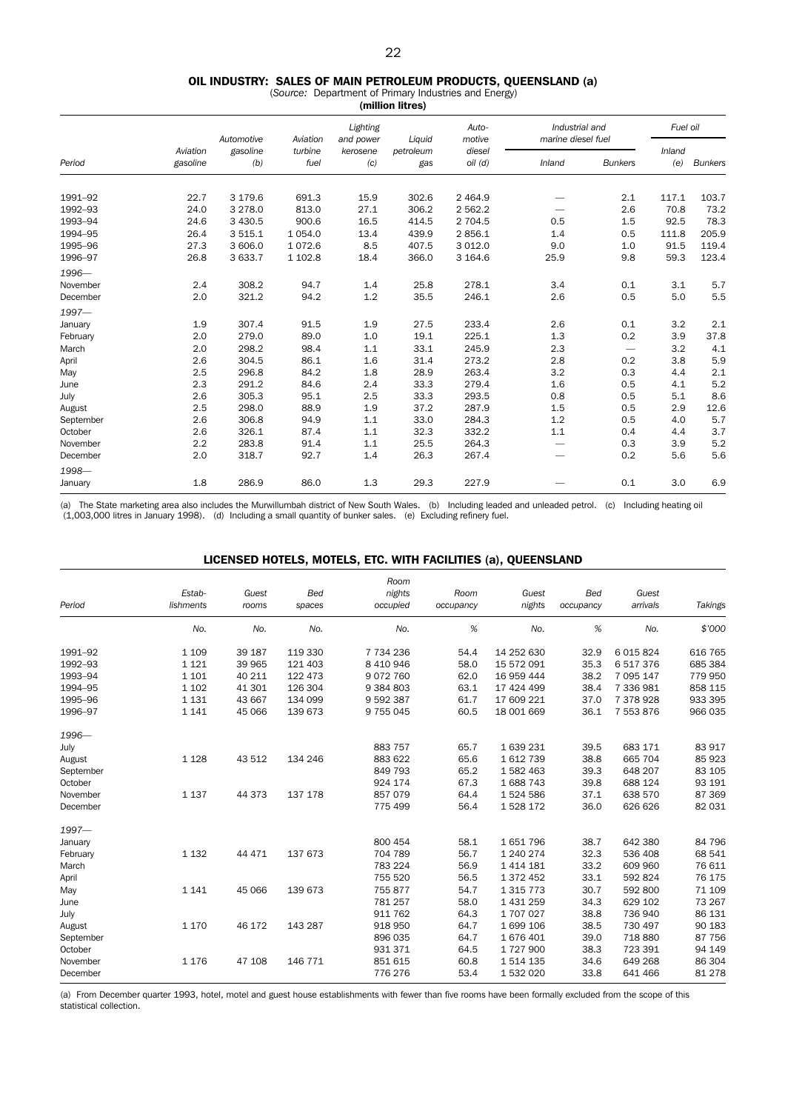### OIL INDUSTRY: SALES OF MAIN PETROLEUM PRODUCTS, QUEENSLAND (a)

(*Source:* Department of Primary Industries and Energy) (million litres)

|           |                      | Automotive      | Aviation        | Lighting<br>and power | Liquid           | Auto-<br>motive       | Industrial and<br>marine diesel fuel |                | Fuel oil      |                |
|-----------|----------------------|-----------------|-----------------|-----------------------|------------------|-----------------------|--------------------------------------|----------------|---------------|----------------|
| Period    | Aviation<br>gasoline | gasoline<br>(b) | turbine<br>fuel | kerosene<br>(c)       | petroleum<br>gas | diesel<br>$oil$ $(d)$ | Inland                               | <b>Bunkers</b> | Inland<br>(e) | <b>Bunkers</b> |
|           |                      |                 |                 |                       |                  |                       |                                      |                |               |                |
| 1991-92   | 22.7                 | 3 179.6         | 691.3           | 15.9                  | 302.6            | 2 4 6 4.9             |                                      | 2.1            | 117.1         | 103.7          |
| 1992-93   | 24.0                 | 3 2 7 8 .0      | 813.0           | 27.1                  | 306.2            | 2 5 6 2.2             |                                      | 2.6            | 70.8          | 73.2           |
| 1993-94   | 24.6                 | 3 4 3 0.5       | 900.6           | 16.5                  | 414.5            | 2 704.5               | 0.5                                  | 1.5            | 92.5          | 78.3           |
| 1994-95   | 26.4                 | 3 5 1 5 . 1     | 1 0 5 4 .0      | 13.4                  | 439.9            | 2856.1                | 1.4                                  | 0.5            | 111.8         | 205.9          |
| 1995-96   | 27.3                 | 3 606.0         | 1 0 7 2.6       | 8.5                   | 407.5            | 3 0 1 2.0             | 9.0                                  | 1.0            | 91.5          | 119.4          |
| 1996-97   | 26.8                 | 3 633.7         | 1 102.8         | 18.4                  | 366.0            | 3 1 64.6              | 25.9                                 | 9.8            | 59.3          | 123.4          |
| 1996-     |                      |                 |                 |                       |                  |                       |                                      |                |               |                |
| November  | 2.4                  | 308.2           | 94.7            | 1.4                   | 25.8             | 278.1                 | 3.4                                  | 0.1            | 3.1           | 5.7            |
| December  | 2.0                  | 321.2           | 94.2            | 1.2                   | 35.5             | 246.1                 | 2.6                                  | 0.5            | 5.0           | 5.5            |
| 1997-     |                      |                 |                 |                       |                  |                       |                                      |                |               |                |
| January   | 1.9                  | 307.4           | 91.5            | 1.9                   | 27.5             | 233.4                 | 2.6                                  | 0.1            | 3.2           | 2.1            |
| February  | 2.0                  | 279.0           | 89.0            | 1.0                   | 19.1             | 225.1                 | 1.3                                  | 0.2            | 3.9           | 37.8           |
| March     | 2.0                  | 298.2           | 98.4            | 1.1                   | 33.1             | 245.9                 | 2.3                                  | —              | 3.2           | 4.1            |
| April     | 2.6                  | 304.5           | 86.1            | 1.6                   | 31.4             | 273.2                 | 2.8                                  | 0.2            | 3.8           | 5.9            |
| May       | 2.5                  | 296.8           | 84.2            | 1.8                   | 28.9             | 263.4                 | 3.2                                  | 0.3            | 4.4           | 2.1            |
| June      | 2.3                  | 291.2           | 84.6            | 2.4                   | 33.3             | 279.4                 | 1.6                                  | 0.5            | 4.1           | 5.2            |
| July      | 2.6                  | 305.3           | 95.1            | 2.5                   | 33.3             | 293.5                 | 0.8                                  | 0.5            | 5.1           | 8.6            |
| August    | 2.5                  | 298.0           | 88.9            | 1.9                   | 37.2             | 287.9                 | 1.5                                  | 0.5            | 2.9           | 12.6           |
| September | 2.6                  | 306.8           | 94.9            | $1.1\,$               | 33.0             | 284.3                 | $1.2\,$                              | 0.5            | 4.0           | 5.7            |
| October   | 2.6                  | 326.1           | 87.4            | 1.1                   | 32.3             | 332.2                 | 1.1                                  | 0.4            | 4.4           | 3.7            |
| November  | 2.2                  | 283.8           | 91.4            | 1.1                   | 25.5             | 264.3                 |                                      | 0.3            | 3.9           | 5.2            |
| December  | 2.0                  | 318.7           | 92.7            | 1.4                   | 26.3             | 267.4                 | $\overline{\phantom{0}}$             | 0.2            | 5.6           | 5.6            |
| 1998-     |                      |                 |                 |                       |                  |                       |                                      |                |               |                |
| January   | 1.8                  | 286.9           | 86.0            | 1.3                   | 29.3             | 227.9                 |                                      | 0.1            | 3.0           | 6.9            |
|           |                      |                 |                 |                       |                  |                       |                                      |                |               |                |

(a) The State marketing area also includes the Murwillumbah district of New South Wales. (b) Including leaded and unleaded petrol. (c) Including heating oil<br>(1,003,000 litres in January 1998). (d) Including a small quantit

### LICENSED HOTELS, MOTELS, ETC. WITH FACILITIES (a), QUEENSLAND

|           | Estab-    | Guest  | <b>Bed</b> | Room<br>nights | Room      | Guest         | <b>Bed</b> | Guest       |         |
|-----------|-----------|--------|------------|----------------|-----------|---------------|------------|-------------|---------|
| Period    | lishments | rooms  | spaces     | occupied       | occupancy | nights        | occupancy  | arrivals    | Takings |
|           | No.       | No.    | No.        | No.            | %         | No.           | $\%$       | No.         | \$'000  |
| 1991-92   | 1 1 0 9   | 39 187 | 119 330    | 7 734 236      | 54.4      | 14 252 630    | 32.9       | 6 0 15 8 24 | 616 765 |
| 1992-93   | 1 1 2 1   | 39 965 | 121 403    | 8 4 10 9 46    | 58.0      | 15 572 091    | 35.3       | 6517376     | 685 384 |
| 1993-94   | 1 1 0 1   | 40 211 | 122 473    | 9072760        | 62.0      | 16 959 444    | 38.2       | 7 095 147   | 779 950 |
| 1994-95   | 1 1 0 2   | 41 301 | 126 304    | 9 3 8 4 8 0 3  | 63.1      | 17 424 499    | 38.4       | 7 336 981   | 858 115 |
| 1995-96   | 1 1 3 1   | 43 667 | 134 099    | 9 592 387      | 61.7      | 17 609 221    | 37.0       | 7 378 928   | 933 395 |
| 1996-97   | 1 1 4 1   | 45 066 | 139 673    | 9 755 045      | 60.5      | 18 001 669    | 36.1       | 7 553 876   | 966 035 |
| 1996-     |           |        |            |                |           |               |            |             |         |
| July      |           |        |            | 883 757        | 65.7      | 1639231       | 39.5       | 683 171     | 83 917  |
| August    | 1 1 2 8   | 43 512 | 134 246    | 883 622        | 65.6      | 1612739       | 38.8       | 665 704     | 85 923  |
| September |           |        |            | 849 793        | 65.2      | 1582463       | 39.3       | 648 207     | 83 105  |
| October   |           |        |            | 924 174        | 67.3      | 1688743       | 39.8       | 688 124     | 93 191  |
| November  | 1 1 3 7   | 44 373 | 137 178    | 857 079        | 64.4      | 1524586       | 37.1       | 638 570     | 87 369  |
| December  |           |        |            | 775 499        | 56.4      | 1528172       | 36.0       | 626 626     | 82 031  |
| 1997-     |           |        |            |                |           |               |            |             |         |
| January   |           |        |            | 800 454        | 58.1      | 1651796       | 38.7       | 642 380     | 84 796  |
| February  | 1 1 3 2   | 44 471 | 137 673    | 704 789        | 56.7      | 1 240 274     | 32.3       | 536 408     | 68 541  |
| March     |           |        |            | 783 224        | 56.9      | 1 4 1 4 1 8 1 | 33.2       | 609 960     | 76 611  |
| April     |           |        |            | 755 520        | 56.5      | 1 372 452     | 33.1       | 592 824     | 76 175  |
| May       | 1 1 4 1   | 45 066 | 139 673    | 755877         | 54.7      | 1 3 1 5 7 7 3 | 30.7       | 592 800     | 71 109  |
| June      |           |        |            | 781 257        | 58.0      | 1 431 259     | 34.3       | 629 102     | 73 267  |
| July      |           |        |            | 911 762        | 64.3      | 1707027       | 38.8       | 736 940     | 86 131  |
| August    | 1 1 7 0   | 46 172 | 143 287    | 918 950        | 64.7      | 1 699 106     | 38.5       | 730 497     | 90 183  |
| September |           |        |            | 896 035        | 64.7      | 1676401       | 39.0       | 718 880     | 87 756  |
| October   |           |        |            | 931 371        | 64.5      | 1727900       | 38.3       | 723 391     | 94 149  |
| November  | 1 1 7 6   | 47 108 | 146 771    | 851 615        | 60.8      | 1 514 135     | 34.6       | 649 268     | 86 304  |
| December  |           |        |            | 776 276        | 53.4      | 1 532 020     | 33.8       | 641 466     | 81 278  |

(a) From December quarter 1993, hotel, motel and guest house establishments with fewer than five rooms have been formally excluded from the scope of this statistical collection.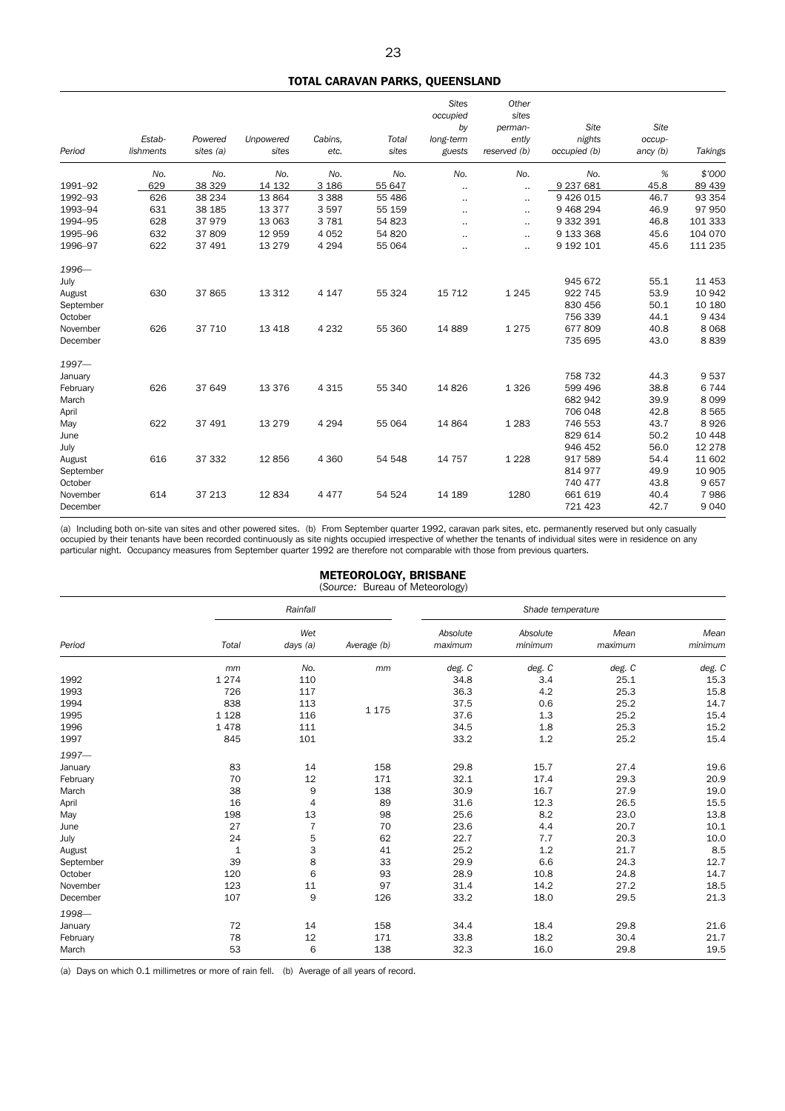### TOTAL CARAVAN PARKS, QUEENSLAND

| Period    | Estab-<br>lishments | Powered<br>sites (a) | <b>Unpowered</b><br>sites | Cabins.<br>etc. | Total<br>sites | <b>Sites</b><br>occupied<br>by<br>long-term<br>guests | Other<br>sites<br>perman-<br>ently<br>reserved (b) | Site<br>nights<br>occupied (b) | Site<br>occup-<br>$\text{ancy}(b)$ | Takings |
|-----------|---------------------|----------------------|---------------------------|-----------------|----------------|-------------------------------------------------------|----------------------------------------------------|--------------------------------|------------------------------------|---------|
|           |                     |                      |                           |                 |                |                                                       |                                                    |                                |                                    |         |
|           | No.                 | No.                  | No.                       | No.             | No.            | No.                                                   | No.                                                | No.                            | %                                  | \$'000  |
| 1991-92   | 629                 | 38 329               | 14 132                    | 3 1 8 6         | 55 647         |                                                       | $\ddotsc$                                          | 9 237 681                      | 45.8                               | 89 439  |
| 1992-93   | 626                 | 38 234               | 13 8 64                   | 3 3 8 8         | 55 486         | $\cdot$ .                                             |                                                    | 9 4 2 6 0 1 5                  | 46.7                               | 93 354  |
| 1993-94   | 631                 | 38 185               | 13 3 7 7                  | 3597            | 55 159         | $\ddotsc$                                             | $\ddotsc$                                          | 9 4 68 2 94                    | 46.9                               | 97 950  |
| 1994-95   | 628                 | 37979                | 13 063                    | 3781            | 54 823         |                                                       |                                                    | 9 332 391                      | 46.8                               | 101 333 |
| 1995-96   | 632                 | 37 809               | 12 959                    | 4 0 5 2         | 54 820         |                                                       | $\ddotsc$                                          | 9 133 368                      | 45.6                               | 104 070 |
| 1996-97   | 622                 | 37 491               | 13 2 7 9                  | 4 2 9 4         | 55 064         | $\cdot$                                               | $\cdot$ .                                          | 9 192 101                      | 45.6                               | 111 235 |
| 1996-     |                     |                      |                           |                 |                |                                                       |                                                    |                                |                                    |         |
| July      |                     |                      |                           |                 |                |                                                       |                                                    | 945 672                        | 55.1                               | 11 453  |
| August    | 630                 | 37 865               | 13 3 12                   | 4 1 4 7         | 55 324         | 15 7 12                                               | 1 2 4 5                                            | 922 745                        | 53.9                               | 10 942  |
| September |                     |                      |                           |                 |                |                                                       |                                                    | 830 456                        | 50.1                               | 10 180  |
| October   |                     |                      |                           |                 |                |                                                       |                                                    | 756 339                        | 44.1                               | 9 4 3 4 |
| November  | 626                 | 37 710               | 13 4 18                   | 4 2 3 2         | 55 360         | 14 8 89                                               | 1 2 7 5                                            | 677809                         | 40.8                               | 8 0 6 8 |
| December  |                     |                      |                           |                 |                |                                                       |                                                    | 735 695                        | 43.0                               | 8839    |
| $1997-$   |                     |                      |                           |                 |                |                                                       |                                                    |                                |                                    |         |
| January   |                     |                      |                           |                 |                |                                                       |                                                    | 758 732                        | 44.3                               | 9537    |
| February  | 626                 | 37 649               | 13 3 76                   | 4 3 1 5         | 55 340         | 14 8 26                                               | 1 3 2 6                                            | 599 496                        | 38.8                               | 6744    |
| March     |                     |                      |                           |                 |                |                                                       |                                                    | 682 942                        | 39.9                               | 8 0 9 9 |
| April     |                     |                      |                           |                 |                |                                                       |                                                    | 706 048                        | 42.8                               | 8 5 6 5 |
| May       | 622                 | 37 491               | 13 279                    | 4 2 9 4         | 55 064         | 14 8 64                                               | 1 2 8 3                                            | 746 553                        | 43.7                               | 8926    |
| June      |                     |                      |                           |                 |                |                                                       |                                                    | 829 614                        | 50.2                               | 10 4 48 |
| July      |                     |                      |                           |                 |                |                                                       |                                                    | 946 452                        | 56.0                               | 12 278  |
| August    | 616                 | 37 332               | 12 8 56                   | 4 3 6 0         | 54 548         | 14 7 5 7                                              | 1 2 2 8                                            | 917 589                        | 54.4                               | 11 602  |
| September |                     |                      |                           |                 |                |                                                       |                                                    | 814 977                        | 49.9                               | 10 905  |
| October   |                     |                      |                           |                 |                |                                                       |                                                    | 740 477                        | 43.8                               | 9657    |
| November  | 614                 | 37 213               | 12 8 34                   | 4 4 7 7         | 54 524         | 14 189                                                | 1280                                               | 661 619                        | 40.4                               | 7986    |
| December  |                     |                      |                           |                 |                |                                                       |                                                    | 721 423                        | 42.7                               | 9 0 4 0 |

(a) Including both on-site van sites and other powered sites. (b) From September quarter 1992, caravan park sites, etc. permanently reserved but only casually occupied by their tenants have been recorded continuously as site nights occupied irrespective of whether the tenants of individual sites were in residence on any<br>particular night. Occupancy measures from September quarte

#### METEOROLOGY, BRISBANE (*Source:* Bureau of Meteorology)

|           |             | Rainfall        |             |                     | Shade temperature   |                 |                 |
|-----------|-------------|-----------------|-------------|---------------------|---------------------|-----------------|-----------------|
| Period    | Total       | Wet<br>days (a) | Average (b) | Absolute<br>maximum | Absolute<br>minimum | Mean<br>maximum | Mean<br>minimum |
|           | mm          | No.             | mm          | deg. C              | deg. C              | deg. C          | deg. C          |
| 1992      | 1274        | 110             |             | 34.8                | 3.4                 | 25.1            | 15.3            |
| 1993      | 726         | 117             |             | 36.3                | 4.2                 | 25.3            | 15.8            |
| 1994      | 838         | 113             |             | 37.5                | 0.6                 | 25.2            | 14.7            |
| 1995      | 1 1 2 8     | 116             | 1 1 7 5     | 37.6                | 1.3                 | 25.2            | 15.4            |
| 1996      | 1478        | 111             |             | 34.5                | 1.8                 | 25.3            | 15.2            |
| 1997      | 845         | 101             |             | 33.2                | 1.2                 | 25.2            | 15.4            |
| 1997-     |             |                 |             |                     |                     |                 |                 |
| January   | 83          | 14              | 158         | 29.8                | 15.7                | 27.4            | 19.6            |
| February  | 70          | 12              | 171         | 32.1                | 17.4                | 29.3            | 20.9            |
| March     | 38          | 9               | 138         | 30.9                | 16.7                | 27.9            | 19.0            |
| April     | 16          | 4               | 89          | 31.6                | 12.3                | 26.5            | 15.5            |
| May       | 198         | 13              | 98          | 25.6                | 8.2                 | 23.0            | 13.8            |
| June      | 27          | $\overline{7}$  | 70          | 23.6                | 4.4                 | 20.7            | 10.1            |
| July      | 24          | $\mathbf 5$     | 62          | 22.7                | 7.7                 | 20.3            | 10.0            |
| August    | $\mathbf 1$ | 3               | 41          | 25.2                | 1.2                 | 21.7            | 8.5             |
| September | 39          | 8               | 33          | 29.9                | 6.6                 | 24.3            | 12.7            |
| October   | 120         | 6               | 93          | 28.9                | 10.8                | 24.8            | 14.7            |
| November  | 123         | 11              | 97          | 31.4                | 14.2                | 27.2            | 18.5            |
| December  | 107         | 9               | 126         | 33.2                | 18.0                | 29.5            | 21.3            |
| 1998-     |             |                 |             |                     |                     |                 |                 |
| January   | 72          | 14              | 158         | 34.4                | 18.4                | 29.8            | 21.6            |
| February  | 78          | 12              | 171         | 33.8                | 18.2                | 30.4            | 21.7            |
| March     | 53          | 6               | 138         | 32.3                | 16.0                | 29.8            | 19.5            |

(a) Days on which 0.1 millimetres or more of rain fell. (b) Average of all years of record.